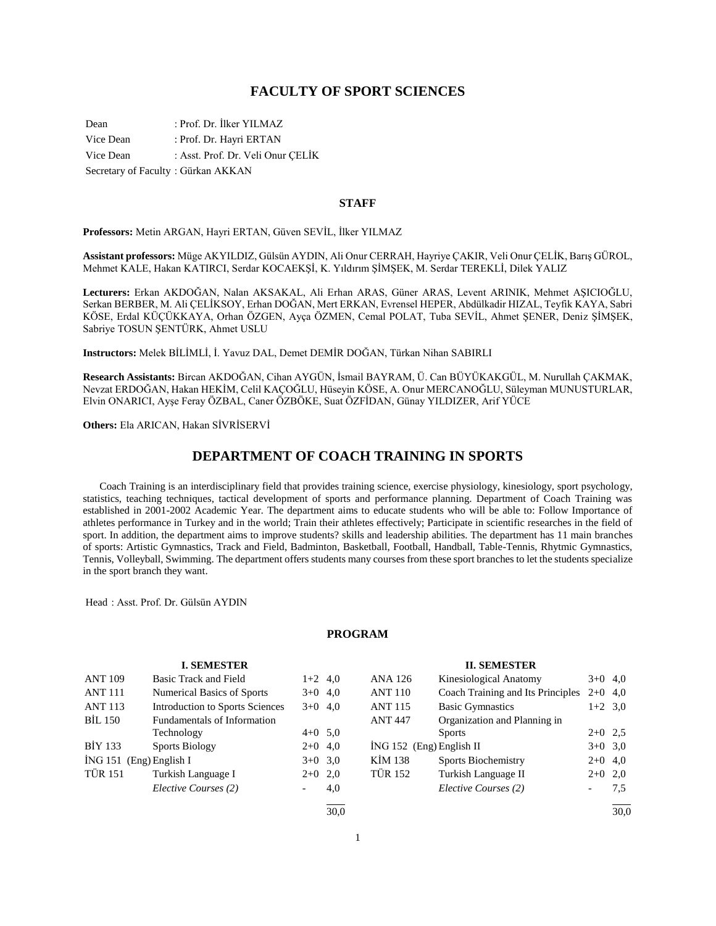## **FACULTY OF SPORT SCIENCES**

Dean : Prof. Dr. İlker YILMAZ Vice Dean : Prof. Dr. Hayri ERTAN Vice Dean : Asst. Prof. Dr. Veli Onur ÇELİK Secretary of Faculty : Gürkan AKKAN

#### **STAFF**

**Professors:** Metin ARGAN, Hayri ERTAN, Güven SEVİL, İlker YILMAZ

**Assistant professors:** Müge AKYILDIZ, Gülsün AYDIN, Ali Onur CERRAH, Hayriye ÇAKIR, Veli Onur ÇELİK, Barış GÜROL, Mehmet KALE, Hakan KATIRCI, Serdar KOCAEKŞİ, K. Yıldırım ŞİMŞEK, M. Serdar TEREKLİ, Dilek YALIZ

**Lecturers:** Erkan AKDOĞAN, Nalan AKSAKAL, Ali Erhan ARAS, Güner ARAS, Levent ARINIK, Mehmet AŞICIOĞLU, Serkan BERBER, M. Ali ÇELİKSOY, Erhan DOĞAN, Mert ERKAN, Evrensel HEPER, Abdülkadir HIZAL, Teyfik KAYA, Sabri KÖSE, Erdal KÜÇÜKKAYA, Orhan ÖZGEN, Ayça ÖZMEN, Cemal POLAT, Tuba SEVİL, Ahmet ŞENER, Deniz ŞİMŞEK, Sabriye TOSUN ŞENTÜRK, Ahmet USLU

**Instructors:** Melek BİLİMLİ, İ. Yavuz DAL, Demet DEMİR DOĞAN, Türkan Nihan SABIRLI

**Research Assistants:** Bircan AKDOĞAN, Cihan AYGÜN, İsmail BAYRAM, Ü. Can BÜYÜKAKGÜL, M. Nurullah ÇAKMAK, Nevzat ERDOĞAN, Hakan HEKİM, Celil KAÇOĞLU, Hüseyin KÖSE, A. Onur MERCANOĞLU, Süleyman MUNUSTURLAR, Elvin ONARICI, Ayşe Feray ÖZBAL, Caner ÖZBÖKE, Suat ÖZFİDAN, Günay YILDIZER, Arif YÜCE

**Others:** Ela ARICAN, Hakan SİVRİSERVİ

# **DEPARTMENT OF COACH TRAINING IN SPORTS**

 Coach Training is an interdisciplinary field that provides training science, exercise physiology, kinesiology, sport psychology, statistics, teaching techniques, tactical development of sports and performance planning. Department of Coach Training was established in 2001-2002 Academic Year. The department aims to educate students who will be able to: Follow Importance of athletes performance in Turkey and in the world; Train their athletes effectively; Participate in scientific researches in the field of sport. In addition, the department aims to improve students? skills and leadership abilities. The department has 11 main branches of sports: Artistic Gymnastics, Track and Field, Badminton, Basketball, Football, Handball, Table-Tennis, Rhytmic Gymnastics, Tennis, Volleyball, Swimming. The department offers students many courses from these sport branches to let the students specialize in the sport branch they want.

Head : Asst. Prof. Dr. Gülsün AYDIN

#### **PROGRAM**

|                           | <b>I. SEMESTER</b>                     |           |           |                            | <b>II. SEMESTER</b>               |                          |           |
|---------------------------|----------------------------------------|-----------|-----------|----------------------------|-----------------------------------|--------------------------|-----------|
| <b>ANT 109</b>            | Basic Track and Field                  |           | $1+2$ 4,0 | ANA 126                    | Kinesiological Anatomy            |                          | $3+0$ 4,0 |
| <b>ANT 111</b>            | Numerical Basics of Sports             | $3+0$ 4,0 |           | <b>ANT 110</b>             | Coach Training and Its Principles | $2+0$ 4,0                |           |
| <b>ANT 113</b>            | <b>Introduction to Sports Sciences</b> | $3+0$ 4,0 |           | <b>ANT 115</b>             | <b>Basic Gymnastics</b>           |                          | $1+2$ 3,0 |
| <b>BIL 150</b>            | Fundamentals of Information            |           |           | <b>ANT 447</b>             | Organization and Planning in      |                          |           |
|                           | Technology                             | $4+0$ 5,0 |           |                            | <b>Sports</b>                     | $2+0$ 2.5                |           |
| <b>BIY 133</b>            | <b>Sports Biology</b>                  | $2+0$ 4,0 |           | $ING 152$ (Eng) English II |                                   | $3+0$ 3.0                |           |
| $ING 151$ (Eng) English I |                                        | $3+0$ 3.0 |           | <b>KİM 138</b>             | Sports Biochemistry               | $2+0$ 4,0                |           |
| <b>TÜR 151</b>            | Turkish Language I                     | $2+0$ 2,0 |           | <b>TÜR 152</b>             | Turkish Language II               | $2+0$ 2,0                |           |
|                           | Elective Courses (2)                   |           | 4,0       |                            | Elective Courses (2)              | $\overline{\phantom{0}}$ | 7,5       |
|                           |                                        |           | 30.0      |                            |                                   |                          | 30.0      |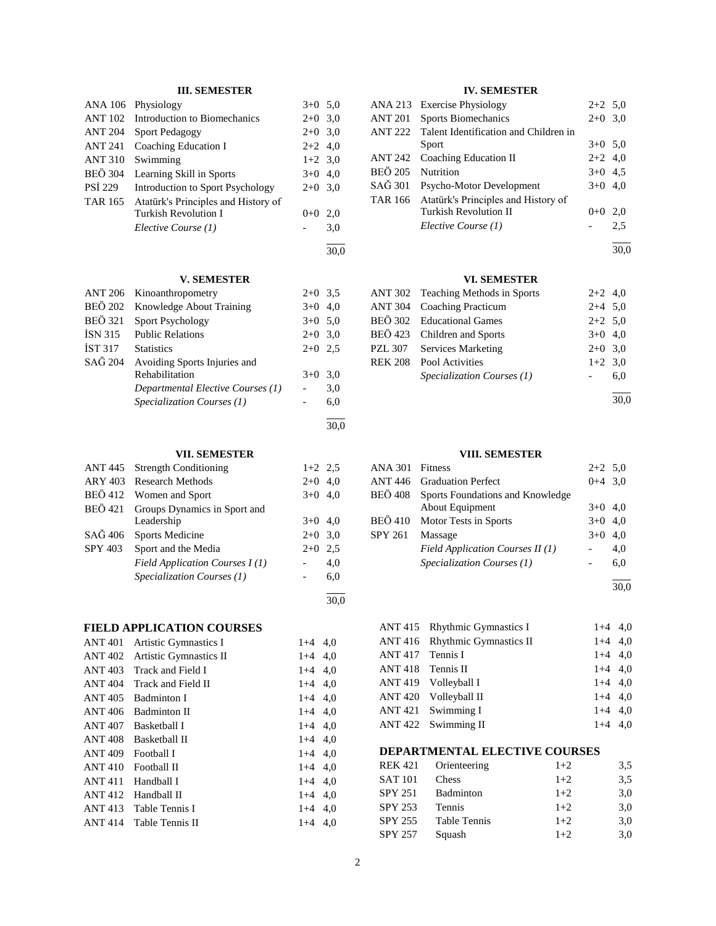#### **III. SEMESTER**

|                | ANA 106 Physiology                          | $3+0$ 5.0 |     |
|----------------|---------------------------------------------|-----------|-----|
|                | ANT 102 Introduction to Biomechanics        | $2+0$ 3,0 |     |
| <b>ANT 204</b> | <b>Sport Pedagogy</b>                       | $2+0$ 3.0 |     |
|                | ANT 241 Coaching Education I                | $2+2$ 4,0 |     |
| <b>ANT 310</b> | Swimming                                    | $1+2$ 3,0 |     |
| <b>BEÖ 304</b> | Learning Skill in Sports                    | $3+0$ 4,0 |     |
| <b>PSI 229</b> | Introduction to Sport Psychology            | $2+0$ 3,0 |     |
|                | TAR 165 Atatürk's Principles and History of |           |     |
|                | <b>Turkish Revolution I</b>                 | $0+0$     | 2,0 |
|                | Elective Course (1)                         |           | 3,0 |
|                |                                             |           |     |

## **V. SEMESTER**

30,0

30,0

30,0

|                | ANT 206 Kinoanthropometry         | $2+0$ 3.5 |     |
|----------------|-----------------------------------|-----------|-----|
| <b>BEÖ 202</b> | Knowledge About Training          | $3+0$ 4.0 |     |
| <b>BEÖ 321</b> | <b>Sport Psychology</b>           | $3+0$ 5.0 |     |
| ISN 315        | <b>Public Relations</b>           | $2+0$ 3.0 |     |
| <b>IST 317</b> | <b>Statistics</b>                 | $2+0$ 2.5 |     |
| SAĞ 204        | Avoiding Sports Injuries and      |           |     |
|                | Rehabilitation                    | $3+0$     | 3.0 |
|                | Departmental Elective Courses (1) |           | 3,0 |
|                | Specialization Courses (1)        |           | 6,0 |
|                |                                   |           |     |

## **VII. SEMESTER**

| ANT 445        | <b>Strength Conditioning</b>   | $1+2$ 2.5 |     |
|----------------|--------------------------------|-----------|-----|
| ARY 403        | <b>Research Methods</b>        | $2+0$     | 4.0 |
|                | BEÖ 412 Women and Sport        | $3+0$     | 4.0 |
| <b>BEÖ</b> 421 | Groups Dynamics in Sport and   |           |     |
|                | Leadership                     | $3+0$     | 4.0 |
| SAĞ 406        | <b>Sports Medicine</b>         | $2+0$ 3.0 |     |
| SPY 403        | Sport and the Media            | $2+0$     | 2.5 |
|                | Field Application Courses I(1) |           | 4,0 |
|                | Specialization Courses (1)     |           | 6,0 |
|                |                                |           |     |

## **FIELD APPLICATION COURSES**

| Artistic Gymnastics I  | $1+4$   | 4.0 |
|------------------------|---------|-----|
| Artistic Gymnastics II | $1+4$   | 4,0 |
| Track and Field I      | $1 + 4$ | 4.0 |
| Track and Field II     | $1+4$   | 4.0 |
| Badminton I            | $1+4$   | 4,0 |
| <b>Badminton II</b>    | $1+4$   | 4.0 |
| <b>Basketball I</b>    | $1 + 4$ | 4,0 |
| Basketball II          | $1+4$   | 4.0 |
| Football I             | $1+4$   | 4.0 |
| Football II            | $1+4$   | 4,0 |
| Handball I             | $1+4$   | 4.0 |
| Handball II            | $1+4$   | 4.0 |
| Table Tennis I         | $1+4$   | 4.0 |
| Table Tennis II        | $1+4$   | 4.0 |
|                        |         |     |

## **IV. SEMESTER**

| ANA 213          | <b>Exercise Physiology</b>            | $2+2$ 5.0 |     |
|------------------|---------------------------------------|-----------|-----|
| <b>ANT 201</b>   | Sports Biomechanics                   | $2+0$ 3,0 |     |
| <b>ANT 222</b>   | Talent Identification and Children in |           |     |
|                  | Sport                                 | $3+0$ 5.0 |     |
| ANT 242          | Coaching Education II                 | $2+2$ 4.0 |     |
| <b>BEÖ 205</b>   | <b>Nutrition</b>                      | $3+0$ 4.5 |     |
| $SA\tilde{G}301$ | Psycho-Motor Development              | $3+0$ 4,0 |     |
| TAR 166          | Atatürk's Principles and History of   |           |     |
|                  | <b>Turkish Revolution II</b>          | $0 + 0$   | 2,0 |
|                  | Elective Course (1)                   |           | 2.5 |
|                  |                                       |           |     |

30,0

## **VI. SEMESTER**

| ANT 302 Teaching Methods in Sports | $2+2$ 4,0  |     |
|------------------------------------|------------|-----|
| <b>ANT 304 Coaching Practicum</b>  | $2+4$ 5,0  |     |
| BEÖ 302 Educational Games          | $2+2$ 5.0  |     |
| BEÖ 423 Children and Sports        | $3+0$ 4,0  |     |
| PZL 307 Services Marketing         | $2+0$ 3,0  |     |
| <b>REK 208</b> Pool Activities     | $1+2$ 3,0  |     |
| Specialization Courses (1)         | $\sim 100$ | 6.0 |
|                                    |            |     |

30,0

#### **VIII. SEMESTER**

| ANA 301        | Fitness                           | $2+2$ 5,0 |     |
|----------------|-----------------------------------|-----------|-----|
|                | <b>ANT 446</b> Graduation Perfect | $0+4$ 3.0 |     |
| BEÖ 408        | Sports Foundations and Knowledge  |           |     |
|                | About Equipment                   | $3+0$ 4.0 |     |
| <b>BEÖ 410</b> | Motor Tests in Sports             | $3+0$ 4,0 |     |
| <b>SPY 261</b> | Massage                           | $3+0$     | 4.0 |
|                | Field Application Courses II (1)  |           | 4.0 |
|                | Specialization Courses (1)        |           | 6,0 |
|                |                                   |           |     |

30,0

|                   | ANT 415 Rhythmic Gymnastics I  | $1+4$ 4.0 |  |
|-------------------|--------------------------------|-----------|--|
|                   | ANT 416 Rhythmic Gymnastics II | $1+4$ 4.0 |  |
| ANT 417 Tennis I  |                                | $1+4$ 4,0 |  |
| ANT 418 Tennis II |                                | $1+4$ 4.0 |  |
|                   | ANT 419 Volleyball I           | $1+4$ 4.0 |  |
|                   | ANT 420 Volleyball II          | $1+4$ 4.0 |  |
|                   | ANT 421 Swimming I             | $1+4$ 4.0 |  |
|                   | ANT 422 Swimming II            | $1+4$ 4,0 |  |

## **DEPARTMENTAL ELECTIVE COURSES**

| <b>REK 421</b> | Orienteering | $1+2$ | 3.5 |
|----------------|--------------|-------|-----|
| <b>SAT 101</b> | <b>Chess</b> | $1+2$ | 3.5 |
| <b>SPY 251</b> | Badminton    | $1+2$ | 3,0 |
| <b>SPY 253</b> | Tennis       | $1+2$ | 3,0 |
| <b>SPY 255</b> | Table Tennis | $1+2$ | 3,0 |
| <b>SPY 257</b> | Squash       | $1+2$ | 3.0 |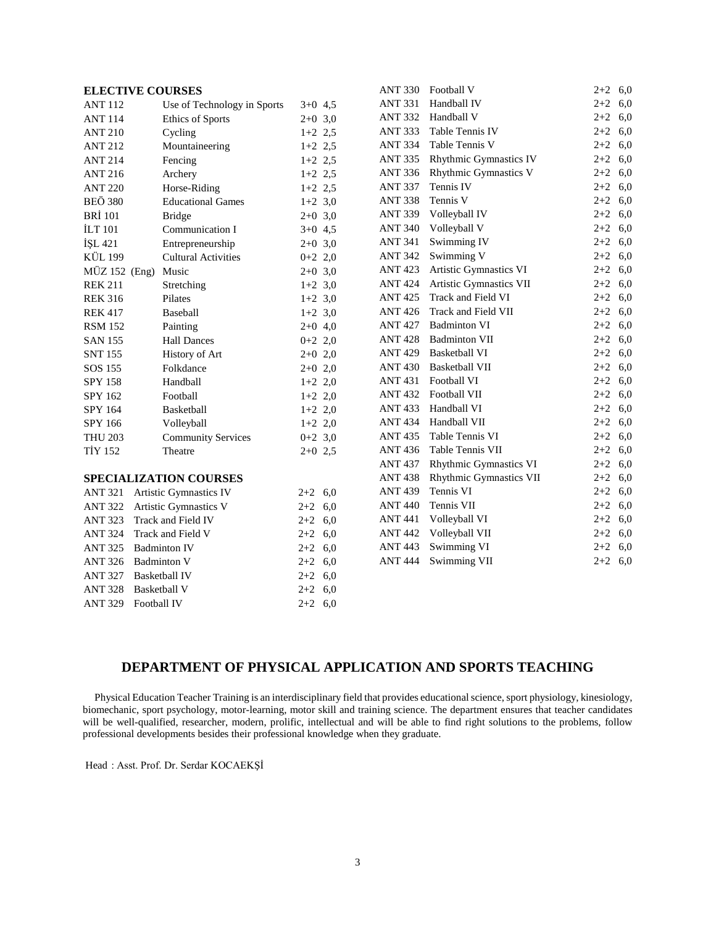## **ELECTIVE COURSES**

|                        | <b>ELECTIVE COURSES</b>       |           |     | <b>ANT 330</b> | Football V                   | $2+2$ 6,0 |     |
|------------------------|-------------------------------|-----------|-----|----------------|------------------------------|-----------|-----|
| <b>ANT 112</b>         | Use of Technology in Sports   | $3+0$ 4,5 |     | <b>ANT 331</b> | Handball IV                  | $2 + 2$   | 6,0 |
| <b>ANT 114</b>         | Ethics of Sports              | $2+0$ 3,0 |     | <b>ANT 332</b> | Handball V                   | $2 + 2$   | 6,0 |
| <b>ANT 210</b>         | Cycling                       | $1+2$ 2,5 |     | <b>ANT 333</b> | Table Tennis IV              | $2 + 2$   | 6,0 |
| <b>ANT 212</b>         | Mountaineering                | $1+2$ 2,5 |     | <b>ANT 334</b> | Table Tennis V               | $2 + 2$   | 6,0 |
| <b>ANT 214</b>         | Fencing                       | $1+2$ 2,5 |     | <b>ANT 335</b> | Rhythmic Gymnastics IV       | $2 + 2$   | 6,0 |
| <b>ANT 216</b>         | Archery                       | $1+2$ 2,5 |     | <b>ANT 336</b> | <b>Rhythmic Gymnastics V</b> | $2 + 2$   | 6,0 |
| <b>ANT 220</b>         | Horse-Riding                  | $1+2$ 2,5 |     | <b>ANT 337</b> | Tennis IV                    | $2 + 2$   | 6,0 |
| <b>BEÖ 380</b>         | <b>Educational Games</b>      | $1+2$ 3,0 |     | <b>ANT 338</b> | Tennis V                     | $2 + 2$   | 6,0 |
| <b>BRİ</b> 101         | <b>Bridge</b>                 | $2+0$ 3,0 |     | <b>ANT 339</b> | Volleyball IV                | $2 + 2$   | 6,0 |
| <b>ILT 101</b>         | Communication I               | $3+0$ 4,5 |     | <b>ANT 340</b> | Volleyball V                 | $2 + 2$   | 6,0 |
| İŞL 421                | Entrepreneurship              | $2+0$ 3,0 |     | <b>ANT 341</b> | Swimming IV                  | $2 + 2$   | 6,0 |
| <b>KÜL 199</b>         | <b>Cultural Activities</b>    | $0+2$ 2,0 |     | <b>ANT 342</b> | Swimming V                   | $2 + 2$   | 6,0 |
| $M\ddot{U}Z$ 152 (Eng) | Music                         | $2+0$ 3,0 |     | <b>ANT 423</b> | Artistic Gymnastics VI       | $2 + 2$   | 6,0 |
| <b>REK 211</b>         | Stretching                    | $1+2$ 3,0 |     | <b>ANT 424</b> | Artistic Gymnastics VII      | $2 + 2$   | 6,0 |
| <b>REK 316</b>         | Pilates                       | $1+2$ 3,0 |     | <b>ANT 425</b> | Track and Field VI           | $2 + 2$   | 6,0 |
| <b>REK 417</b>         | Baseball                      | $1+2$ 3,0 |     | <b>ANT 426</b> | Track and Field VII          | $2 + 2$   | 6,0 |
| <b>RSM 152</b>         | Painting                      | $2+0$ 4,0 |     | <b>ANT 427</b> | <b>Badminton VI</b>          | $2 + 2$   | 6,0 |
| <b>SAN 155</b>         | <b>Hall Dances</b>            | $0+2$ 2,0 |     | <b>ANT428</b>  | <b>Badminton VII</b>         | $2+2$ 6,0 |     |
| <b>SNT 155</b>         | History of Art                | $2+0$ 2,0 |     | <b>ANT 429</b> | <b>Basketball VI</b>         | $2 + 2$   | 6,0 |
| SOS 155                | Folkdance                     | $2+0$ 2,0 |     | <b>ANT 430</b> | <b>Basketball VII</b>        | $2 + 2$   | 6,0 |
| SPY 158                | Handball                      | $1+2$ 2,0 |     | <b>ANT 431</b> | Football VI                  | $2 + 2$   | 6,0 |
| SPY 162                | Football                      | $1+2$ 2,0 |     | <b>ANT 432</b> | Football VII                 | $2 + 2$   | 6,0 |
| SPY 164                | Basketball                    | $1+2$ 2,0 |     | <b>ANT 433</b> | Handball VI                  | $2 + 2$   | 6,0 |
| SPY 166                | Volleyball                    | $1+2$ 2,0 |     | <b>ANT 434</b> | Handball VII                 | $2 + 2$   | 6,0 |
| <b>THU 203</b>         | <b>Community Services</b>     | $0+2$ 3,0 |     | <b>ANT435</b>  | Table Tennis VI              | $2 + 2$   | 6,0 |
| <b>TİY 152</b>         | Theatre                       | $2+0$ 2,5 |     | <b>ANT436</b>  | Table Tennis VII             | $2 + 2$   | 6,0 |
|                        |                               |           |     | <b>ANT 437</b> | Rhythmic Gymnastics VI       | $2 + 2$   | 6,0 |
|                        | <b>SPECIALIZATION COURSES</b> |           |     | <b>ANT 438</b> | Rhythmic Gymnastics VII      | $2 + 2$   | 6,0 |
| <b>ANT 321</b>         | Artistic Gymnastics IV        | $2 + 2$   | 6,0 | <b>ANT 439</b> | Tennis VI                    | $2 + 2$   | 6,0 |
| <b>ANT 322</b>         | Artistic Gymnastics V         | $2 + 2$   | 6,0 | <b>ANT 440</b> | Tennis VII                   | $2 + 2$   | 6,0 |
| <b>ANT 323</b>         | Track and Field IV            | $2 + 2$   | 6,0 | <b>ANT 441</b> | Volleyball VI                | $2 + 2$   | 6,0 |
| <b>ANT 324</b>         | Track and Field V             | $2 + 2$   | 6,0 | <b>ANT 442</b> | Volleyball VII               | $2 + 2$   | 6,0 |
| <b>ANT 325</b>         | <b>Badminton IV</b>           | $2 + 2$   | 6,0 | <b>ANT 443</b> | Swimming VI                  | $2 + 2$   | 6,0 |
| <b>ANT 326</b>         | <b>Badminton V</b>            | $2 + 2$   | 6,0 | <b>ANT 444</b> | Swimming VII                 | $2+2$ 6,0 |     |
| <b>ANT 327</b>         | <b>Basketball IV</b>          | $2 + 2$   | 6,0 |                |                              |           |     |
| <b>ANT 328</b>         | <b>Basketball V</b>           | $2 + 2$   | 6,0 |                |                              |           |     |
| <b>ANT 329</b>         | Football IV                   | $2+2$ 6,0 |     |                |                              |           |     |

# **DEPARTMENT OF PHYSICAL APPLICATION AND SPORTS TEACHING**

 Physical Education Teacher Training is an interdisciplinary field that provides educational science, sport physiology, kinesiology, biomechanic, sport psychology, motor-learning, motor skill and training science. The department ensures that teacher candidates will be well-qualified, researcher, modern, prolific, intellectual and will be able to find right solutions to the problems, follow professional developments besides their professional knowledge when they graduate.

Head : Asst. Prof. Dr. Serdar KOCAEKŞİ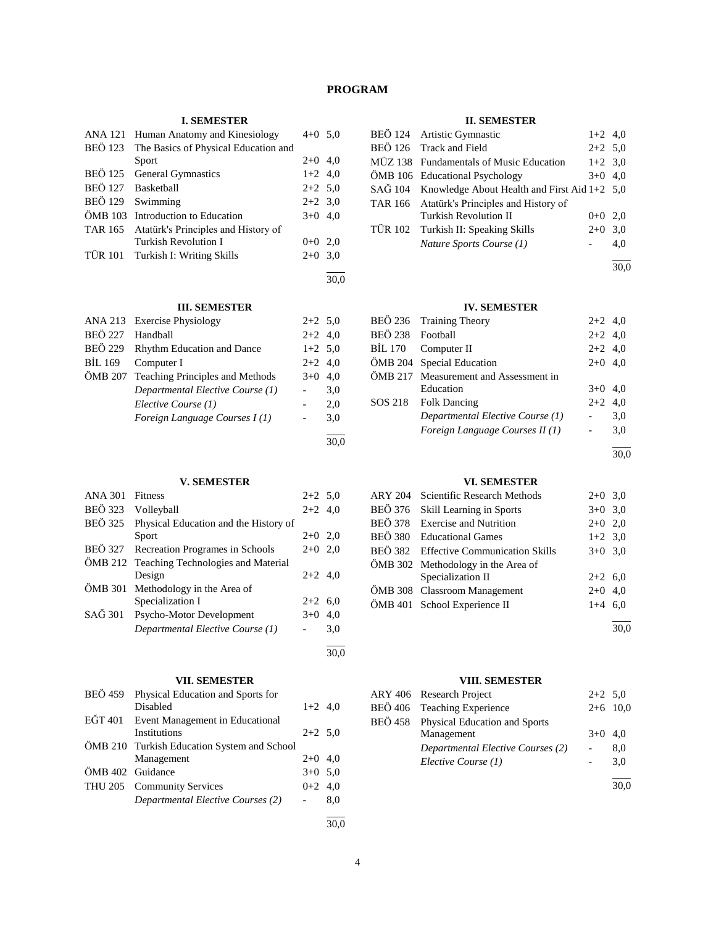## **PROGRAM**

## **I. SEMESTER**

| ANA 121        | Human Anatomy and Kinesiology        | $4+0$ 5,0 |      |
|----------------|--------------------------------------|-----------|------|
| <b>BEÖ 123</b> | The Basics of Physical Education and |           |      |
|                | Sport                                | $2+0$ 4,0 |      |
| <b>BEÖ 125</b> | <b>General Gymnastics</b>            | $1+2$ 4,0 |      |
|                | BEÖ 127 Basketball                   | $2+2$ 5.0 |      |
|                | BEÖ 129 Swimming                     | $2+2$ 3.0 |      |
|                | OMB 103 Introduction to Education    | $3+0$ 4,0 |      |
| TAR 165        | Atatürk's Principles and History of  |           |      |
|                | <b>Turkish Revolution I</b>          | $0+0$ 2,0 |      |
|                | TÜR 101 Turkish I: Writing Skills    | $2+0$ 3.0 |      |
|                |                                      |           | 30.0 |

## **III. SEMESTER**

|                                         | ANA 213 Exercise Physiology        | $2+2$ 5.0 |           |
|-----------------------------------------|------------------------------------|-----------|-----------|
| <b>BEÖ 227</b>                          | Handball                           | $2+2$ 4,0 |           |
|                                         | BEÖ 229 Rhythm Education and Dance | $1+2$ 5,0 |           |
| BIL 169                                 | Computer I                         |           | $2+2$ 4,0 |
| ÖMB 207 Teaching Principles and Methods |                                    | $3+0$     | 4.0       |
|                                         | Departmental Elective Course (1)   |           | 3,0       |
|                                         | Elective Course (1)                |           | 2,0       |
|                                         | Foreign Language Courses I(1)      |           | 3,0       |
|                                         |                                    |           |           |

## **V. SEMESTER**

| <b>ANA 301</b> | <b>Fitness</b>                             | $2+2$ 5.0 |     |
|----------------|--------------------------------------------|-----------|-----|
| <b>BEÖ</b> 323 | Volleyball                                 | $2+2$ 4,0 |     |
| <b>BEÖ 325</b> | Physical Education and the History of      |           |     |
|                | Sport                                      | $2+0$ 2,0 |     |
|                | BEÖ 327 Recreation Programes in Schools    | $2+0$ 2,0 |     |
|                | ÖMB 212 Teaching Technologies and Material |           |     |
|                | Design                                     | $2+2$ 4,0 |     |
| ÖMB 301        | Methodology in the Area of                 |           |     |
|                | Specialization I                           | $2+2$     | 6.0 |
| SAĞ 301        | Psycho-Motor Development                   | $3+0$     | 4.0 |
|                | Departmental Elective Course (1)           |           | 3,0 |
|                |                                            |           |     |

## **VII. SEMESTER**

| BEÖ 459          | Physical Education and Sports for<br>Disabled | $1+2$ 4,0 |     |
|------------------|-----------------------------------------------|-----------|-----|
| EĞT 401          | Event Management in Educational               |           |     |
|                  | <b>Institutions</b>                           | $2+2$ 5.0 |     |
|                  | ÖMB 210 Turkish Education System and School   |           |     |
|                  | Management                                    | $2+0$ 4,0 |     |
| ÖMB 402 Guidance |                                               | $3+0$ 5,0 |     |
|                  | THU 205 Community Services                    | $0+2$ 4.0 |     |
|                  | Departmental Elective Courses (2)             |           | 8,0 |
|                  |                                               |           |     |

#### 30,0

30,0

30,0

## **II. SEMESTER**

|  | BEÖ 124 Artistic Gymnastic                           | $1+2$ 4,0 |     |
|--|------------------------------------------------------|-----------|-----|
|  | BEÖ 126 Track and Field                              | $2+2$ 5,0 |     |
|  | MÜZ 138 Fundamentals of Music Education              | $1+2$ 3,0 |     |
|  | ÖMB 106 Educational Psychology                       | $3+0$ 4.0 |     |
|  | SAĞ 104 Knowledge About Health and First Aid 1+2 5,0 |           |     |
|  | TAR 166 Atatürk's Principles and History of          |           |     |
|  | <b>Turkish Revolution II</b>                         | $0+0$ 2.0 |     |
|  | TÜR 102 Turkish II: Speaking Skills                  | $2+0$ 3,0 |     |
|  | Nature Sports Course (1)                             |           | 4,0 |
|  |                                                      |           |     |

30,0

## **IV. SEMESTER**

|                  | BEÖ 236 Training Theory               | $2+2$ 4,0 |           |
|------------------|---------------------------------------|-----------|-----------|
| BEÖ 238 Football |                                       | $2+2$ 4,0 |           |
|                  | BİL 170 Computer II                   | $2+2$ 4,0 |           |
|                  | ÖMB 204 Special Education             |           | $2+0$ 4.0 |
|                  | ÖMB 217 Measurement and Assessment in |           |           |
|                  | Education                             | $3+0$ 4.0 |           |
|                  | SOS 218 Folk Dancing                  | $2+2$ 4,0 |           |
|                  | Departmental Elective Course (1)      |           | 3,0       |
|                  | Foreign Language Courses II (1)       | $\sim$    | 3,0       |
|                  |                                       |           |           |

30,0

30,0

## **VI. SEMESTER**

| <b>ARY 204</b> | Scientific Research Methods            | $2+0$ 3,0 |      |  |  |  |
|----------------|----------------------------------------|-----------|------|--|--|--|
| <b>BEÖ 376</b> | Skill Learning in Sports               | $3+0$ 3,0 |      |  |  |  |
| <b>BEÖ 378</b> | <b>Exercise and Nutrition</b>          | $2+0$ 2,0 |      |  |  |  |
| <b>BEÖ 380</b> | <b>Educational Games</b>               | $1+2$ 3,0 |      |  |  |  |
|                | BEÖ 382 Effective Communication Skills | $3+0$ 3.0 |      |  |  |  |
|                | ÖMB 302 Methodology in the Area of     |           |      |  |  |  |
|                | Specialization II                      | $2+2$ 6,0 |      |  |  |  |
|                | ÖMB 308 Classroom Management           | $2+0$ 4.0 |      |  |  |  |
|                | ÖMB 401 School Experience II           | $1+4$ 6,0 |      |  |  |  |
|                |                                        |           |      |  |  |  |
|                |                                        |           | 30.0 |  |  |  |

## **VIII. SEMESTER**

| ARY 406 Research Project              | $2+2$ 5.0 |            |
|---------------------------------------|-----------|------------|
| BEÖ 406 Teaching Experience           |           | $2+6$ 10,0 |
| BEÖ 458 Physical Education and Sports |           |            |
| Management                            | $3+0$ 4.0 |            |
| Departmental Elective Courses (2)     |           | 8.0        |
| Elective Course (1)                   |           | 3.0        |
|                                       |           |            |

4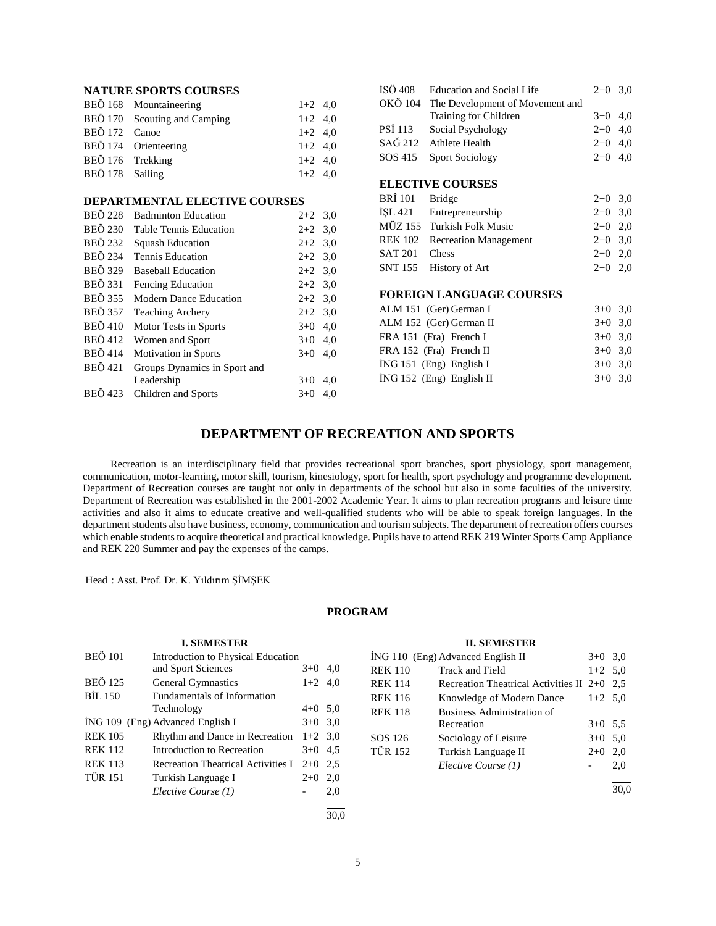|                  | <b>NATURE SPORTS COURSES</b>         |           | ÍSÖ 408.       | <b>Education and Social Life</b>        | $2+0$ 3,0 |  |
|------------------|--------------------------------------|-----------|----------------|-----------------------------------------|-----------|--|
|                  | BEÖ 168 Mountaineering               | $1+2$ 4,0 |                | OKÖ 104 The Development of Movement and |           |  |
|                  | BEÖ 170 Scouting and Camping         | $1+2$ 4,0 |                | Training for Children                   | $3+0$ 4,0 |  |
| BEÖ 172 Canoe    |                                      | $1+2$ 4,0 | <b>PSI</b> 113 | Social Psychology                       | $2+0$ 4,0 |  |
|                  | BEÖ 174 Orienteering                 | $1+2$ 4,0 |                | SAĞ 212 Athlete Health                  | $2+0$ 4,0 |  |
| BEÖ 176 Trekking |                                      | $1+2$ 4,0 | SOS 415        | <b>Sport Sociology</b>                  | $2+0$ 4,0 |  |
| BEÖ 178 Sailing  |                                      | $1+2$ 4,0 |                |                                         |           |  |
|                  |                                      |           |                | <b>ELECTIVE COURSES</b>                 |           |  |
|                  | <b>DEPARTMENTAL ELECTIVE COURSES</b> |           | BRI 101        | Bridge                                  | $2+0$ 3,0 |  |
|                  | BEÖ 228 Badminton Education          | $2+2$ 3.0 | ISL 421        | Entrepreneurship                        | $2+0$ 3,0 |  |

| <b>BEÖ 230</b> | <b>Table Tennis Education</b> | $2+2$ 3,0 |     |
|----------------|-------------------------------|-----------|-----|
| <b>BEÖ 232</b> | <b>Squash Education</b>       | $2+2$ 3.0 |     |
| <b>BEÖ 234</b> | Tennis Education              | $2+2$ 3.0 |     |
| <b>BEÖ</b> 329 | <b>Baseball Education</b>     | $2+2$ 3.0 |     |
| <b>BEÖ</b> 331 | Fencing Education             | $2+2$ 3.0 |     |
| <b>BEÖ</b> 355 | <b>Modern Dance Education</b> | $2+2$ 3.0 |     |
| <b>BEÖ</b> 357 | <b>Teaching Archery</b>       | $2+2$ 3.0 |     |
| <b>BEÖ 410</b> | Motor Tests in Sports         | $3+0$     | 4,0 |
| <b>BEÖ</b> 412 | Women and Sport               | $3+0$     | 4.0 |
| <b>BEÖ</b> 414 | Motivation in Sports          | $3+0$     | 4,0 |
| <b>BEÖ 421</b> | Groups Dynamics in Sport and  |           |     |
|                | Leadership                    | $3+0$     | 4,0 |
| <b>BEÖ</b> 423 | Children and Sports           | $3+0$     | 4.0 |

|                                 | OKÖ 104 The Development of Movement and |       |     |  |  |
|---------------------------------|-----------------------------------------|-------|-----|--|--|
|                                 | Training for Children                   | $3+0$ | 4.0 |  |  |
| <b>PSI 113</b>                  | Social Psychology                       | $2+0$ | 4,0 |  |  |
|                                 | SAĞ 212 Athlete Health                  | $2+0$ | 4,0 |  |  |
| SOS 415                         | <b>Sport Sociology</b>                  | $2+0$ | 4,0 |  |  |
|                                 |                                         |       |     |  |  |
|                                 | <b>ELECTIVE COURSES</b>                 |       |     |  |  |
| BRI 101                         | <b>Bridge</b>                           | $2+0$ | 3,0 |  |  |
|                                 | ISL 421 Entrepreneurship                | $2+0$ | 3,0 |  |  |
|                                 | MÜZ 155 Turkish Folk Music              | $2+0$ | 2,0 |  |  |
| <b>REK 102</b>                  | <b>Recreation Management</b>            | $2+0$ | 3,0 |  |  |
| <b>SAT 201</b>                  | Chess                                   | $2+0$ | 2,0 |  |  |
| <b>SNT 155</b>                  | History of Art                          | $2+0$ | 2,0 |  |  |
|                                 |                                         |       |     |  |  |
| <b>FOREIGN LANGUAGE COURSES</b> |                                         |       |     |  |  |

| ALM 151 (Ger) German I    | $3+0$ 3.0 |  |
|---------------------------|-----------|--|
| ALM 152 (Ger) German II   | $3+0$ 3.0 |  |
| FRA 151 (Fra) French I    | $3+0$ 3.0 |  |
| FRA 152 (Fra) French II   | $3+0$ 3.0 |  |
| $ING 151$ (Eng) English I | $3+0$ 3.0 |  |
| ING 152 (Eng) English II  | $3+0$ 3.0 |  |

# **DEPARTMENT OF RECREATION AND SPORTS**

 Recreation is an interdisciplinary field that provides recreational sport branches, sport physiology, sport management, communication, motor-learning, motor skill, tourism, kinesiology, sport for health, sport psychology and programme development. Department of Recreation courses are taught not only in departments of the school but also in some faculties of the university. Department of Recreation was established in the 2001-2002 Academic Year. It aims to plan recreation programs and leisure time activities and also it aims to educate creative and well-qualified students who will be able to speak foreign languages. In the department students also have business, economy, communication and tourism subjects. The department of recreation offers courses which enable students to acquire theoretical and practical knowledge. Pupils have to attend REK 219 Winter Sports Camp Appliance and REK 220 Summer and pay the expenses of the camps.

Head : Asst. Prof. Dr. K. Yıldırım ŞİMŞEK

## **PROGRAM**

## **I. SEMESTER**

| <b>BEÖ 101</b> | <b>Introduction to Physical Education</b> |           |     |
|----------------|-------------------------------------------|-----------|-----|
|                | and Sport Sciences                        | $3+0$     | 4,0 |
| <b>BEÖ 125</b> | <b>General Gymnastics</b>                 | $1+2$ 4,0 |     |
| <b>BIL 150</b> | <b>Fundamentals of Information</b>        |           |     |
|                | Technology                                | $4+0$ 5.0 |     |
|                | ING 109 (Eng) Advanced English I          | $3+0$ 3.0 |     |
| <b>REK 105</b> | Rhythm and Dance in Recreation            | $1+2$ 3.0 |     |
| <b>REK 112</b> | Introduction to Recreation                | $3+0$ 4.5 |     |
| <b>REK 113</b> | Recreation Theatrical Activities I        | $2+0$     | 2.5 |
| <b>TÜR 151</b> | Turkish Language I                        | $2+0$     | 2,0 |
|                | Elective Course (1)                       |           | 2,0 |
|                |                                           |           |     |

## **II. SEMESTER**

|                | ING 110 (Eng) Advanced English II             | $3+0$ 3.0 |      |
|----------------|-----------------------------------------------|-----------|------|
| <b>REK 110</b> | Track and Field                               | $1+2$ 5,0 |      |
| <b>REK 114</b> | Recreation Theatrical Activities II $2+0$ 2.5 |           |      |
| <b>REK 116</b> | Knowledge of Modern Dance                     | $1+2$ 5,0 |      |
| <b>REK 118</b> | Business Administration of                    |           |      |
|                | Recreation                                    | $3+0$ 5.5 |      |
| SOS 126        | Sociology of Leisure                          | $3+0$ 5.0 |      |
| <b>TÜR 152</b> | Turkish Language II                           | $2+0$ 2,0 |      |
|                | Elective Course (1)                           |           | 2,0  |
|                |                                               |           | 30.0 |

30,0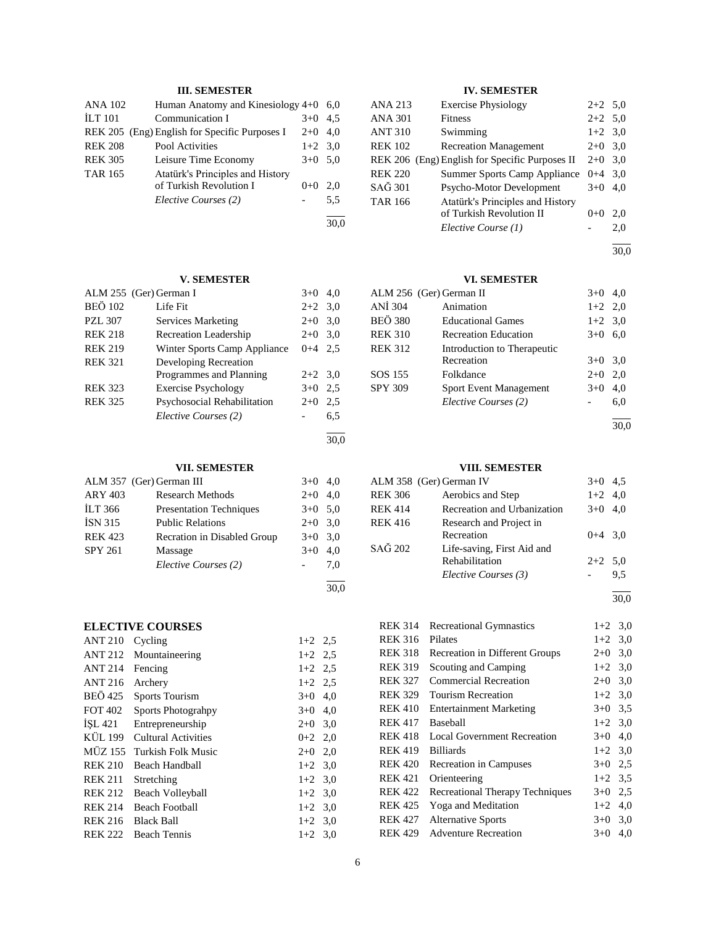## **III. SEMESTER**

| <b>ANA 102</b> | Human Anatomy and Kinesiology 4+0             |           | 6.0 |
|----------------|-----------------------------------------------|-----------|-----|
| <b>ILT 101</b> | Communication I                               | $3+0$     | 4.5 |
|                | REK 205 (Eng) English for Specific Purposes I | $2+0$     | 4.0 |
| <b>REK 208</b> | Pool Activities                               | $1+2$ 3.0 |     |
| <b>REK 305</b> | Leisure Time Economy                          | $3+0$ 5.0 |     |
| <b>TAR 165</b> | Atatürk's Principles and History              |           |     |
|                | of Turkish Revolution I                       | $0+0$     | 2.0 |
|                | Elective Courses (2)                          |           | 5,5 |
|                |                                               |           |     |

## **V. SEMESTER**

|                | ALM 255 (Ger) German I       | $3+0$     | 4.0 |
|----------------|------------------------------|-----------|-----|
| <b>BEÖ 102</b> | Life Fit                     | $2+2$ 3.0 |     |
| <b>PZL 307</b> | Services Marketing           | $2+0$     | 3,0 |
| <b>REK 218</b> | <b>Recreation Leadership</b> | $2+0$     | 3,0 |
| <b>REK 219</b> | Winter Sports Camp Appliance | $0 + 4$   | 2.5 |
| <b>REK 321</b> | Developing Recreation        |           |     |
|                | Programmes and Planning      | $2+2$ 3.0 |     |
| <b>REK 323</b> | <b>Exercise Psychology</b>   | $3+0$     | 2.5 |
| <b>REK 325</b> | Psychosocial Rehabilitation  | $2+0$     | 2,5 |
|                | Elective Courses (2)         |           | 6.5 |
|                |                              |           |     |

30,0

30,0

30,0

# **VII. SEMESTER**

|                | ALM 357 (Ger) German III       | $3+0$     | 4,0 |
|----------------|--------------------------------|-----------|-----|
| <b>ARY 403</b> | <b>Research Methods</b>        | $2+0$     | 4.0 |
| <b>ILT 366</b> | <b>Presentation Techniques</b> | $3+0$ 5.0 |     |
| <b>ISN 315</b> | <b>Public Relations</b>        | $2+0$ 3.0 |     |
| <b>REK 423</b> | Recration in Disabled Group    | $3+0$ 3.0 |     |
| <b>SPY 261</b> | Massage                        | $3+0$     | 4,0 |
|                | Elective Courses (2)           |           | 7.0 |
|                |                                |           |     |

## **ELECTIVE COURSES**

| <b>ANT 210</b> | Cycling                   | $1+2$ 2.5 |     |
|----------------|---------------------------|-----------|-----|
| <b>ANT 212</b> | Mountaineering            | $1+2$ 2.5 |     |
| <b>ANT 214</b> | Fencing                   | $1+2$ 2.5 |     |
| <b>ANT 216</b> | Archery                   | $1+2$ 2.5 |     |
| BEÖ 425        | <b>Sports Tourism</b>     | $3+0$     | 4,0 |
| FOT 402        | <b>Sports Photograhpy</b> | $3+0$     | 4.0 |
| ISL 421        | Entrepreneurship          | $2+0$     | 3,0 |
| KÜL 199        | Cultural Activities       | $0+2$ 2,0 |     |
| MÜZ 155        | Turkish Folk Music        | $2+0$     | 2,0 |
| <b>REK 210</b> | Beach Handball            | $1+2$ 3,0 |     |
| <b>REK 211</b> | Stretching                | $1+2$ 3.0 |     |
| <b>REK 212</b> | Beach Volleyball          | $1+2$ 3,0 |     |
| <b>REK 214</b> | <b>Beach Football</b>     | $1+2$ 3,0 |     |
| REK 216        | <b>Black Ball</b>         | $1+2$ 3.0 |     |
| <b>REK 222</b> | <b>Beach Tennis</b>       | $1+2$ 3.0 |     |

## **IV. SEMESTER**

| ANA 213        | <b>Exercise Physiology</b>                     | $2+2$ 5.0 |     |
|----------------|------------------------------------------------|-----------|-----|
| ANA 301        | <b>Fitness</b>                                 | $2+2$ 5.0 |     |
| <b>ANT 310</b> | Swimming                                       | $1+2$ 3,0 |     |
| <b>REK 102</b> | <b>Recreation Management</b>                   | $2+0$ 3,0 |     |
|                | REK 206 (Eng) English for Specific Purposes II | $2+0$ 3.0 |     |
| <b>REK 220</b> | Summer Sports Camp Appliance $0+4$ 3,0         |           |     |
| SAĞ 301        | Psycho-Motor Development                       | $3+0$     | 4.0 |
| <b>TAR 166</b> | Atatürk's Principles and History               |           |     |
|                | of Turkish Revolution II                       | $0 + 0$   | 2.0 |
|                | Elective Course (1)                            |           | 2,0 |

l 30,0

## **VI. SEMESTER**

|                | ALM 256 (Ger) German II       | $3+0$     | 4,0 |
|----------------|-------------------------------|-----------|-----|
| <b>ANİ</b> 304 | Animation                     | $1+2$ 2,0 |     |
| <b>BEÖ 380</b> | <b>Educational Games</b>      | $1+2$ 3,0 |     |
| <b>REK 310</b> | <b>Recreation Education</b>   | $3+0$     | 6,0 |
| <b>REK 312</b> | Introduction to Therapeutic   |           |     |
|                | Recreation                    | $3+0$ 3.0 |     |
| SOS 155        | Folkdance                     | $2+0$     | 2.0 |
| <b>SPY 309</b> | <b>Sport Event Management</b> | $3+0$     | 4.0 |
|                | Elective Courses (2)          |           | 6,0 |
|                |                               |           |     |

30,0

## **VIII. SEMESTER**

|                | ALM 358 (Ger) German IV                      | $3+0$     | 4.5 |
|----------------|----------------------------------------------|-----------|-----|
| <b>REK 306</b> | Aerobics and Step                            | $1+2$ 4,0 |     |
| <b>REK 414</b> | Recreation and Urbanization                  | $3+0$     | 4.0 |
| <b>REK 416</b> | Research and Project in<br>Recreation        | $0+4$ 3.0 |     |
| SAĞ 202        | Life-saving, First Aid and<br>Rehabilitation | $2+2$ 5,0 |     |
|                | Elective Courses (3)                         |           | 9.5 |
|                |                                              |           |     |

30,0

| <b>REK 314</b> | <b>Recreational Gymnastics</b>         | $1+2$ 3,0 |     |
|----------------|----------------------------------------|-----------|-----|
| <b>REK 316</b> | Pilates                                | $1+2$ 3.0 |     |
| <b>REK 318</b> | Recreation in Different Groups         | $2+0$     | 3,0 |
| <b>REK 319</b> | Scouting and Camping                   | $1+2$     | 3,0 |
| <b>REK 327</b> | <b>Commercial Recreation</b>           | $2+0$     | 3,0 |
| <b>REK 329</b> | <b>Tourism Recreation</b>              | $1+2$ 3.0 |     |
| <b>REK 410</b> | <b>Entertainment Marketing</b>         | $3+0$     | 3.5 |
| <b>REK 417</b> | Baseball                               | $1+2$ 3,0 |     |
| <b>REK 418</b> | <b>Local Government Recreation</b>     | $3+0$     | 4,0 |
| <b>REK 419</b> | <b>Billiards</b>                       | $1+2$ 3.0 |     |
| <b>REK 420</b> | <b>Recreation in Campuses</b>          | $3+0$ 2.5 |     |
| <b>REK 421</b> | Orienteering                           | $1+2$ 3.5 |     |
| <b>REK 422</b> | <b>Recreational Therapy Techniques</b> | $3+0$     | 2.5 |
| <b>REK 425</b> | Yoga and Meditation                    | $1+2$     | 4,0 |
| <b>REK 427</b> | <b>Alternative Sports</b>              | $3+0$     | 3,0 |
| <b>REK 429</b> | <b>Adventure Recreation</b>            | $3+0$     | 4,0 |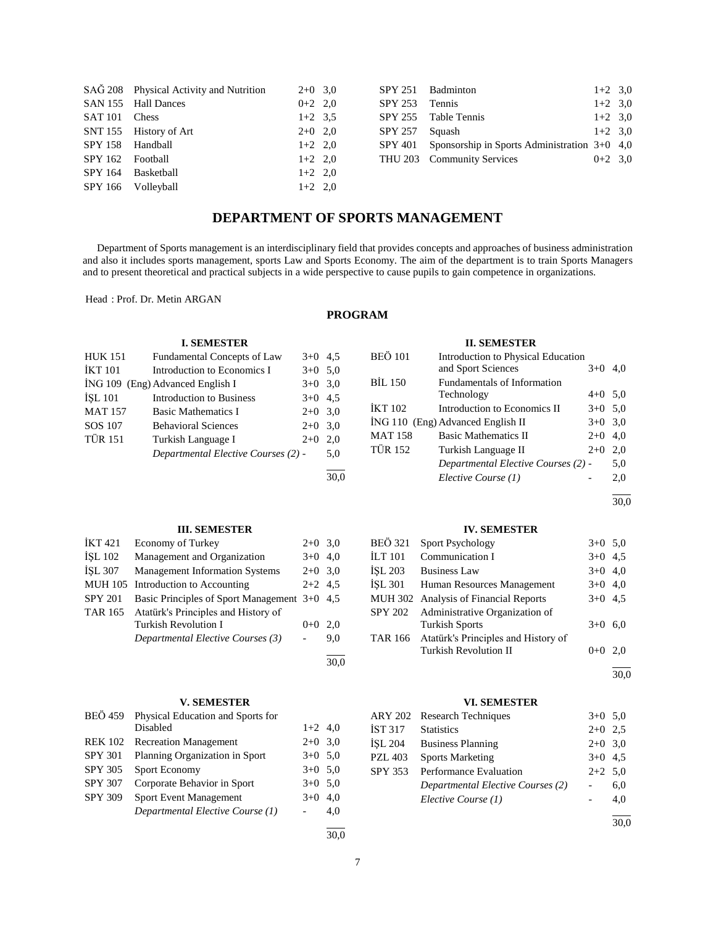|                          | SAĞ 208 Physical Activity and Nutrition | $2+0$ 3.0 |  |
|--------------------------|-----------------------------------------|-----------|--|
|                          | SAN 155 Hall Dances                     | $0+2$ 2,0 |  |
| SAT <sub>101</sub> Chess |                                         | $1+2$ 3.5 |  |
|                          | SNT 155 History of Art                  | $2+0$ 2.0 |  |
| SPY 158 Handball         |                                         | $1+2$ 2.0 |  |
| SPY 162 Football         |                                         | $1+2$ 2.0 |  |
|                          | SPY 164 Basketball                      | $1+2$ 2.0 |  |
|                          | SPY 166 Volleyball                      | $1+2$ 2,0 |  |

|                | SPY 251 Badminton                                        | $1+2$ 3.0 |  |
|----------------|----------------------------------------------------------|-----------|--|
| SPY 253 Tennis |                                                          | $1+2$ 3.0 |  |
|                | SPY 255 Table Tennis                                     | $1+2$ 3.0 |  |
| SPY 257 Squash |                                                          | $1+2$ 3.0 |  |
|                | $SPY 401$ Sponsorship in Sports Administration $3+0$ 4,0 |           |  |
|                | THU 203 Community Services                               | $0+2$ 3.0 |  |
|                |                                                          |           |  |

# **DEPARTMENT OF SPORTS MANAGEMENT**

 Department of Sports management is an interdisciplinary field that provides concepts and approaches of business administration and also it includes sports management, sports Law and Sports Economy. The aim of the department is to train Sports Managers and to present theoretical and practical subjects in a wide perspective to cause pupils to gain competence in organizations.

Head : Prof. Dr. Metin ARGAN

## **PROGRAM**

l 30,0

30,0

# BEÖ 101 Introduction to Physical Education<br>and Sport Sciences 3+0 4,0 and Sport Sciences BİL 150 Fundamentals of Information

**II. SEMESTER**

|         | Technology                          | $4+0$ 5,0 |     |
|---------|-------------------------------------|-----------|-----|
| İKT 102 | Introduction to Economics II        | $3+0$ 5.0 |     |
|         | İNG 110 (Eng) Advanced English II   | $3+0$ 3,0 |     |
| MAT 158 | <b>Basic Mathematics II</b>         | $2+0$ 4,0 |     |
| TÜR 152 | Turkish Language II                 | $2+0$     | 2.0 |
|         | Departmental Elective Courses (2) - |           | 5,0 |
|         | Elective Course (1)                 |           | 2,0 |
|         |                                     |           |     |

30,0

## **III. SEMESTER**

*Departmental Elective Courses (2)* - 5,0

**I. SEMESTER** HUK 151 Fundamental Concepts of Law 3+0 4,5  $IKT 101$  Introduction to Economics I  $3+0$  5,0  $i$ NG 109 (Eng) Advanced English I  $3+0$  3,0 İŞL 101 Introduction to Business 3+0 4,5 MAT 157 Basic Mathematics I 2+0 3,0 SOS 107 Behavioral Sciences 2+0 3,0 TÜR 151 Turkish Language I 2+0 2,0

| <b>IKT</b> 421 | <b>Economy of Turkey</b>                     | $2+0$ 3.0 |     |
|----------------|----------------------------------------------|-----------|-----|
| ISL 102        | Management and Organization                  | $3+0$ 4.0 |     |
| <b>İSL 307</b> | <b>Management Information Systems</b>        | $2+0$ 3.0 |     |
|                | MUH 105 Introduction to Accounting           | $2+2$ 4.5 |     |
| <b>SPY 201</b> | Basic Principles of Sport Management 3+0 4,5 |           |     |
| TAR 165        | Atatürk's Principles and History of          |           |     |
|                | <b>Turkish Revolution I</b>                  | $0 + 0$   | 2.0 |
|                | Departmental Elective Courses (3)            |           | 9.0 |
|                |                                              |           |     |

## **V. SEMESTER**

| <b>BEÖ</b> 459 | Physical Education and Sports for |           |     |
|----------------|-----------------------------------|-----------|-----|
|                | Disabled                          | $1+2$ 4,0 |     |
| <b>REK 102</b> | <b>Recreation Management</b>      | $2+0$ 3.0 |     |
| <b>SPY 301</b> | Planning Organization in Sport    | $3+0$ 5.0 |     |
| SPY 305        | Sport Economy                     | $3+0$ 5.0 |     |
| <b>SPY 307</b> | Corporate Behavior in Sport       | $3+0$ 5.0 |     |
| <b>SPY 309</b> | <b>Sport Event Management</b>     | $3+0$     | 4.0 |
|                | Departmental Elective Course (1)  |           | 4.0 |
|                |                                   |           |     |

## **IV. SEMESTER**

| BEÖ 321 | Sport Psychology                                                    | $3+0$ 5.0 |     |
|---------|---------------------------------------------------------------------|-----------|-----|
| İLT 101 | Communication I                                                     | $3+0$ 4.5 |     |
| İSL 203 | <b>Business Law</b>                                                 | $3+0$ 4,0 |     |
| İSL 301 | Human Resources Management                                          | $3+0$ 4,0 |     |
|         | MUH 302 Analysis of Financial Reports                               | $3+0$ 4.5 |     |
|         | SPY 202 Administrative Organization of<br><b>Turkish Sports</b>     | $3+0$     | 6.0 |
| TAR 166 | Atatürk's Principles and History of<br><b>Turkish Revolution II</b> | $0 + 0$   | 2.0 |
|         |                                                                     |           |     |

30,0

## **VI. SEMESTER**

|         | ARY 202 Research Techniques       | $3+0$ 5.0 |     |
|---------|-----------------------------------|-----------|-----|
| İST 317 | <b>Statistics</b>                 | $2+0$ 2.5 |     |
| İSL 204 | <b>Business Planning</b>          | $2+0$ 3.0 |     |
| PZL 403 | <b>Sports Marketing</b>           | $3+0$ 4.5 |     |
| SPY 353 | Performance Evaluation            | $2+2$ 5,0 |     |
|         | Departmental Elective Courses (2) |           | 6,0 |
|         | Elective Course (1)               |           | 4.0 |
|         |                                   |           |     |

30,0

 $\frac{1}{30.0}$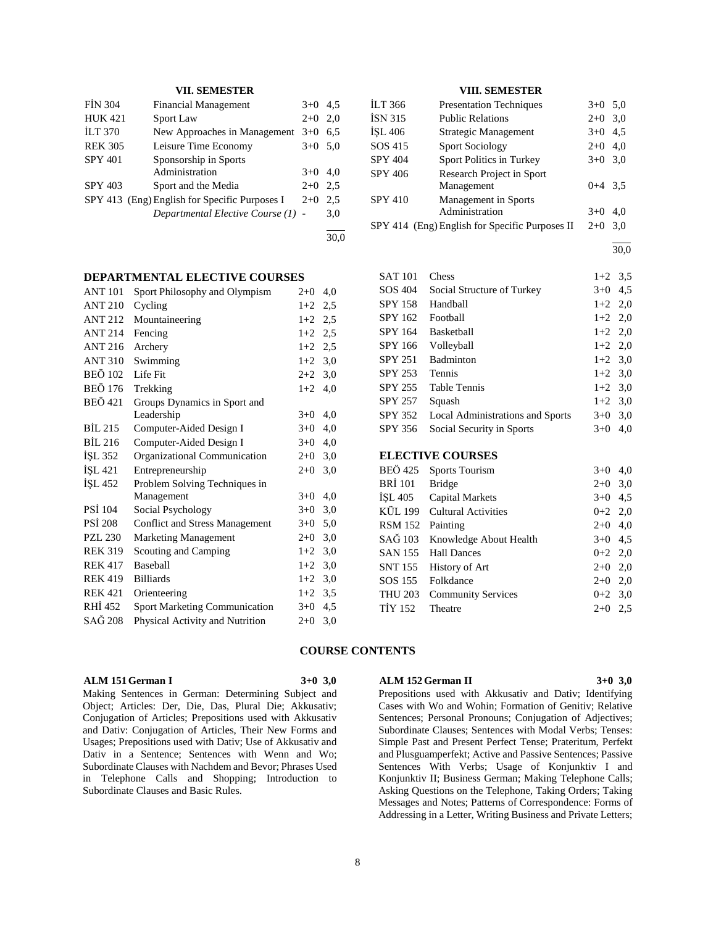## **VII. SEMESTER**

| <b>FIN 304</b> | <b>Financial Management</b>                   | $3+0$ 4.5 |     |
|----------------|-----------------------------------------------|-----------|-----|
| <b>HUK 421</b> | <b>Sport Law</b>                              | $2+0$     | 2.0 |
| <b>ILT 370</b> | New Approaches in Management                  | $3+0$     | 6.5 |
| <b>REK 305</b> | Leisure Time Economy                          | $3+0$ 5.0 |     |
| <b>SPY 401</b> | Sponsorship in Sports                         |           |     |
|                | Administration                                | $3+0$     | 4.0 |
| <b>SPY 403</b> | Sport and the Media                           | $2+0$     | 2.5 |
|                | SPY 413 (Eng) English for Specific Purposes I | $2+0$     | 2.5 |
|                | Departmental Elective Course (1) -            |           | 3,0 |
|                |                                               |           |     |

## **DEPARTMENTAL ELECTIVE COURSES**

| <b>ANT 101</b> | Sport Philosophy and Olympism         | $2+0$ | 4,0 |
|----------------|---------------------------------------|-------|-----|
| <b>ANT 210</b> | Cycling                               | $1+2$ | 2,5 |
| <b>ANT 212</b> | Mountaineering                        | $1+2$ | 2,5 |
| <b>ANT 214</b> | Fencing                               | $1+2$ | 2,5 |
| <b>ANT 216</b> | Archery                               | $1+2$ | 2,5 |
| <b>ANT 310</b> | Swimming                              | $1+2$ | 3,0 |
| <b>BEÖ 102</b> | Life Fit                              | $2+2$ | 3,0 |
| <b>BEÖ 176</b> | Trekking                              | $1+2$ | 4,0 |
| <b>BEÖ</b> 421 | Groups Dynamics in Sport and          |       |     |
|                | Leadership                            | $3+0$ | 4,0 |
| BIL 215        | Computer-Aided Design I               | $3+0$ | 4,0 |
| <b>BİL 216</b> | Computer-Aided Design I               | $3+0$ | 4,0 |
| ISL 352        | Organizational Communication          | $2+0$ | 3,0 |
| İŞL 421        | Entrepreneurship                      | $2+0$ | 3,0 |
| ISL 452        | Problem Solving Techniques in         |       |     |
|                | Management                            | $3+0$ | 4,0 |
| <b>PSI</b> 104 | Social Psychology                     | $3+0$ | 3,0 |
| <b>PSI 208</b> | <b>Conflict and Stress Management</b> | $3+0$ | 5,0 |
| <b>PZL 230</b> | <b>Marketing Management</b>           | $2+0$ | 3,0 |
| <b>REK 319</b> | Scouting and Camping                  | $1+2$ | 3,0 |
| <b>REK 417</b> | Baseball                              | $1+2$ | 3,0 |
| <b>REK 419</b> | <b>Billiards</b>                      | $1+2$ | 3,0 |
| <b>REK 421</b> | Orienteering                          | $1+2$ | 3,5 |
| RHI 452        | <b>Sport Marketing Communication</b>  | $3+0$ | 4,5 |
| SAĞ 208        | Physical Activity and Nutrition       | $2+0$ | 3,0 |

## **VIII. SEMESTER**

| İLT 366        | <b>Presentation Techniques</b>                 | $3+0$     | 5,0 |
|----------------|------------------------------------------------|-----------|-----|
| İSN 315        | <b>Public Relations</b>                        | $2+0$     | 3,0 |
| İŞL 406        | Strategic Management                           | $3+0$     | 4,5 |
| SOS 415        | <b>Sport Sociology</b>                         | $2+0$     | 4,0 |
| <b>SPY 404</b> | Sport Politics in Turkey                       | $3+0$ 3.0 |     |
| SPY 406        | Research Project in Sport                      |           |     |
|                | Management                                     | $0+4$ 3.5 |     |
| <b>SPY 410</b> | Management in Sports                           |           |     |
|                | Administration                                 | $3+0$     | 4.0 |
|                | SPY 414 (Eng) English for Specific Purposes II | $2+0$     | 3.0 |

l 30,0

| <b>SAT 101</b> | Chess                            | $1+2$ 3.5 |     |
|----------------|----------------------------------|-----------|-----|
| SOS 404        | Social Structure of Turkey       | $3+0$ 4.5 |     |
| <b>SPY 158</b> | Handball                         | $1+2$ 2.0 |     |
| SPY 162        | Football                         | $1+2$ 2,0 |     |
| <b>SPY 164</b> | <b>Basketball</b>                | $1+2$ 2,0 |     |
| SPY 166        | Volleyball                       | $1+2$ 2,0 |     |
| SPY 251        | Badminton                        | $1+2$ 3.0 |     |
| <b>SPY 253</b> | <b>Tennis</b>                    | $1+2$ 3.0 |     |
| SPY 255        | <b>Table Tennis</b>              | $1+2$ 3.0 |     |
| <b>SPY 257</b> | Squash                           | $1+2$ 3.0 |     |
| SPY 352        | Local Administrations and Sports | $3+0$     | 3,0 |
| SPY 356        | Social Security in Sports        | $3+0$     | 4,0 |
|                |                                  |           |     |
|                | <b>ELECTIVE COURSES</b>          |           |     |

| BEÖ 425 Sports Tourism<br>$3+0$             | 4.0 |
|---------------------------------------------|-----|
| BRİ 101 Bridge<br>$2+0$ 3,0                 |     |
| ISL 405 Capital Markets<br>$3+0$ 4.5        |     |
| KÜL 199 Cultural Activities<br>$0+2$ 2,0    |     |
| RSM 152 Painting<br>$2+0$ 4,0               |     |
| SAĞ 103 Knowledge About Health<br>$3+0$ 4.5 |     |
| $0+2$ 2,0<br>SAN 155 Hall Dances            |     |
| SNT 155 History of Art<br>$2+0$ 2,0         |     |
| SOS 155 Folkdance<br>$2+0$ 2,0              |     |
| THU 203 Community Services<br>$0+2$ 3.0     |     |
| <b>TIY 152</b><br>Theatre<br>$2+0$          | 2.5 |

#### **COURSE CONTENTS**

## **ALM 151 German I 3+0 3,0**

Making Sentences in German: Determining Subject and Object; Articles: Der, Die, Das, Plural Die; Akkusativ; Conjugation of Articles; Prepositions used with Akkusativ and Dativ: Conjugation of Articles, Their New Forms and Usages; Prepositions used with Dativ; Use of Akkusativ and Dativ in a Sentence; Sentences with Wenn and Wo; Subordinate Clauses with Nachdem and Bevor; Phrases Used in Telephone Calls and Shopping; Introduction to Subordinate Clauses and Basic Rules.

## **ALM 152 German II 3+0 3,0**

Prepositions used with Akkusativ and Dativ; Identifying Cases with Wo and Wohin; Formation of Genitiv; Relative Sentences; Personal Pronouns; Conjugation of Adjectives; Subordinate Clauses; Sentences with Modal Verbs; Tenses: Simple Past and Present Perfect Tense; Prateritum, Perfekt and Plusguamperfekt; Active and Passive Sentences; Passive Sentences With Verbs; Usage of Konjunktiv I and Konjunktiv II; Business German; Making Telephone Calls; Asking Questions on the Telephone, Taking Orders; Taking Messages and Notes; Patterns of Correspondence: Forms of Addressing in a Letter, Writing Business and Private Letters;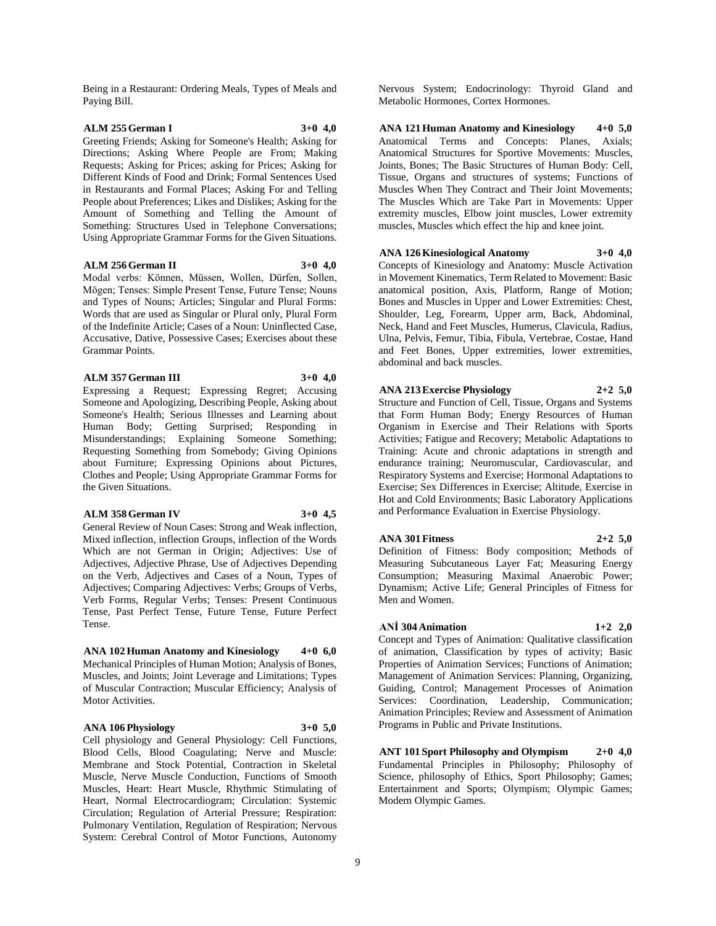Being in a Restaurant: Ordering Meals, Types of Meals and Paying Bill.

## **ALM 255 German I 3+0 4,0**

Greeting Friends; Asking for Someone's Health; Asking for Directions; Asking Where People are From; Making Requests; Asking for Prices; asking for Prices; Asking for Different Kinds of Food and Drink; Formal Sentences Used in Restaurants and Formal Places; Asking For and Telling People about Preferences; Likes and Dislikes; Asking for the Amount of Something and Telling the Amount of Something: Structures Used in Telephone Conversations; Using Appropriate Grammar Forms for the Given Situations.

## **ALM 256 German II 3+0 4,0**

Modal verbs: Können, Müssen, Wollen, Dürfen, Sollen, Mögen; Tenses: Simple Present Tense, Future Tense; Nouns and Types of Nouns; Articles; Singular and Plural Forms: Words that are used as Singular or Plural only, Plural Form of the Indefinite Article; Cases of a Noun: Uninflected Case, Accusative, Dative, Possessive Cases; Exercises about these Grammar Points.

#### **ALM 357 German III 3+0 4,0**

Expressing a Request; Expressing Regret; Accusing Someone and Apologizing, Describing People, Asking about Someone's Health; Serious Illnesses and Learning about Human Body; Getting Surprised; Responding in Misunderstandings; Explaining Someone Something; Requesting Something from Somebody; Giving Opinions about Furniture; Expressing Opinions about Pictures, Clothes and People; Using Appropriate Grammar Forms for

## **ALM 358 German IV 3+0 4,5**

the Given Situations.

General Review of Noun Cases: Strong and Weak inflection, Mixed inflection, inflection Groups, inflection of the Words Which are not German in Origin; Adjectives: Use of Adjectives, Adjective Phrase, Use of Adjectives Depending on the Verb, Adjectives and Cases of a Noun, Types of Adjectives; Comparing Adjectives: Verbs; Groups of Verbs, Verb Forms, Regular Verbs; Tenses: Present Continuous Tense, Past Perfect Tense, Future Tense, Future Perfect Tense.

**ANA 102 Human Anatomy and Kinesiology 4+0 6,0** Mechanical Principles of Human Motion; Analysis of Bones, Muscles, and Joints; Joint Leverage and Limitations; Types of Muscular Contraction; Muscular Efficiency; Analysis of Motor Activities.

#### **ANA 106 Physiology 3+0 5,0**

Cell physiology and General Physiology: Cell Functions, Blood Cells, Blood Coagulating; Nerve and Muscle: Membrane and Stock Potential, Contraction in Skeletal Muscle, Nerve Muscle Conduction, Functions of Smooth Muscles, Heart: Heart Muscle, Rhythmic Stimulating of Heart, Normal Electrocardiogram; Circulation: Systemic Circulation; Regulation of Arterial Pressure; Respiration: Pulmonary Ventilation, Regulation of Respiration; Nervous System: Cerebral Control of Motor Functions, Autonomy

Nervous System; Endocrinology: Thyroid Gland and Metabolic Hormones, Cortex Hormones.

**ANA 121 Human Anatomy and Kinesiology 4+0 5,0** Anatomical Terms and Concepts: Planes, Axials; Anatomical Structures for Sportive Movements: Muscles, Joints, Bones; The Basic Structures of Human Body: Cell, Tissue, Organs and structures of systems; Functions of Muscles When They Contract and Their Joint Movements; The Muscles Which are Take Part in Movements: Upper extremity muscles, Elbow joint muscles, Lower extremity muscles, Muscles which effect the hip and knee joint.

## **ANA 126 Kinesiological Anatomy 3+0 4,0**

Concepts of Kinesiology and Anatomy: Muscle Activation in Movement Kinematics, Term Related to Movement: Basic anatomical position, Axis, Platform, Range of Motion; Bones and Muscles in Upper and Lower Extremities: Chest, Shoulder, Leg, Forearm, Upper arm, Back, Abdominal, Neck, Hand and Feet Muscles, Humerus, Clavicula, Radius, Ulna, Pelvis, Femur, Tibia, Fibula, Vertebrae, Costae, Hand and Feet Bones, Upper extremities, lower extremities, abdominal and back muscles.

## **ANA 213 Exercise Physiology 2+2 5,0**

Structure and Function of Cell, Tissue, Organs and Systems that Form Human Body; Energy Resources of Human Organism in Exercise and Their Relations with Sports Activities; Fatigue and Recovery; Metabolic Adaptations to Training: Acute and chronic adaptations in strength and endurance training; Neuromuscular, Cardiovascular, and Respiratory Systems and Exercise; Hormonal Adaptations to Exercise; Sex Differences in Exercise; Altitude, Exercise in Hot and Cold Environments; Basic Laboratory Applications and Performance Evaluation in Exercise Physiology.

## **ANA 301 Fitness 2+2 5,0**

Definition of Fitness: Body composition; Methods of Measuring Subcutaneous Layer Fat; Measuring Energy Consumption; Measuring Maximal Anaerobic Power; Dynamism; Active Life; General Principles of Fitness for Men and Women.

## **ANİ 304 Animation 1+2 2,0**

Concept and Types of Animation: Qualitative classification of animation, Classification by types of activity; Basic Properties of Animation Services; Functions of Animation; Management of Animation Services: Planning, Organizing, Guiding, Control; Management Processes of Animation Services: Coordination, Leadership, Communication; Animation Principles; Review and Assessment of Animation Programs in Public and Private Institutions.

**ANT 101 Sport Philosophy and Olympism 2+0 4,0** Fundamental Principles in Philosophy; Philosophy of Science, philosophy of Ethics, Sport Philosophy; Games; Entertainment and Sports; Olympism; Olympic Games; Modern Olympic Games.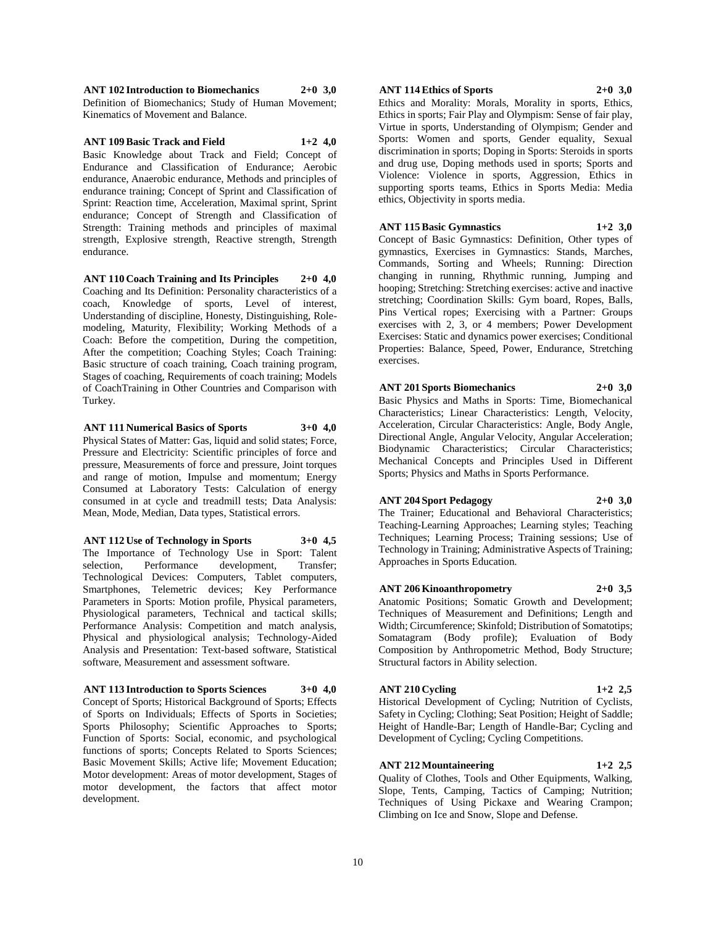**ANT 102 Introduction to Biomechanics 2+0 3,0** Definition of Biomechanics; Study of Human Movement; Kinematics of Movement and Balance.

**ANT 109 Basic Track and Field 1+2 4,0** Basic Knowledge about Track and Field; Concept of Endurance and Classification of Endurance; Aerobic endurance, Anaerobic endurance, Methods and principles of endurance training; Concept of Sprint and Classification of Sprint: Reaction time, Acceleration, Maximal sprint, Sprint endurance; Concept of Strength and Classification of Strength: Training methods and principles of maximal strength, Explosive strength, Reactive strength, Strength endurance.

**ANT 110 Coach Training and Its Principles 2+0 4,0** Coaching and Its Definition: Personality characteristics of a coach, Knowledge of sports, Level of interest, Understanding of discipline, Honesty, Distinguishing, Rolemodeling, Maturity, Flexibility; Working Methods of a Coach: Before the competition, During the competition, After the competition; Coaching Styles; Coach Training: Basic structure of coach training, Coach training program, Stages of coaching, Requirements of coach training; Models of CoachTraining in Other Countries and Comparison with Turkey.

## **ANT 111 Numerical Basics of Sports 3+0 4,0**

Physical States of Matter: Gas, liquid and solid states; Force, Pressure and Electricity: Scientific principles of force and pressure, Measurements of force and pressure, Joint torques and range of motion, Impulse and momentum; Energy Consumed at Laboratory Tests: Calculation of energy consumed in at cycle and treadmill tests; Data Analysis: Mean, Mode, Median, Data types, Statistical errors.

**ANT 112 Use of Technology in Sports 3+0 4,5** The Importance of Technology Use in Sport: Talent selection, Performance development, Transfer; Technological Devices: Computers, Tablet computers, Smartphones, Telemetric devices; Key Performance Parameters in Sports: Motion profile, Physical parameters, Physiological parameters, Technical and tactical skills; Performance Analysis: Competition and match analysis, Physical and physiological analysis; Technology-Aided Analysis and Presentation: Text-based software, Statistical software, Measurement and assessment software.

#### **ANT 113 Introduction to Sports Sciences 3+0 4,0**

Concept of Sports; Historical Background of Sports; Effects of Sports on Individuals; Effects of Sports in Societies; Sports Philosophy; Scientific Approaches to Sports; Function of Sports: Social, economic, and psychological functions of sports; Concepts Related to Sports Sciences; Basic Movement Skills; Active life; Movement Education; Motor development: Areas of motor development, Stages of motor development, the factors that affect motor development.

## **ANT 114 Ethics of Sports 2+0 3,0**

Ethics and Morality: Morals, Morality in sports, Ethics, Ethics in sports; Fair Play and Olympism: Sense of fair play, Virtue in sports, Understanding of Olympism; Gender and Sports: Women and sports, Gender equality, Sexual discrimination in sports; Doping in Sports: Steroids in sports and drug use, Doping methods used in sports; Sports and Violence: Violence in sports, Aggression, Ethics in supporting sports teams, Ethics in Sports Media: Media ethics, Objectivity in sports media.

#### **ANT 115 Basic Gymnastics 1+2 3,0**

Concept of Basic Gymnastics: Definition, Other types of gymnastics, Exercises in Gymnastics: Stands, Marches, Commands, Sorting and Wheels; Running: Direction changing in running, Rhythmic running, Jumping and hooping; Stretching: Stretching exercises: active and inactive stretching; Coordination Skills: Gym board, Ropes, Balls, Pins Vertical ropes; Exercising with a Partner: Groups exercises with 2, 3, or 4 members; Power Development Exercises: Static and dynamics power exercises; Conditional Properties: Balance, Speed, Power, Endurance, Stretching exercises.

#### **ANT 201 Sports Biomechanics 2+0 3,0**

Basic Physics and Maths in Sports: Time, Biomechanical Characteristics; Linear Characteristics: Length, Velocity, Acceleration, Circular Characteristics: Angle, Body Angle, Directional Angle, Angular Velocity, Angular Acceleration; Biodynamic Characteristics; Circular Characteristics; Mechanical Concepts and Principles Used in Different Sports; Physics and Maths in Sports Performance.

## **ANT 204 Sport Pedagogy 2+0 3,0**

The Trainer; Educational and Behavioral Characteristics; Teaching-Learning Approaches; Learning styles; Teaching Techniques; Learning Process; Training sessions; Use of Technology in Training; Administrative Aspects of Training; Approaches in Sports Education.

#### **ANT 206 Kinoanthropometry 2+0 3,5**

Anatomic Positions; Somatic Growth and Development; Techniques of Measurement and Definitions; Length and Width; Circumference; Skinfold; Distribution of Somatotips; Somatagram (Body profile); Evaluation of Body Composition by Anthropometric Method, Body Structure; Structural factors in Ability selection.

#### **ANT 210 Cycling 1+2 2,5**

Historical Development of Cycling; Nutrition of Cyclists, Safety in Cycling; Clothing; Seat Position; Height of Saddle; Height of Handle-Bar; Length of Handle-Bar; Cycling and Development of Cycling; Cycling Competitions.

## **ANT 212 Mountaineering 1+2 2,5**

Quality of Clothes, Tools and Other Equipments, Walking, Slope, Tents, Camping, Tactics of Camping; Nutrition; Techniques of Using Pickaxe and Wearing Crampon; Climbing on Ice and Snow, Slope and Defense.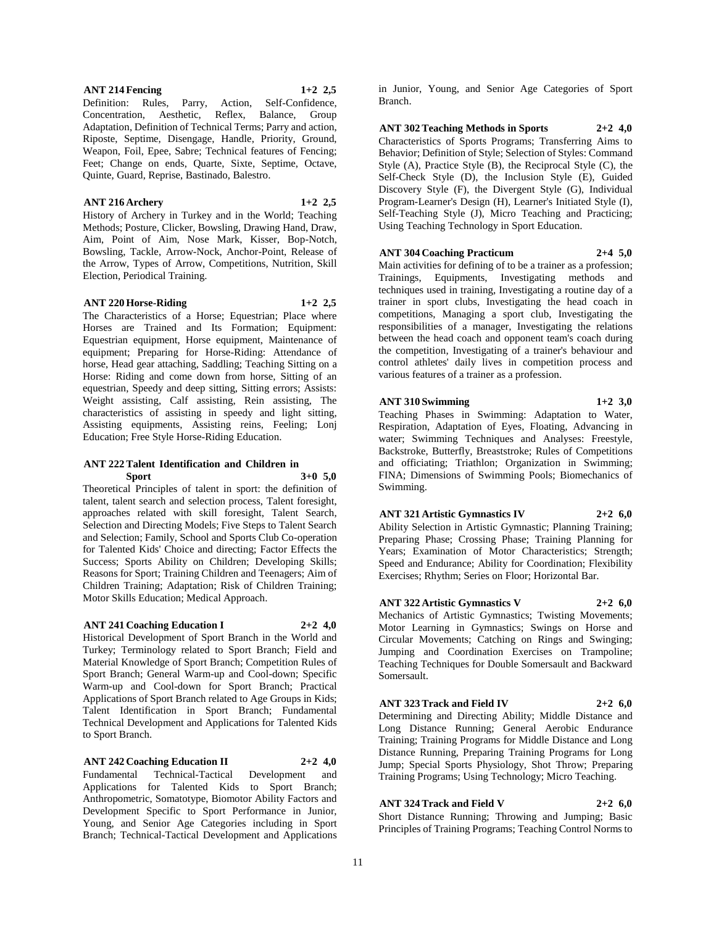## **ANT 214 Fencing 1+2 2,5**

Definition: Rules, Parry, Action, Self-Confidence, Concentration, Aesthetic, Reflex, Balance, Group Adaptation, Definition of Technical Terms; Parry and action, Riposte, Septime, Disengage, Handle, Priority, Ground, Weapon, Foil, Epee, Sabre; Technical features of Fencing; Feet; Change on ends, Quarte, Sixte, Septime, Octave, Quinte, Guard, Reprise, Bastinado, Balestro.

#### **ANT 216 Archery 1+2 2,5**

History of Archery in Turkey and in the World; Teaching Methods; Posture, Clicker, Bowsling, Drawing Hand, Draw, Aim, Point of Aim, Nose Mark, Kisser, Bop-Notch, Bowsling, Tackle, Arrow-Nock, Anchor-Point, Release of the Arrow, Types of Arrow, Competitions, Nutrition, Skill Election, Periodical Training.

## **ANT 220 Horse-Riding 1+2 2,5**

The Characteristics of a Horse; Equestrian; Place where Horses are Trained and Its Formation; Equipment: Equestrian equipment, Horse equipment, Maintenance of equipment; Preparing for Horse-Riding: Attendance of horse, Head gear attaching, Saddling; Teaching Sitting on a Horse: Riding and come down from horse, Sitting of an equestrian, Speedy and deep sitting, Sitting errors; Assists: Weight assisting, Calf assisting, Rein assisting, The characteristics of assisting in speedy and light sitting, Assisting equipments, Assisting reins, Feeling; Lonj Education; Free Style Horse-Riding Education.

## **ANT 222 Talent Identification and Children in Sport 3+0 5,0**

Theoretical Principles of talent in sport: the definition of talent, talent search and selection process, Talent foresight, approaches related with skill foresight, Talent Search, Selection and Directing Models; Five Steps to Talent Search and Selection; Family, School and Sports Club Co-operation for Talented Kids' Choice and directing; Factor Effects the Success; Sports Ability on Children; Developing Skills; Reasons for Sport; Training Children and Teenagers; Aim of Children Training; Adaptation; Risk of Children Training; Motor Skills Education; Medical Approach.

## **ANT 241 Coaching Education I 2+2 4,0**

Historical Development of Sport Branch in the World and Turkey; Terminology related to Sport Branch; Field and Material Knowledge of Sport Branch; Competition Rules of Sport Branch; General Warm-up and Cool-down; Specific Warm-up and Cool-down for Sport Branch; Practical Applications of Sport Branch related to Age Groups in Kids; Talent Identification in Sport Branch; Fundamental Technical Development and Applications for Talented Kids to Sport Branch.

## **ANT 242 Coaching Education II 2+2 4,0**

Fundamental Technical-Tactical Development and Applications for Talented Kids to Sport Branch; Anthropometric, Somatotype, Biomotor Ability Factors and Development Specific to Sport Performance in Junior, Young, and Senior Age Categories including in Sport Branch; Technical-Tactical Development and Applications

in Junior, Young, and Senior Age Categories of Sport Branch.

## **ANT 302 Teaching Methods in Sports 2+2 4,0** Characteristics of Sports Programs; Transferring Aims to Behavior; Definition of Style; Selection of Styles: Command Style (A), Practice Style (B), the Reciprocal Style (C), the Self-Check Style (D), the Inclusion Style (E), Guided Discovery Style (F), the Divergent Style (G), Individual Program-Learner's Design (H), Learner's Initiated Style (I), Self-Teaching Style (J), Micro Teaching and Practicing; Using Teaching Technology in Sport Education.

## **ANT 304 Coaching Practicum 2+4 5,0**

Main activities for defining of to be a trainer as a profession; Trainings, Equipments, Investigating methods and techniques used in training, Investigating a routine day of a trainer in sport clubs, Investigating the head coach in competitions, Managing a sport club, Investigating the responsibilities of a manager, Investigating the relations between the head coach and opponent team's coach during the competition, Investigating of a trainer's behaviour and control athletes' daily lives in competition process and various features of a trainer as a profession.

## **ANT 310 Swimming 1+2 3,0**

Teaching Phases in Swimming: Adaptation to Water, Respiration, Adaptation of Eyes, Floating, Advancing in water; Swimming Techniques and Analyses: Freestyle, Backstroke, Butterfly, Breaststroke; Rules of Competitions and officiating; Triathlon; Organization in Swimming; FINA; Dimensions of Swimming Pools; Biomechanics of Swimming.

## **ANT 321 Artistic Gymnastics IV 2+2 6,0**

Ability Selection in Artistic Gymnastic; Planning Training; Preparing Phase; Crossing Phase; Training Planning for Years; Examination of Motor Characteristics; Strength; Speed and Endurance; Ability for Coordination; Flexibility Exercises; Rhythm; Series on Floor; Horizontal Bar.

## **ANT 322 Artistic Gymnastics V 2+2 6,0**

Mechanics of Artistic Gymnastics; Twisting Movements; Motor Learning in Gymnastics; Swings on Horse and Circular Movements; Catching on Rings and Swinging; Jumping and Coordination Exercises on Trampoline; Teaching Techniques for Double Somersault and Backward Somersault.

## **ANT 323 Track and Field IV 2+2 6,0**

Determining and Directing Ability; Middle Distance and Long Distance Running; General Aerobic Endurance Training; Training Programs for Middle Distance and Long Distance Running, Preparing Training Programs for Long Jump; Special Sports Physiology, Shot Throw; Preparing Training Programs; Using Technology; Micro Teaching.

## **ANT 324 Track and Field V 2+2 6,0**

Short Distance Running; Throwing and Jumping; Basic Principles of Training Programs; Teaching Control Norms to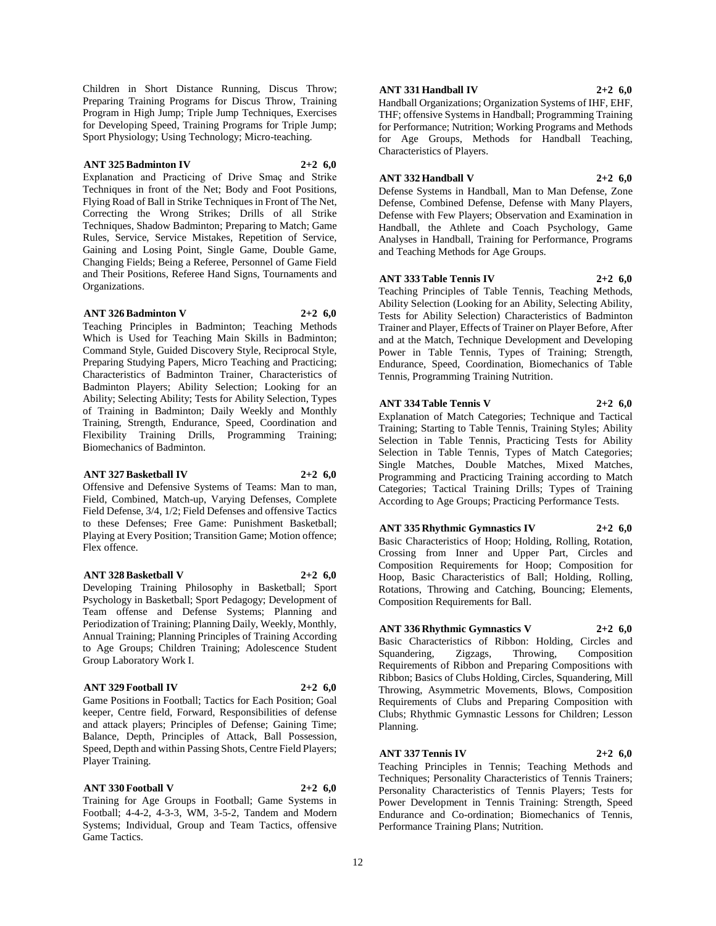Children in Short Distance Running, Discus Throw; Preparing Training Programs for Discus Throw, Training Program in High Jump; Triple Jump Techniques, Exercises for Developing Speed, Training Programs for Triple Jump; Sport Physiology; Using Technology; Micro-teaching.

## **ANT 325 Badminton IV 2+2 6,0**

Explanation and Practicing of Drive Smaç and Strike Techniques in front of the Net; Body and Foot Positions, Flying Road of Ball in Strike Techniques in Front of The Net, Correcting the Wrong Strikes; Drills of all Strike Techniques, Shadow Badminton; Preparing to Match; Game Rules, Service, Service Mistakes, Repetition of Service, Gaining and Losing Point, Single Game, Double Game, Changing Fields; Being a Referee, Personnel of Game Field and Their Positions, Referee Hand Signs, Tournaments and Organizations.

#### **ANT 326 Badminton V 2+2 6,0**

Teaching Principles in Badminton; Teaching Methods Which is Used for Teaching Main Skills in Badminton; Command Style, Guided Discovery Style, Reciprocal Style, Preparing Studying Papers, Micro Teaching and Practicing; Characteristics of Badminton Trainer, Characteristics of Badminton Players; Ability Selection; Looking for an Ability; Selecting Ability; Tests for Ability Selection, Types of Training in Badminton; Daily Weekly and Monthly Training, Strength, Endurance, Speed, Coordination and Flexibility Training Drills, Programming Training; Biomechanics of Badminton.

## **ANT 327 Basketball IV 2+2 6,0**

Offensive and Defensive Systems of Teams: Man to man, Field, Combined, Match-up, Varying Defenses, Complete Field Defense, 3/4, 1/2; Field Defenses and offensive Tactics to these Defenses; Free Game: Punishment Basketball; Playing at Every Position; Transition Game; Motion offence; Flex offence.

## **ANT 328 Basketball V 2+2 6,0**

Developing Training Philosophy in Basketball; Sport Psychology in Basketball; Sport Pedagogy; Development of Team offense and Defense Systems; Planning and Periodization of Training; Planning Daily, Weekly, Monthly, Annual Training; Planning Principles of Training According to Age Groups; Children Training; Adolescence Student Group Laboratory Work I.

## **ANT 329 Football IV 2+2 6,0**

Game Positions in Football; Tactics for Each Position; Goal keeper, Centre field, Forward, Responsibilities of defense and attack players; Principles of Defense; Gaining Time; Balance, Depth, Principles of Attack, Ball Possession, Speed, Depth and within Passing Shots, Centre Field Players; Player Training.

# **ANT 330 Football V 2+2 6,0**

Training for Age Groups in Football; Game Systems in Football; 4-4-2, 4-3-3, WM, 3-5-2, Tandem and Modern Systems; Individual, Group and Team Tactics, offensive Game Tactics.

## **ANT 331 Handball IV 2+2 6,0**

Handball Organizations; Organization Systems of IHF, EHF, THF; offensive Systems in Handball; Programming Training for Performance; Nutrition; Working Programs and Methods for Age Groups, Methods for Handball Teaching, Characteristics of Players.

## **ANT 332 Handball V 2+2 6,0**

Defense Systems in Handball, Man to Man Defense, Zone Defense, Combined Defense, Defense with Many Players, Defense with Few Players; Observation and Examination in Handball, the Athlete and Coach Psychology, Game Analyses in Handball, Training for Performance, Programs and Teaching Methods for Age Groups.

## **ANT 333 Table Tennis IV 2+2 6,0**

Teaching Principles of Table Tennis, Teaching Methods, Ability Selection (Looking for an Ability, Selecting Ability, Tests for Ability Selection) Characteristics of Badminton Trainer and Player, Effects of Trainer on Player Before, After and at the Match, Technique Development and Developing Power in Table Tennis, Types of Training; Strength, Endurance, Speed, Coordination, Biomechanics of Table Tennis, Programming Training Nutrition.

## **ANT 334 Table Tennis V 2+2 6,0**

Explanation of Match Categories; Technique and Tactical Training; Starting to Table Tennis, Training Styles; Ability Selection in Table Tennis, Practicing Tests for Ability Selection in Table Tennis, Types of Match Categories; Single Matches, Double Matches, Mixed Matches, Programming and Practicing Training according to Match Categories; Tactical Training Drills; Types of Training According to Age Groups; Practicing Performance Tests.

**ANT 335 Rhythmic Gymnastics IV 2+2 6,0**

Basic Characteristics of Hoop; Holding, Rolling, Rotation, Crossing from Inner and Upper Part, Circles and Composition Requirements for Hoop; Composition for Hoop, Basic Characteristics of Ball; Holding, Rolling, Rotations, Throwing and Catching, Bouncing; Elements, Composition Requirements for Ball.

## **ANT 336 Rhythmic Gymnastics V 2+2 6,0**

Basic Characteristics of Ribbon: Holding, Circles and Squandering, Zigzags, Throwing, Composition Requirements of Ribbon and Preparing Compositions with Ribbon; Basics of Clubs Holding, Circles, Squandering, Mill Throwing, Asymmetric Movements, Blows, Composition Requirements of Clubs and Preparing Composition with Clubs; Rhythmic Gymnastic Lessons for Children; Lesson Planning.

## **ANT 337 Tennis IV 2+2 6,0**

Teaching Principles in Tennis; Teaching Methods and Techniques; Personality Characteristics of Tennis Trainers; Personality Characteristics of Tennis Players; Tests for Power Development in Tennis Training: Strength, Speed Endurance and Co-ordination; Biomechanics of Tennis, Performance Training Plans; Nutrition.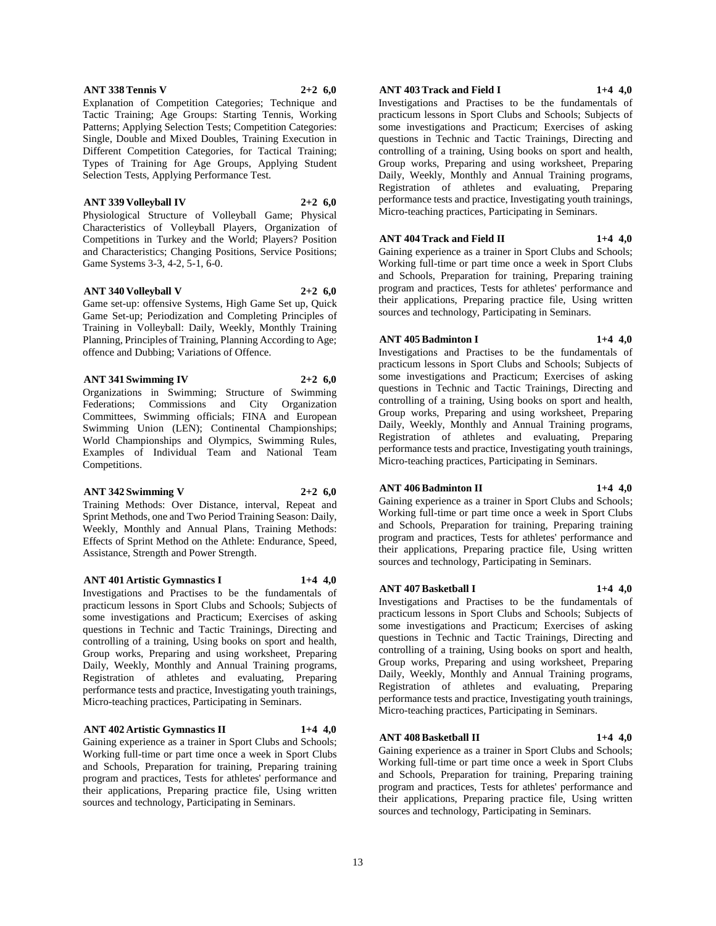## **ANT 338 Tennis V 2+2 6,0**

Explanation of Competition Categories; Technique and Tactic Training; Age Groups: Starting Tennis, Working Patterns; Applying Selection Tests; Competition Categories: Single, Double and Mixed Doubles, Training Execution in Different Competition Categories, for Tactical Training; Types of Training for Age Groups, Applying Student Selection Tests, Applying Performance Test.

#### **ANT 339 Volleyball IV 2+2 6,0**

Physiological Structure of Volleyball Game; Physical Characteristics of Volleyball Players, Organization of Competitions in Turkey and the World; Players? Position and Characteristics; Changing Positions, Service Positions; Game Systems 3-3, 4-2, 5-1, 6-0.

## **ANT 340 Volleyball V 2+2 6,0**

Game set-up: offensive Systems, High Game Set up, Quick Game Set-up; Periodization and Completing Principles of Training in Volleyball: Daily, Weekly, Monthly Training Planning, Principles of Training, Planning According to Age; offence and Dubbing; Variations of Offence.

## **ANT 341 Swimming IV 2+2 6,0**

Organizations in Swimming; Structure of Swimming Federations; Commissions and City Organization Committees, Swimming officials; FINA and European Swimming Union (LEN); Continental Championships; World Championships and Olympics, Swimming Rules, Examples of Individual Team and National Team Competitions.

## **ANT 342 Swimming V 2+2 6,0**

Training Methods: Over Distance, interval, Repeat and Sprint Methods, one and Two Period Training Season: Daily, Weekly, Monthly and Annual Plans, Training Methods: Effects of Sprint Method on the Athlete: Endurance, Speed, Assistance, Strength and Power Strength.

## **ANT 401 Artistic Gymnastics I 1+4 4,0**

Investigations and Practises to be the fundamentals of practicum lessons in Sport Clubs and Schools; Subjects of some investigations and Practicum; Exercises of asking questions in Technic and Tactic Trainings, Directing and controlling of a training, Using books on sport and health, Group works, Preparing and using worksheet, Preparing Daily, Weekly, Monthly and Annual Training programs, Registration of athletes and evaluating, Preparing performance tests and practice, Investigating youth trainings, Micro-teaching practices, Participating in Seminars.

## **ANT 402 Artistic Gymnastics II 1+4 4,0**

Gaining experience as a trainer in Sport Clubs and Schools; Working full-time or part time once a week in Sport Clubs and Schools, Preparation for training, Preparing training program and practices, Tests for athletes' performance and their applications, Preparing practice file, Using written sources and technology, Participating in Seminars.

## **ANT 403 Track and Field I 1+4 4,0**

Investigations and Practises to be the fundamentals of practicum lessons in Sport Clubs and Schools; Subjects of some investigations and Practicum; Exercises of asking questions in Technic and Tactic Trainings, Directing and controlling of a training, Using books on sport and health, Group works, Preparing and using worksheet, Preparing Daily, Weekly, Monthly and Annual Training programs, Registration of athletes and evaluating, Preparing performance tests and practice, Investigating youth trainings, Micro-teaching practices, Participating in Seminars.

## **ANT 404 Track and Field II 1+4 4,0**

Gaining experience as a trainer in Sport Clubs and Schools; Working full-time or part time once a week in Sport Clubs and Schools, Preparation for training, Preparing training program and practices, Tests for athletes' performance and their applications, Preparing practice file, Using written sources and technology, Participating in Seminars.

## **ANT 405 Badminton I 1+4 4,0**

Investigations and Practises to be the fundamentals of practicum lessons in Sport Clubs and Schools; Subjects of some investigations and Practicum; Exercises of asking questions in Technic and Tactic Trainings, Directing and controlling of a training, Using books on sport and health, Group works, Preparing and using worksheet, Preparing Daily, Weekly, Monthly and Annual Training programs, Registration of athletes and evaluating, Preparing performance tests and practice, Investigating youth trainings, Micro-teaching practices, Participating in Seminars.

## **ANT 406 Badminton II 1+4 4,0**

Gaining experience as a trainer in Sport Clubs and Schools; Working full-time or part time once a week in Sport Clubs and Schools, Preparation for training, Preparing training program and practices, Tests for athletes' performance and their applications, Preparing practice file, Using written sources and technology, Participating in Seminars.

## **ANT 407 Basketball I 1+4 4,0**

Investigations and Practises to be the fundamentals of practicum lessons in Sport Clubs and Schools; Subjects of some investigations and Practicum; Exercises of asking questions in Technic and Tactic Trainings, Directing and controlling of a training, Using books on sport and health, Group works, Preparing and using worksheet, Preparing Daily, Weekly, Monthly and Annual Training programs, Registration of athletes and evaluating, Preparing performance tests and practice, Investigating youth trainings, Micro-teaching practices, Participating in Seminars.

## **ANT 408 Basketball II 1+4 4,0**

Gaining experience as a trainer in Sport Clubs and Schools; Working full-time or part time once a week in Sport Clubs and Schools, Preparation for training, Preparing training program and practices, Tests for athletes' performance and their applications, Preparing practice file, Using written sources and technology, Participating in Seminars.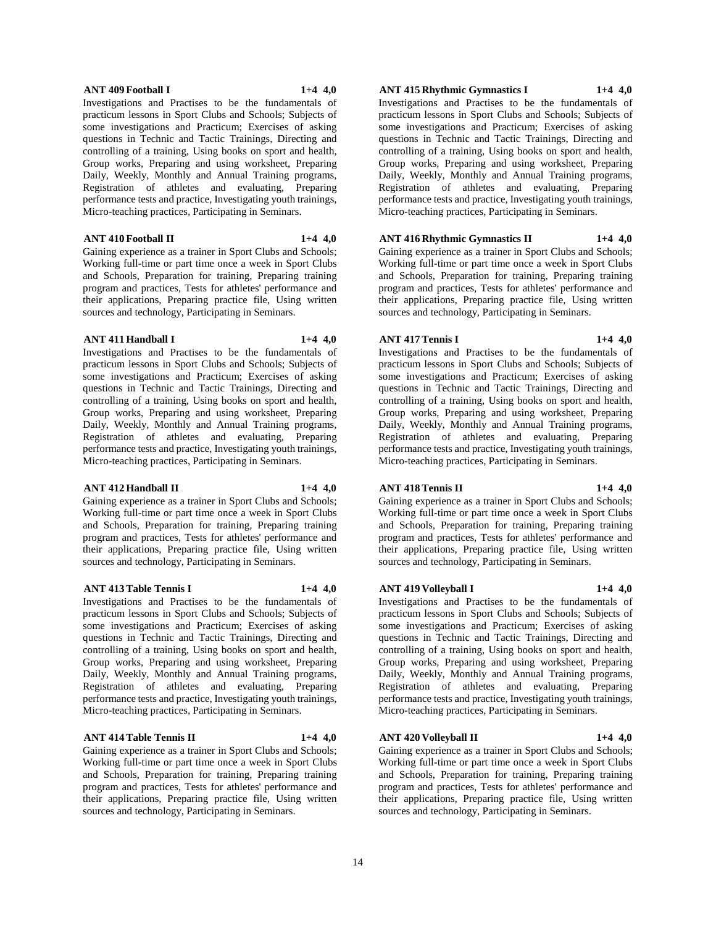## **ANT 409 Football I 1+4 4,0**

Investigations and Practises to be the fundamentals of practicum lessons in Sport Clubs and Schools; Subjects of some investigations and Practicum; Exercises of asking questions in Technic and Tactic Trainings, Directing and controlling of a training, Using books on sport and health, Group works, Preparing and using worksheet, Preparing Daily, Weekly, Monthly and Annual Training programs, Registration of athletes and evaluating, Preparing performance tests and practice, Investigating youth trainings, Micro-teaching practices, Participating in Seminars.

#### **ANT 410 Football II 1+4 4,0**

Gaining experience as a trainer in Sport Clubs and Schools; Working full-time or part time once a week in Sport Clubs and Schools, Preparation for training, Preparing training program and practices, Tests for athletes' performance and their applications, Preparing practice file, Using written sources and technology, Participating in Seminars.

## **ANT 411 Handball I 1+4 4,0**

Investigations and Practises to be the fundamentals of practicum lessons in Sport Clubs and Schools; Subjects of some investigations and Practicum; Exercises of asking questions in Technic and Tactic Trainings, Directing and controlling of a training, Using books on sport and health, Group works, Preparing and using worksheet, Preparing Daily, Weekly, Monthly and Annual Training programs, Registration of athletes and evaluating, Preparing performance tests and practice, Investigating youth trainings, Micro-teaching practices, Participating in Seminars.

#### **ANT 412 Handball II 1+4 4,0**

Gaining experience as a trainer in Sport Clubs and Schools; Working full-time or part time once a week in Sport Clubs and Schools, Preparation for training, Preparing training program and practices, Tests for athletes' performance and their applications, Preparing practice file, Using written sources and technology, Participating in Seminars.

#### **ANT 413 Table Tennis I 1+4 4,0**

Investigations and Practises to be the fundamentals of practicum lessons in Sport Clubs and Schools; Subjects of some investigations and Practicum; Exercises of asking questions in Technic and Tactic Trainings, Directing and controlling of a training, Using books on sport and health, Group works, Preparing and using worksheet, Preparing Daily, Weekly, Monthly and Annual Training programs, Registration of athletes and evaluating, Preparing performance tests and practice, Investigating youth trainings, Micro-teaching practices, Participating in Seminars.

## **ANT 414 Table Tennis II 1+4 4,0**

Gaining experience as a trainer in Sport Clubs and Schools; Working full-time or part time once a week in Sport Clubs and Schools, Preparation for training, Preparing training program and practices, Tests for athletes' performance and their applications, Preparing practice file, Using written sources and technology, Participating in Seminars.

## **ANT 415 Rhythmic Gymnastics I 1+4 4,0**

Investigations and Practises to be the fundamentals of practicum lessons in Sport Clubs and Schools; Subjects of some investigations and Practicum; Exercises of asking questions in Technic and Tactic Trainings, Directing and controlling of a training, Using books on sport and health, Group works, Preparing and using worksheet, Preparing Daily, Weekly, Monthly and Annual Training programs, Registration of athletes and evaluating, Preparing performance tests and practice, Investigating youth trainings, Micro-teaching practices, Participating in Seminars.

## **ANT 416 Rhythmic Gymnastics II 1+4 4,0**

Gaining experience as a trainer in Sport Clubs and Schools; Working full-time or part time once a week in Sport Clubs and Schools, Preparation for training, Preparing training program and practices, Tests for athletes' performance and their applications, Preparing practice file, Using written sources and technology, Participating in Seminars.

## **ANT 417 Tennis I 1+4 4,0**

Investigations and Practises to be the fundamentals of practicum lessons in Sport Clubs and Schools; Subjects of some investigations and Practicum; Exercises of asking questions in Technic and Tactic Trainings, Directing and controlling of a training, Using books on sport and health, Group works, Preparing and using worksheet, Preparing Daily, Weekly, Monthly and Annual Training programs, Registration of athletes and evaluating, Preparing performance tests and practice, Investigating youth trainings, Micro-teaching practices, Participating in Seminars.

## **ANT 418 Tennis II 1+4 4,0**

Gaining experience as a trainer in Sport Clubs and Schools; Working full-time or part time once a week in Sport Clubs and Schools, Preparation for training, Preparing training program and practices, Tests for athletes' performance and their applications, Preparing practice file, Using written sources and technology, Participating in Seminars.

## **ANT 419 Volleyball I 1+4 4,0**

Investigations and Practises to be the fundamentals of practicum lessons in Sport Clubs and Schools; Subjects of some investigations and Practicum; Exercises of asking questions in Technic and Tactic Trainings, Directing and controlling of a training, Using books on sport and health, Group works, Preparing and using worksheet, Preparing Daily, Weekly, Monthly and Annual Training programs, Registration of athletes and evaluating, Preparing performance tests and practice, Investigating youth trainings, Micro-teaching practices, Participating in Seminars.

## **ANT 420 Volleyball II 1+4 4,0**

Gaining experience as a trainer in Sport Clubs and Schools; Working full-time or part time once a week in Sport Clubs and Schools, Preparation for training, Preparing training program and practices, Tests for athletes' performance and their applications, Preparing practice file, Using written sources and technology, Participating in Seminars.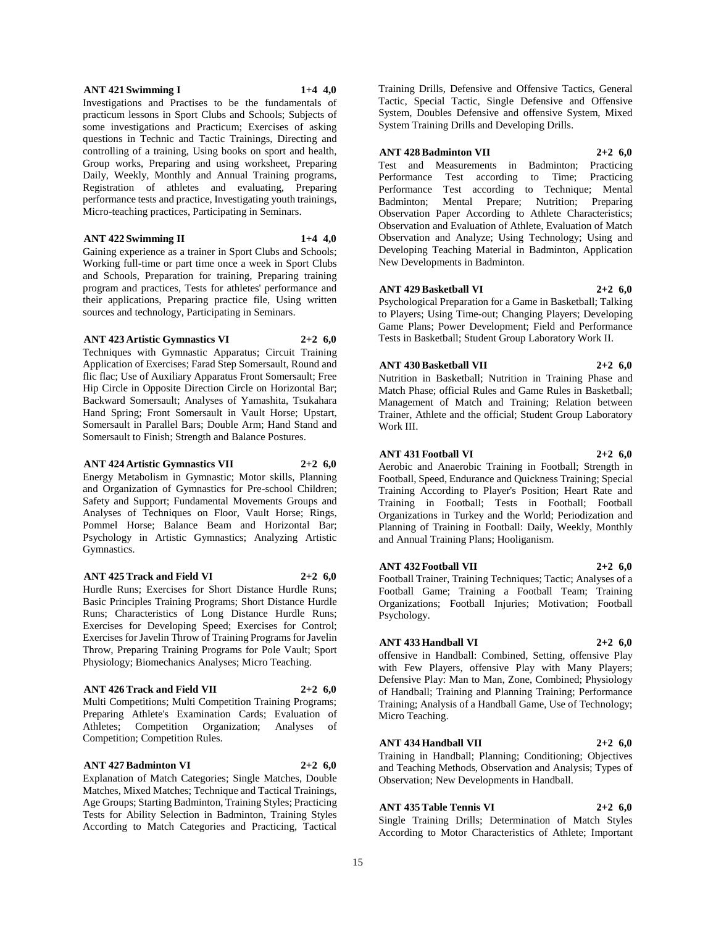#### **ANT 421 Swimming I 1+4 4,0**

Investigations and Practises to be the fundamentals of practicum lessons in Sport Clubs and Schools; Subjects of some investigations and Practicum; Exercises of asking questions in Technic and Tactic Trainings, Directing and controlling of a training, Using books on sport and health, Group works, Preparing and using worksheet, Preparing Daily, Weekly, Monthly and Annual Training programs, Registration of athletes and evaluating, Preparing performance tests and practice, Investigating youth trainings, Micro-teaching practices, Participating in Seminars.

#### **ANT 422 Swimming II 1+4 4,0**

Gaining experience as a trainer in Sport Clubs and Schools; Working full-time or part time once a week in Sport Clubs and Schools, Preparation for training, Preparing training program and practices, Tests for athletes' performance and their applications, Preparing practice file, Using written sources and technology, Participating in Seminars.

## **ANT 423 Artistic Gymnastics VI 2+2 6,0**

Techniques with Gymnastic Apparatus; Circuit Training Application of Exercises; Farad Step Somersault, Round and flic flac; Use of Auxiliary Apparatus Front Somersault; Free Hip Circle in Opposite Direction Circle on Horizontal Bar; Backward Somersault; Analyses of Yamashita, Tsukahara Hand Spring; Front Somersault in Vault Horse; Upstart, Somersault in Parallel Bars; Double Arm; Hand Stand and Somersault to Finish; Strength and Balance Postures.

#### **ANT 424 Artistic Gymnastics VII 2+2 6,0**

Energy Metabolism in Gymnastic; Motor skills, Planning and Organization of Gymnastics for Pre-school Children; Safety and Support; Fundamental Movements Groups and Analyses of Techniques on Floor, Vault Horse; Rings, Pommel Horse; Balance Beam and Horizontal Bar; Psychology in Artistic Gymnastics; Analyzing Artistic Gymnastics.

## **ANT 425 Track and Field VI 2+2 6,0**

Hurdle Runs; Exercises for Short Distance Hurdle Runs; Basic Principles Training Programs; Short Distance Hurdle Runs; Characteristics of Long Distance Hurdle Runs; Exercises for Developing Speed; Exercises for Control; Exercises for Javelin Throw of Training Programs for Javelin Throw, Preparing Training Programs for Pole Vault; Sport Physiology; Biomechanics Analyses; Micro Teaching.

## **ANT 426 Track and Field VII 2+2 6,0**

Multi Competitions; Multi Competition Training Programs; Preparing Athlete's Examination Cards; Evaluation of Athletes; Competition Organization; Analyses of Competition; Competition Rules.

#### **ANT 427 Badminton VI 2+2 6,0**

Explanation of Match Categories; Single Matches, Double Matches, Mixed Matches; Technique and Tactical Trainings, Age Groups; Starting Badminton, Training Styles; Practicing Tests for Ability Selection in Badminton, Training Styles According to Match Categories and Practicing, Tactical Training Drills, Defensive and Offensive Tactics, General Tactic, Special Tactic, Single Defensive and Offensive System, Doubles Defensive and offensive System, Mixed System Training Drills and Developing Drills.

## **ANT 428 Badminton VII 2+2 6,0**

Test and Measurements in Badminton; Practicing Performance Test according to Time; Practicing Performance Test according to Technique; Mental Badminton; Mental Prepare; Nutrition; Preparing Observation Paper According to Athlete Characteristics; Observation and Evaluation of Athlete, Evaluation of Match Observation and Analyze; Using Technology; Using and Developing Teaching Material in Badminton, Application New Developments in Badminton.

## **ANT 429 Basketball VI 2+2 6,0**

Psychological Preparation for a Game in Basketball; Talking to Players; Using Time-out; Changing Players; Developing Game Plans; Power Development; Field and Performance Tests in Basketball; Student Group Laboratory Work II.

# **ANT 430 Basketball VII 2+2 6,0**

Nutrition in Basketball; Nutrition in Training Phase and Match Phase; official Rules and Game Rules in Basketball; Management of Match and Training; Relation between Trainer, Athlete and the official; Student Group Laboratory Work III.

#### **ANT 431 Football VI 2+2 6,0**

Aerobic and Anaerobic Training in Football; Strength in Football, Speed, Endurance and Quickness Training; Special Training According to Player's Position; Heart Rate and Training in Football; Tests in Football; Football Organizations in Turkey and the World; Periodization and Planning of Training in Football: Daily, Weekly, Monthly and Annual Training Plans; Hooliganism.

#### **ANT 432 Football VII 2+2 6,0**

Football Trainer, Training Techniques; Tactic; Analyses of a Football Game; Training a Football Team; Training Organizations; Football Injuries; Motivation; Football Psychology.

## **ANT 433 Handball VI 2+2 6,0**

offensive in Handball: Combined, Setting, offensive Play with Few Players, offensive Play with Many Players; Defensive Play: Man to Man, Zone, Combined; Physiology of Handball; Training and Planning Training; Performance Training; Analysis of a Handball Game, Use of Technology; Micro Teaching.

#### **ANT 434Handball VII 2+2 6,0**

Training in Handball; Planning; Conditioning; Objectives and Teaching Methods, Observation and Analysis; Types of Observation; New Developments in Handball.

## **ANT 435 Table Tennis VI 2+2 6,0**

Single Training Drills; Determination of Match Styles According to Motor Characteristics of Athlete; Important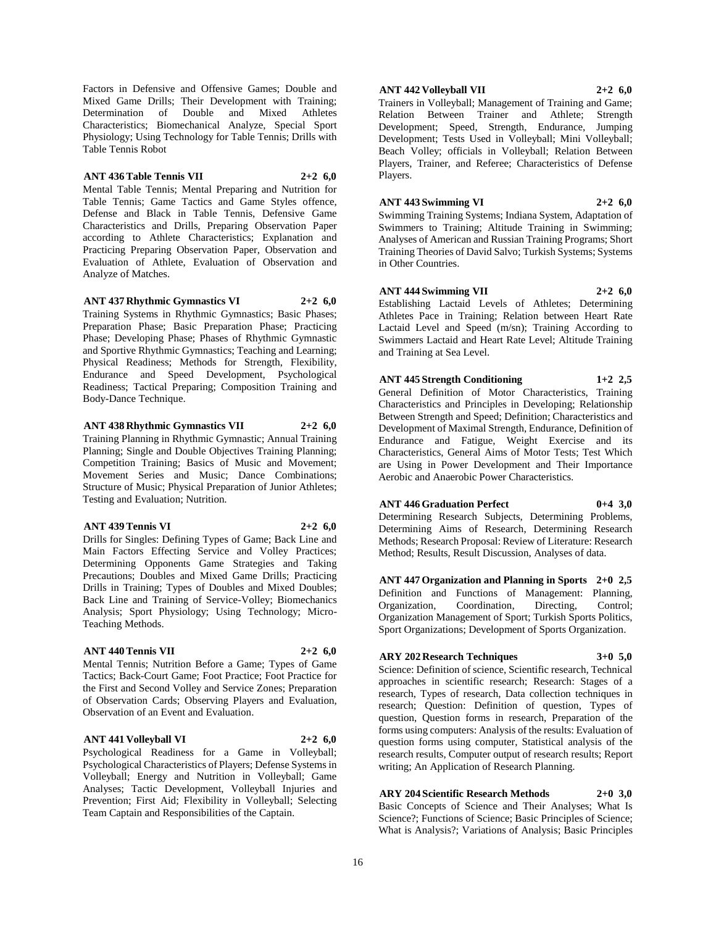Factors in Defensive and Offensive Games; Double and Mixed Game Drills; Their Development with Training; Determination of Double and Mixed Athletes Characteristics; Biomechanical Analyze, Special Sport Physiology; Using Technology for Table Tennis; Drills with Table Tennis Robot

## **ANT 436 Table Tennis VII 2+2 6,0**

Mental Table Tennis; Mental Preparing and Nutrition for Table Tennis; Game Tactics and Game Styles offence, Defense and Black in Table Tennis, Defensive Game Characteristics and Drills, Preparing Observation Paper according to Athlete Characteristics; Explanation and Practicing Preparing Observation Paper, Observation and Evaluation of Athlete, Evaluation of Observation and Analyze of Matches.

**ANT 437 Rhythmic Gymnastics VI 2+2 6,0**

Training Systems in Rhythmic Gymnastics; Basic Phases; Preparation Phase; Basic Preparation Phase; Practicing Phase; Developing Phase; Phases of Rhythmic Gymnastic and Sportive Rhythmic Gymnastics; Teaching and Learning; Physical Readiness; Methods for Strength, Flexibility, Endurance and Speed Development, Psychological Readiness; Tactical Preparing; Composition Training and Body-Dance Technique.

## **ANT 438 Rhythmic Gymnastics VII 2+2 6,0**

Training Planning in Rhythmic Gymnastic; Annual Training Planning; Single and Double Objectives Training Planning; Competition Training; Basics of Music and Movement; Movement Series and Music; Dance Combinations; Structure of Music; Physical Preparation of Junior Athletes; Testing and Evaluation; Nutrition.

## **ANT 439 Tennis VI 2+2 6,0**

Drills for Singles: Defining Types of Game; Back Line and Main Factors Effecting Service and Volley Practices; Determining Opponents Game Strategies and Taking Precautions; Doubles and Mixed Game Drills; Practicing Drills in Training; Types of Doubles and Mixed Doubles; Back Line and Training of Service-Volley; Biomechanics Analysis; Sport Physiology; Using Technology; Micro-Teaching Methods.

## **ANT 440 Tennis VII 2+2 6,0**

Mental Tennis; Nutrition Before a Game; Types of Game Tactics; Back-Court Game; Foot Practice; Foot Practice for the First and Second Volley and Service Zones; Preparation of Observation Cards; Observing Players and Evaluation, Observation of an Event and Evaluation.

## **ANT 441 Volleyball VI 2+2 6,0**

Psychological Readiness for a Game in Volleyball; Psychological Characteristics of Players; Defense Systems in Volleyball; Energy and Nutrition in Volleyball; Game Analyses; Tactic Development, Volleyball Injuries and Prevention; First Aid; Flexibility in Volleyball; Selecting Team Captain and Responsibilities of the Captain.

## **ANT 442 Volleyball VII 2+2 6,0**

Trainers in Volleyball; Management of Training and Game; Relation Between Trainer and Athlete; Strength Development; Speed, Strength, Endurance, Jumping Development; Tests Used in Volleyball; Mini Volleyball; Beach Volley; officials in Volleyball; Relation Between Players, Trainer, and Referee; Characteristics of Defense Players.

## **ANT 443 Swimming VI 2+2 6,0**

Swimming Training Systems; Indiana System, Adaptation of Swimmers to Training; Altitude Training in Swimming; Analyses of American and Russian Training Programs; Short Training Theories of David Salvo; Turkish Systems; Systems in Other Countries.

# **ANT 444 Swimming VII 2+2 6,0**

Establishing Lactaid Levels of Athletes; Determining Athletes Pace in Training; Relation between Heart Rate Lactaid Level and Speed (m/sn); Training According to Swimmers Lactaid and Heart Rate Level; Altitude Training and Training at Sea Level.

**ANT 445 Strength Conditioning 1+2 2,5** General Definition of Motor Characteristics, Training Characteristics and Principles in Developing; Relationship Between Strength and Speed; Definition; Characteristics and Development of Maximal Strength, Endurance, Definition of Endurance and Fatigue, Weight Exercise and its Characteristics, General Aims of Motor Tests; Test Which are Using in Power Development and Their Importance Aerobic and Anaerobic Power Characteristics.

## **ANT 446 Graduation Perfect 0+4 3,0**

Determining Research Subjects, Determining Problems, Determining Aims of Research, Determining Research Methods; Research Proposal: Review of Literature: Research Method; Results, Result Discussion, Analyses of data.

**ANT 447 Organization and Planning in Sports 2+0 2,5** Definition and Functions of Management: Planning, Organization, Coordination, Directing, Control; Organization Management of Sport; Turkish Sports Politics, Sport Organizations; Development of Sports Organization.

## **ARY 202 Research Techniques 3+0 5,0**

Science: Definition of science, Scientific research, Technical approaches in scientific research; Research: Stages of a research, Types of research, Data collection techniques in research; Question: Definition of question, Types of question, Question forms in research, Preparation of the forms using computers: Analysis of the results: Evaluation of question forms using computer, Statistical analysis of the research results, Computer output of research results; Report writing; An Application of Research Planning.

**ARY 204 Scientific Research Methods 2+0 3,0** Basic Concepts of Science and Their Analyses; What Is Science?; Functions of Science; Basic Principles of Science; What is Analysis?; Variations of Analysis; Basic Principles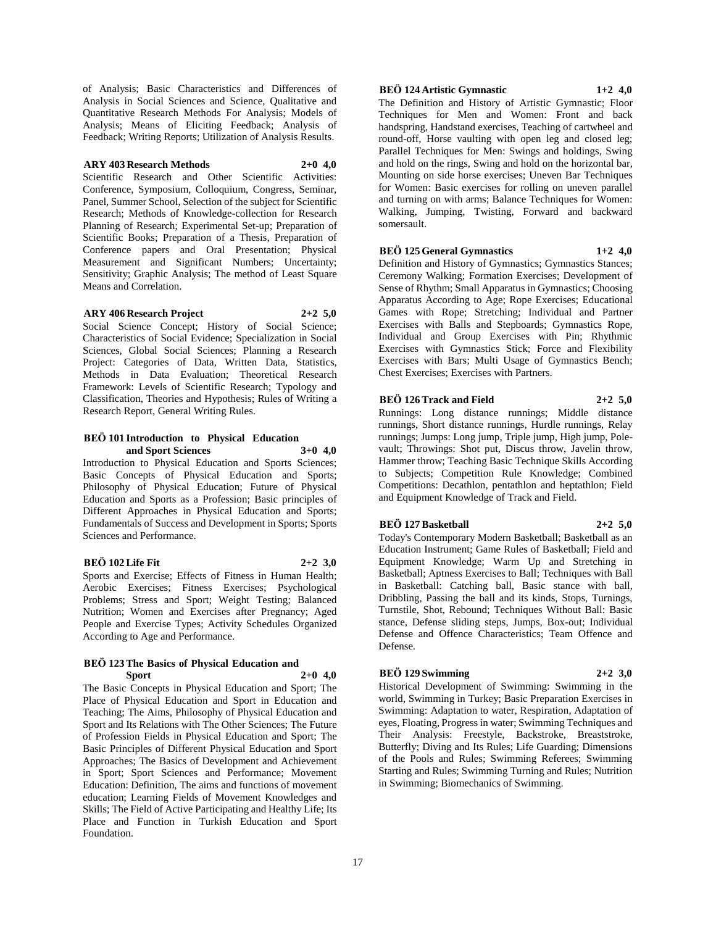of Analysis; Basic Characteristics and Differences of Analysis in Social Sciences and Science, Qualitative and Quantitative Research Methods For Analysis; Models of Analysis; Means of Eliciting Feedback; Analysis of Feedback; Writing Reports; Utilization of Analysis Results.

## **ARY 403 Research Methods 2+0 4,0**

Scientific Research and Other Scientific Activities: Conference, Symposium, Colloquium, Congress, Seminar, Panel, Summer School, Selection of the subject for Scientific Research; Methods of Knowledge-collection for Research Planning of Research; Experimental Set-up; Preparation of Scientific Books; Preparation of a Thesis, Preparation of Conference papers and Oral Presentation; Physical Measurement and Significant Numbers; Uncertainty; Sensitivity; Graphic Analysis; The method of Least Square Means and Correlation.

#### **ARY 406 Research Project 2+2 5,0**

Social Science Concept; History of Social Science; Characteristics of Social Evidence; Specialization in Social Sciences, Global Social Sciences; Planning a Research Project: Categories of Data, Written Data, Statistics, Methods in Data Evaluation; Theoretical Research Framework: Levels of Scientific Research; Typology and Classification, Theories and Hypothesis; Rules of Writing a Research Report, General Writing Rules.

#### **BEÖ 101 Introduction to Physical Education and Sport Sciences 3+0 4,0**

Introduction to Physical Education and Sports Sciences; Basic Concepts of Physical Education and Sports; Philosophy of Physical Education; Future of Physical Education and Sports as a Profession; Basic principles of Different Approaches in Physical Education and Sports; Fundamentals of Success and Development in Sports; Sports Sciences and Performance.

## **BEÖ 102 Life Fit 2+2 3,0**

Sports and Exercise; Effects of Fitness in Human Health; Aerobic Exercises; Fitness Exercises; Psychological Problems; Stress and Sport; Weight Testing; Balanced Nutrition; Women and Exercises after Pregnancy; Aged People and Exercise Types; Activity Schedules Organized According to Age and Performance.

## **BEÖ 123 The Basics of Physical Education and Sport 2+0 4,0**

The Basic Concepts in Physical Education and Sport; The Place of Physical Education and Sport in Education and Teaching; The Aims, Philosophy of Physical Education and Sport and Its Relations with The Other Sciences; The Future of Profession Fields in Physical Education and Sport; The Basic Principles of Different Physical Education and Sport Approaches; The Basics of Development and Achievement in Sport; Sport Sciences and Performance; Movement Education: Definition, The aims and functions of movement education; Learning Fields of Movement Knowledges and Skills; The Field of Active Participating and Healthy Life; Its Place and Function in Turkish Education and Sport Foundation.

## **BEÖ 124 Artistic Gymnastic 1+2 4,0**

The Definition and History of Artistic Gymnastic; Floor Techniques for Men and Women: Front and back handspring, Handstand exercises, Teaching of cartwheel and round-off, Horse vaulting with open leg and closed leg; Parallel Techniques for Men: Swings and holdings, Swing and hold on the rings, Swing and hold on the horizontal bar, Mounting on side horse exercises; Uneven Bar Techniques for Women: Basic exercises for rolling on uneven parallel and turning on with arms; Balance Techniques for Women: Walking, Jumping, Twisting, Forward and backward

## **BEÖ 125 General Gymnastics 1+2 4,0**

somersault.

Definition and History of Gymnastics; Gymnastics Stances; Ceremony Walking; Formation Exercises; Development of Sense of Rhythm; Small Apparatus in Gymnastics; Choosing Apparatus According to Age; Rope Exercises; Educational Games with Rope; Stretching; Individual and Partner Exercises with Balls and Stepboards; Gymnastics Rope, Individual and Group Exercises with Pin; Rhythmic Exercises with Gymnastics Stick; Force and Flexibility Exercises with Bars; Multi Usage of Gymnastics Bench; Chest Exercises; Exercises with Partners.

## **BEÖ 126 Track and Field 2+2 5,0**

Runnings: Long distance runnings; Middle distance runnings, Short distance runnings, Hurdle runnings, Relay runnings; Jumps: Long jump, Triple jump, High jump, Polevault; Throwings: Shot put, Discus throw, Javelin throw, Hammer throw; Teaching Basic Technique Skills According to Subjects; Competition Rule Knowledge; Combined Competitions: Decathlon, pentathlon and heptathlon; Field and Equipment Knowledge of Track and Field.

## **BEÖ 127 Basketball 2+2 5,0**

Today's Contemporary Modern Basketball; Basketball as an Education Instrument; Game Rules of Basketball; Field and Equipment Knowledge; Warm Up and Stretching in Basketball; Aptness Exercises to Ball; Techniques with Ball in Basketball: Catching ball, Basic stance with ball, Dribbling, Passing the ball and its kinds, Stops, Turnings, Turnstile, Shot, Rebound; Techniques Without Ball: Basic stance, Defense sliding steps, Jumps, Box-out; Individual Defense and Offence Characteristics; Team Offence and Defense.

## **BEÖ 129 Swimming 2+2 3,0**

Historical Development of Swimming: Swimming in the world, Swimming in Turkey; Basic Preparation Exercises in Swimming: Adaptation to water, Respiration, Adaptation of eyes, Floating, Progress in water; Swimming Techniques and Their Analysis: Freestyle, Backstroke, Breaststroke, Butterfly; Diving and Its Rules; Life Guarding; Dimensions of the Pools and Rules; Swimming Referees; Swimming Starting and Rules; Swimming Turning and Rules; Nutrition in Swimming; Biomechanics of Swimming.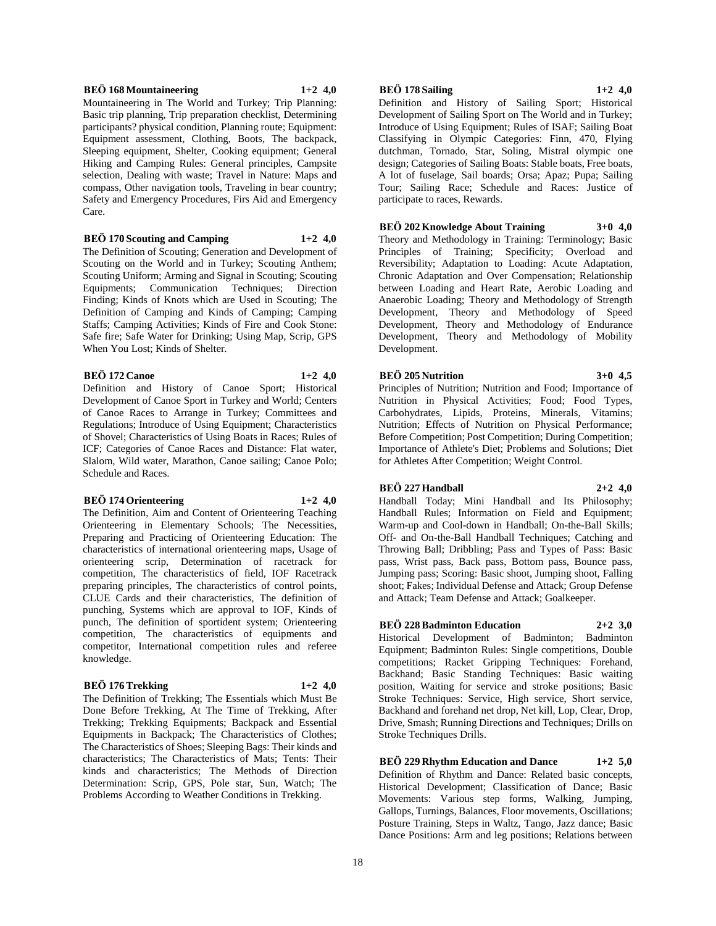## **BEÖ 168 Mountaineering 1+2 4,0**

Mountaineering in The World and Turkey; Trip Planning: Basic trip planning, Trip preparation checklist, Determining participants? physical condition, Planning route; Equipment: Equipment assessment, Clothing, Boots, The backpack, Sleeping equipment, Shelter, Cooking equipment; General Hiking and Camping Rules: General principles, Campsite selection, Dealing with waste; Travel in Nature: Maps and compass, Other navigation tools, Traveling in bear country; Safety and Emergency Procedures, Firs Aid and Emergency Care.

**BEÖ 170 Scouting and Camping 1+2 4,0**

The Definition of Scouting; Generation and Development of Scouting on the World and in Turkey; Scouting Anthem; Scouting Uniform; Arming and Signal in Scouting; Scouting Equipments; Communication Techniques; Direction Finding; Kinds of Knots which are Used in Scouting; The Definition of Camping and Kinds of Camping; Camping Staffs; Camping Activities; Kinds of Fire and Cook Stone: Safe fire; Safe Water for Drinking; Using Map, Scrip, GPS When You Lost; Kinds of Shelter.

## **BEÖ 172 Canoe 1+2 4,0**

Definition and History of Canoe Sport; Historical Development of Canoe Sport in Turkey and World; Centers of Canoe Races to Arrange in Turkey; Committees and Regulations; Introduce of Using Equipment; Characteristics of Shovel; Characteristics of Using Boats in Races; Rules of ICF; Categories of Canoe Races and Distance: Flat water, Slalom, Wild water, Marathon, Canoe sailing; Canoe Polo; Schedule and Races.

## **BEÖ 174 Orienteering 1+2 4,0**

The Definition, Aim and Content of Orienteering Teaching Orienteering in Elementary Schools; The Necessities, Preparing and Practicing of Orienteering Education: The characteristics of international orienteering maps, Usage of orienteering scrip, Determination of racetrack for competition, The characteristics of field, IOF Racetrack preparing principles, The characteristics of control points, CLUE Cards and their characteristics, The definition of punching, Systems which are approval to IOF, Kinds of punch, The definition of sportident system; Orienteering competition, The characteristics of equipments and competitor, International competition rules and referee knowledge.

## **BEÖ 176 Trekking 1+2 4,0**

The Definition of Trekking; The Essentials which Must Be Done Before Trekking, At The Time of Trekking, After Trekking; Trekking Equipments; Backpack and Essential Equipments in Backpack; The Characteristics of Clothes; The Characteristics of Shoes; Sleeping Bags: Their kinds and characteristics; The Characteristics of Mats; Tents: Their kinds and characteristics; The Methods of Direction Determination: Scrip, GPS, Pole star, Sun, Watch; The Problems According to Weather Conditions in Trekking.

## **BEÖ 178 Sailing 1+2 4,0**

Definition and History of Sailing Sport; Historical Development of Sailing Sport on The World and in Turkey; Introduce of Using Equipment; Rules of ISAF; Sailing Boat Classifying in Olympic Categories: Finn, 470, Flying dutchman, Tornado, Star, Soling, Mistral olympic one design; Categories of Sailing Boats: Stable boats, Free boats, A lot of fuselage, Sail boards; Orsa; Apaz; Pupa; Sailing Tour; Sailing Race; Schedule and Races: Justice of participate to races, Rewards.

## **BEÖ 202 Knowledge About Training 3+0 4,0**

Theory and Methodology in Training: Terminology; Basic Principles of Training; Specificity; Overload and Reversibility; Adaptation to Loading: Acute Adaptation, Chronic Adaptation and Over Compensation; Relationship between Loading and Heart Rate, Aerobic Loading and Anaerobic Loading; Theory and Methodology of Strength Development, Theory and Methodology of Speed Development, Theory and Methodology of Endurance Development, Theory and Methodology of Mobility Development.

## **BEÖ 205 Nutrition 3+0 4,5**

Principles of Nutrition; Nutrition and Food; Importance of Nutrition in Physical Activities; Food; Food Types, Carbohydrates, Lipids, Proteins, Minerals, Vitamins; Nutrition; Effects of Nutrition on Physical Performance; Before Competition; Post Competition; During Competition; Importance of Athlete's Diet; Problems and Solutions; Diet for Athletes After Competition; Weight Control.

## **BEÖ 227 Handball 2+2 4,0**

Handball Today; Mini Handball and Its Philosophy; Handball Rules; Information on Field and Equipment; Warm-up and Cool-down in Handball; On-the-Ball Skills; Off- and On-the-Ball Handball Techniques; Catching and Throwing Ball; Dribbling; Pass and Types of Pass: Basic pass, Wrist pass, Back pass, Bottom pass, Bounce pass, Jumping pass; Scoring: Basic shoot, Jumping shoot, Falling shoot; Fakes; Individual Defense and Attack; Group Defense and Attack; Team Defense and Attack; Goalkeeper.

## **BEÖ 228 Badminton Education 2+2 3,0**

Historical Development of Badminton; Badminton Equipment; Badminton Rules: Single competitions, Double competitions; Racket Gripping Techniques: Forehand, Backhand; Basic Standing Techniques: Basic waiting position, Waiting for service and stroke positions; Basic Stroke Techniques: Service, High service, Short service, Backhand and forehand net drop, Net kill, Lop, Clear, Drop, Drive, Smash; Running Directions and Techniques; Drills on Stroke Techniques Drills.

**BEÖ 229 Rhythm Education and Dance 1+2 5,0** Definition of Rhythm and Dance: Related basic concepts, Historical Development; Classification of Dance; Basic Movements: Various step forms, Walking, Jumping, Gallops, Turnings, Balances, Floor movements, Oscillations; Posture Training, Steps in Waltz, Tango, Jazz dance; Basic Dance Positions: Arm and leg positions; Relations between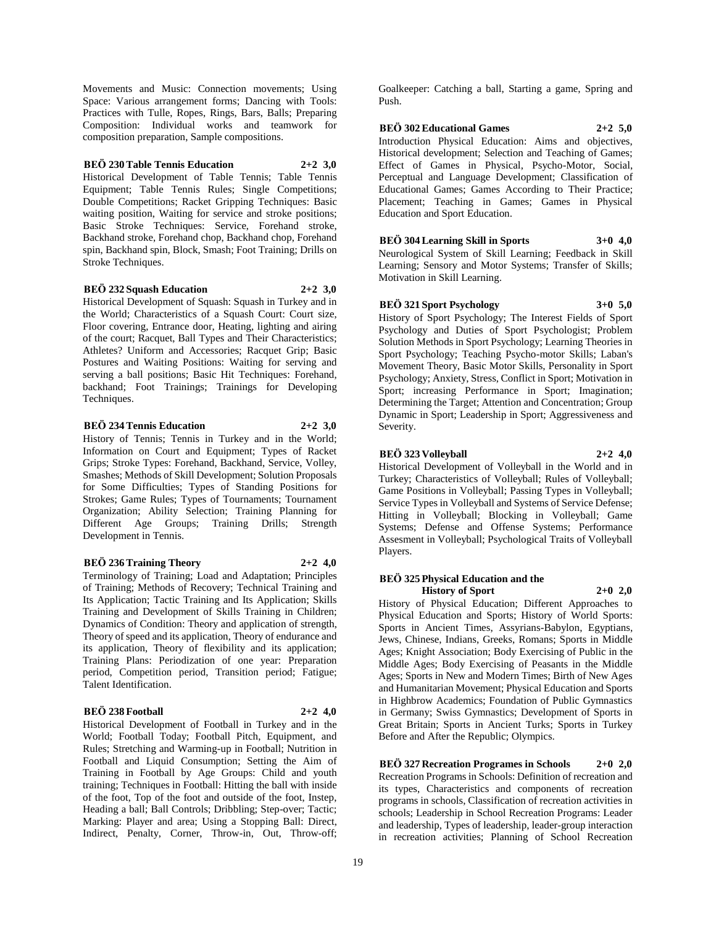Movements and Music: Connection movements; Using Space: Various arrangement forms; Dancing with Tools: Practices with Tulle, Ropes, Rings, Bars, Balls; Preparing Composition: Individual works and teamwork for composition preparation, Sample compositions.

## **BEÖ 230 Table Tennis Education 2+2 3,0**

Historical Development of Table Tennis; Table Tennis Equipment; Table Tennis Rules; Single Competitions; Double Competitions; Racket Gripping Techniques: Basic waiting position, Waiting for service and stroke positions; Basic Stroke Techniques: Service, Forehand stroke, Backhand stroke, Forehand chop, Backhand chop, Forehand spin, Backhand spin, Block, Smash; Foot Training; Drills on Stroke Techniques.

## **BEÖ 232 Squash Education 2+2 3,0**

Historical Development of Squash: Squash in Turkey and in the World; Characteristics of a Squash Court: Court size, Floor covering, Entrance door, Heating, lighting and airing of the court; Racquet, Ball Types and Their Characteristics; Athletes? Uniform and Accessories; Racquet Grip; Basic Postures and Waiting Positions: Waiting for serving and serving a ball positions; Basic Hit Techniques: Forehand, backhand; Foot Trainings; Trainings for Developing Techniques.

## **BEÖ 234 Tennis Education 2+2 3,0**

History of Tennis; Tennis in Turkey and in the World; Information on Court and Equipment; Types of Racket Grips; Stroke Types: Forehand, Backhand, Service, Volley, Smashes; Methods of Skill Development; Solution Proposals for Some Difficulties; Types of Standing Positions for Strokes; Game Rules; Types of Tournaments; Tournament Organization; Ability Selection; Training Planning for Different Age Groups; Training Drills; Strength Development in Tennis.

## **BEÖ 236 Training Theory 2+2 4,0**

Terminology of Training; Load and Adaptation; Principles of Training; Methods of Recovery; Technical Training and Its Application; Tactic Training and Its Application; Skills Training and Development of Skills Training in Children; Dynamics of Condition: Theory and application of strength, Theory of speed and its application, Theory of endurance and its application, Theory of flexibility and its application; Training Plans: Periodization of one year: Preparation period, Competition period, Transition period; Fatigue; Talent Identification.

## **BEÖ 238 Football 2+2 4,0**

Historical Development of Football in Turkey and in the World; Football Today; Football Pitch, Equipment, and Rules; Stretching and Warming-up in Football; Nutrition in Football and Liquid Consumption; Setting the Aim of Training in Football by Age Groups: Child and youth training; Techniques in Football: Hitting the ball with inside of the foot, Top of the foot and outside of the foot, Instep, Heading a ball; Ball Controls; Dribbling; Step-over; Tactic; Marking: Player and area; Using a Stopping Ball: Direct, Indirect, Penalty, Corner, Throw-in, Out, Throw-off;

Goalkeeper: Catching a ball, Starting a game, Spring and Push.

**BEÖ 302 Educational Games 2+2 5,0** Introduction Physical Education: Aims and objectives, Historical development; Selection and Teaching of Games; Effect of Games in Physical, Psycho-Motor, Social, Perceptual and Language Development; Classification of Educational Games; Games According to Their Practice; Placement; Teaching in Games; Games in Physical Education and Sport Education.

**BEÖ 304 Learning Skill in Sports 3+0 4,0** Neurological System of Skill Learning; Feedback in Skill Learning; Sensory and Motor Systems; Transfer of Skills; Motivation in Skill Learning.

## **BEÖ 321 Sport Psychology 3+0 5,0**

History of Sport Psychology; The Interest Fields of Sport Psychology and Duties of Sport Psychologist; Problem Solution Methods in Sport Psychology; Learning Theories in Sport Psychology; Teaching Psycho-motor Skills; Laban's Movement Theory, Basic Motor Skills, Personality in Sport Psychology; Anxiety, Stress, Conflict in Sport; Motivation in Sport; increasing Performance in Sport; Imagination; Determining the Target; Attention and Concentration; Group Dynamic in Sport; Leadership in Sport; Aggressiveness and Severity.

## **BEÖ 323 Volleyball 2+2 4,0**

Historical Development of Volleyball in the World and in Turkey; Characteristics of Volleyball; Rules of Volleyball; Game Positions in Volleyball; Passing Types in Volleyball; Service Types in Volleyball and Systems of Service Defense; Hitting in Volleyball; Blocking in Volleyball; Game Systems; Defense and Offense Systems; Performance Assesment in Volleyball; Psychological Traits of Volleyball Players.

## **BEÖ 325 Physical Education and the History of Sport 2+0 2,0**

History of Physical Education; Different Approaches to Physical Education and Sports; History of World Sports: Sports in Ancient Times, Assyrians-Babylon, Egyptians, Jews, Chinese, Indians, Greeks, Romans; Sports in Middle Ages; Knight Association; Body Exercising of Public in the Middle Ages; Body Exercising of Peasants in the Middle Ages; Sports in New and Modern Times; Birth of New Ages and Humanitarian Movement; Physical Education and Sports in Highbrow Academics; Foundation of Public Gymnastics in Germany; Swiss Gymnastics; Development of Sports in Great Britain; Sports in Ancient Turks; Sports in Turkey Before and After the Republic; Olympics.

**BEÖ 327 Recreation Programes in Schools 2+0 2,0** Recreation Programs in Schools: Definition of recreation and its types, Characteristics and components of recreation programs in schools, Classification of recreation activities in schools; Leadership in School Recreation Programs: Leader and leadership, Types of leadership, leader-group interaction in recreation activities; Planning of School Recreation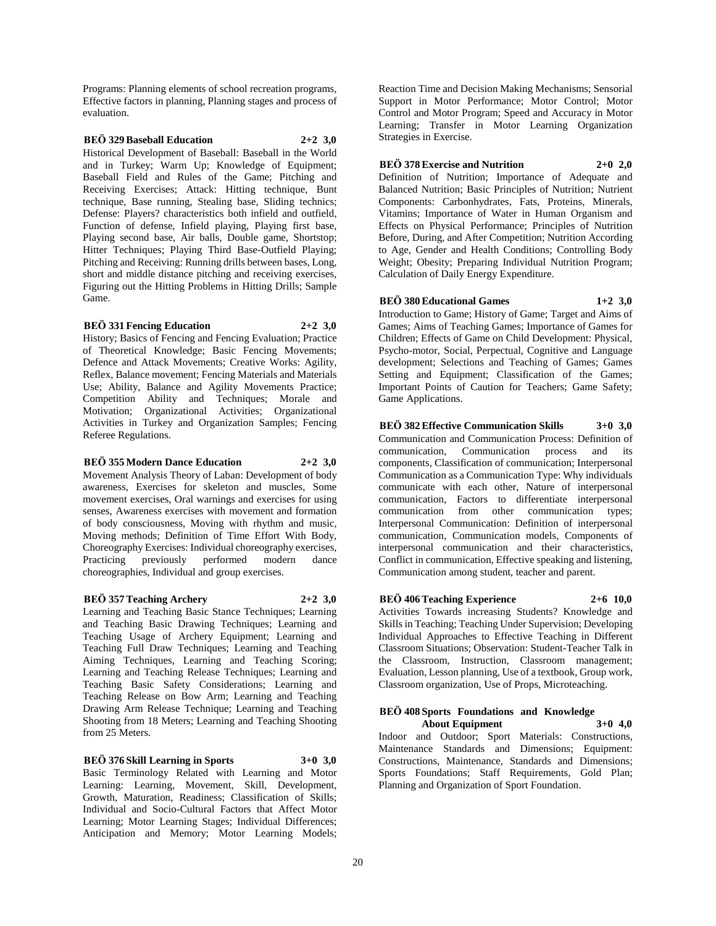Programs: Planning elements of school recreation programs, Effective factors in planning, Planning stages and process of evaluation.

## **BEÖ 329 Baseball Education 2+2 3,0**

Historical Development of Baseball: Baseball in the World and in Turkey; Warm Up; Knowledge of Equipment; Baseball Field and Rules of the Game; Pitching and Receiving Exercises; Attack: Hitting technique, Bunt technique, Base running, Stealing base, Sliding technics; Defense: Players? characteristics both infield and outfield, Function of defense, Infield playing, Playing first base, Playing second base, Air balls, Double game, Shortstop; Hitter Techniques; Playing Third Base-Outfield Playing; Pitching and Receiving: Running drills between bases, Long, short and middle distance pitching and receiving exercises, Figuring out the Hitting Problems in Hitting Drills; Sample Game.

## **BEÖ 331 Fencing Education 2+2 3,0**

History; Basics of Fencing and Fencing Evaluation; Practice of Theoretical Knowledge; Basic Fencing Movements; Defence and Attack Movements; Creative Works: Agility, Reflex, Balance movement; Fencing Materials and Materials Use; Ability, Balance and Agility Movements Practice; Competition Ability and Techniques; Morale and Motivation; Organizational Activities; Organizational Activities in Turkey and Organization Samples; Fencing Referee Regulations.

## **BEÖ 355 Modern Dance Education 2+2 3,0**

Movement Analysis Theory of Laban: Development of body awareness, Exercises for skeleton and muscles, Some movement exercises, Oral warnings and exercises for using senses, Awareness exercises with movement and formation of body consciousness, Moving with rhythm and music, Moving methods; Definition of Time Effort With Body, Choreography Exercises: Individual choreography exercises, Practicing previously performed modern dance choreographies, Individual and group exercises.

## **BEÖ 357 Teaching Archery 2+2 3,0**

Learning and Teaching Basic Stance Techniques; Learning and Teaching Basic Drawing Techniques; Learning and Teaching Usage of Archery Equipment; Learning and Teaching Full Draw Techniques; Learning and Teaching Aiming Techniques, Learning and Teaching Scoring; Learning and Teaching Release Techniques; Learning and Teaching Basic Safety Considerations; Learning and Teaching Release on Bow Arm; Learning and Teaching Drawing Arm Release Technique; Learning and Teaching Shooting from 18 Meters; Learning and Teaching Shooting from 25 Meters.

## **BEÖ 376 Skill Learning in Sports 3+0 3,0**

Basic Terminology Related with Learning and Motor Learning: Learning, Movement, Skill, Development, Growth, Maturation, Readiness; Classification of Skills; Individual and Socio-Cultural Factors that Affect Motor Learning; Motor Learning Stages; Individual Differences; Anticipation and Memory; Motor Learning Models;

Reaction Time and Decision Making Mechanisms; Sensorial Support in Motor Performance; Motor Control; Motor Control and Motor Program; Speed and Accuracy in Motor Learning; Transfer in Motor Learning Organization Strategies in Exercise.

## **BEÖ 378 Exercise and Nutrition 2+0 2,0**

Definition of Nutrition; Importance of Adequate and Balanced Nutrition; Basic Principles of Nutrition; Nutrient Components: Carbonhydrates, Fats, Proteins, Minerals, Vitamins; Importance of Water in Human Organism and Effects on Physical Performance; Principles of Nutrition Before, During, and After Competition; Nutrition According to Age, Gender and Health Conditions; Controlling Body Weight; Obesity; Preparing Individual Nutrition Program; Calculation of Daily Energy Expenditure.

## **BEÖ 380 Educational Games 1+2 3,0**

Introduction to Game; History of Game; Target and Aims of Games; Aims of Teaching Games; Importance of Games for Children; Effects of Game on Child Development: Physical, Psycho-motor, Social, Perpectual, Cognitive and Language development; Selections and Teaching of Games; Games Setting and Equipment; Classification of the Games; Important Points of Caution for Teachers; Game Safety; Game Applications.

# **BEÖ 382 Effective Communication Skills 3+0 3,0**

Communication and Communication Process: Definition of communication, Communication process and its components, Classification of communication; Interpersonal Communication as a Communication Type: Why individuals communicate with each other, Nature of interpersonal communication, Factors to differentiate interpersonal communication from other communication types; Interpersonal Communication: Definition of interpersonal communication, Communication models, Components of interpersonal communication and their characteristics, Conflict in communication, Effective speaking and listening, Communication among student, teacher and parent.

## **BEÖ 406 Teaching Experience 2+6 10,0**

Activities Towards increasing Students? Knowledge and Skills in Teaching; Teaching Under Supervision; Developing Individual Approaches to Effective Teaching in Different Classroom Situations; Observation: Student-Teacher Talk in the Classroom, Instruction, Classroom management; Evaluation, Lesson planning, Use of a textbook, Group work, Classroom organization, Use of Props, Microteaching.

#### **BEÖ 408 Sports Foundations and Knowledge About Equipment 3+0 4,0**

Indoor and Outdoor; Sport Materials: Constructions, Maintenance Standards and Dimensions; Equipment: Constructions, Maintenance, Standards and Dimensions; Sports Foundations; Staff Requirements, Gold Plan; Planning and Organization of Sport Foundation.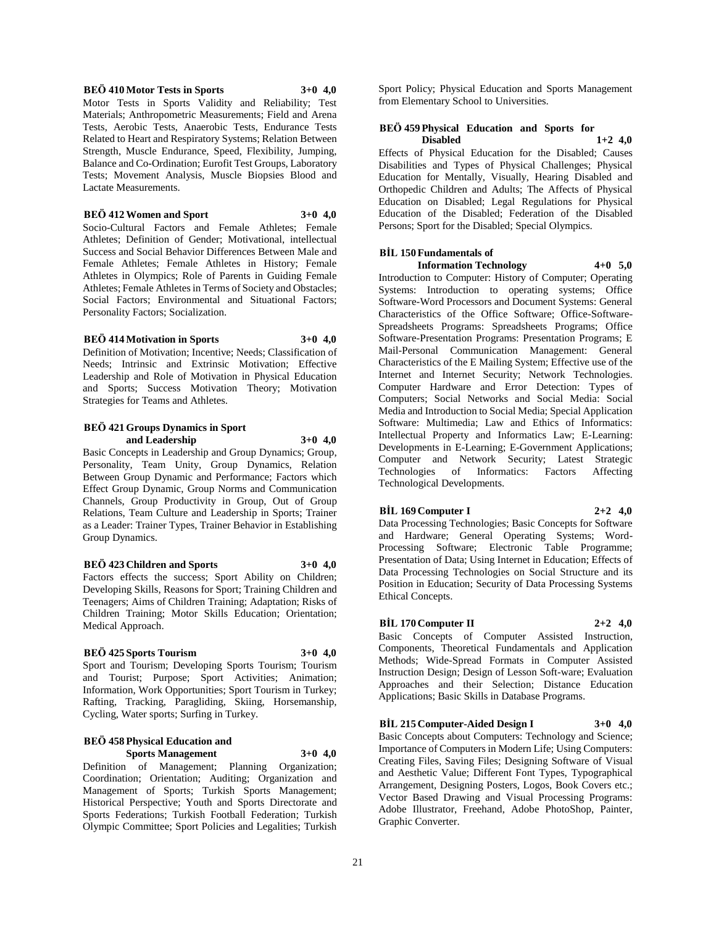#### **BEÖ 410 Motor Tests in Sports 3+0 4,0**

Motor Tests in Sports Validity and Reliability; Test Materials; Anthropometric Measurements; Field and Arena Tests, Aerobic Tests, Anaerobic Tests, Endurance Tests Related to Heart and Respiratory Systems; Relation Between Strength, Muscle Endurance, Speed, Flexibility, Jumping, Balance and Co-Ordination; Eurofit Test Groups, Laboratory Tests; Movement Analysis, Muscle Biopsies Blood and Lactate Measurements.

## **BEÖ 412 Women and Sport 3+0 4,0**

Socio-Cultural Factors and Female Athletes; Female Athletes; Definition of Gender; Motivational, intellectual Success and Social Behavior Differences Between Male and Female Athletes; Female Athletes in History; Female Athletes in Olympics; Role of Parents in Guiding Female Athletes; Female Athletes in Terms of Society and Obstacles; Social Factors; Environmental and Situational Factors; Personality Factors; Socialization.

#### **BEÖ 414 Motivation in Sports 3+0 4,0**

Definition of Motivation; Incentive; Needs; Classification of Needs; Intrinsic and Extrinsic Motivation; Effective Leadership and Role of Motivation in Physical Education and Sports; Success Motivation Theory; Motivation Strategies for Teams and Athletes.

## **BEÖ 421 Groups Dynamics in Sport and Leadership 3+0 4,0**

Basic Concepts in Leadership and Group Dynamics; Group, Personality, Team Unity, Group Dynamics, Relation Between Group Dynamic and Performance; Factors which Effect Group Dynamic, Group Norms and Communication Channels, Group Productivity in Group, Out of Group Relations, Team Culture and Leadership in Sports; Trainer as a Leader: Trainer Types, Trainer Behavior in Establishing Group Dynamics.

#### **BEÖ 423 Children and Sports 3+0 4,0**

Factors effects the success; Sport Ability on Children; Developing Skills, Reasons for Sport; Training Children and Teenagers; Aims of Children Training; Adaptation; Risks of Children Training; Motor Skills Education; Orientation; Medical Approach.

#### **BEÖ 425 Sports Tourism 3+0 4,0**

Sport and Tourism; Developing Sports Tourism; Tourism and Tourist; Purpose; Sport Activities; Animation; Information, Work Opportunities; Sport Tourism in Turkey; Rafting, Tracking, Paragliding, Skiing, Horsemanship, Cycling, Water sports; Surfing in Turkey.

## **BEÖ 458 Physical Education and Sports Management 3+0 4,0**

Definition of Management; Planning Organization; Coordination; Orientation; Auditing; Organization and Management of Sports; Turkish Sports Management; Historical Perspective; Youth and Sports Directorate and Sports Federations; Turkish Football Federation; Turkish Olympic Committee; Sport Policies and Legalities; Turkish

Sport Policy; Physical Education and Sports Management from Elementary School to Universities.

## **BEÖ 459 Physical Education and Sports for Disabled 1+2 4,0**

Effects of Physical Education for the Disabled; Causes Disabilities and Types of Physical Challenges; Physical Education for Mentally, Visually, Hearing Disabled and Orthopedic Children and Adults; The Affects of Physical Education on Disabled; Legal Regulations for Physical Education of the Disabled; Federation of the Disabled Persons; Sport for the Disabled; Special Olympics.

#### **BİL 150 Fundamentals of Information Technology 4+0 5,0**

Introduction to Computer: History of Computer; Operating Systems: Introduction to operating systems; Office Software-Word Processors and Document Systems: General Characteristics of the Office Software; Office-Software-Spreadsheets Programs: Spreadsheets Programs; Office Software-Presentation Programs: Presentation Programs; E Mail-Personal Communication Management: General Characteristics of the E Mailing System; Effective use of the Internet and Internet Security; Network Technologies. Computer Hardware and Error Detection: Types of Computers; Social Networks and Social Media: Social Media and Introduction to Social Media; Special Application Software: Multimedia; Law and Ethics of Informatics: Intellectual Property and Informatics Law; E-Learning: Developments in E-Learning; E-Government Applications; Computer and Network Security; Latest Strategic Technologies of Informatics: Factors Affecting Technological Developments.

## **BİL 169 Computer I 2+2 4,0**

Data Processing Technologies; Basic Concepts for Software and Hardware; General Operating Systems; Word-Processing Software; Electronic Table Programme; Presentation of Data; Using Internet in Education; Effects of Data Processing Technologies on Social Structure and its Position in Education; Security of Data Processing Systems Ethical Concepts.

## **BİL 170 Computer II 2+2 4,0**

Basic Concepts of Computer Assisted Instruction, Components, Theoretical Fundamentals and Application Methods; Wide-Spread Formats in Computer Assisted Instruction Design; Design of Lesson Soft-ware; Evaluation Approaches and their Selection; Distance Education Applications; Basic Skills in Database Programs.

## **BİL 215 Computer-Aided Design I 3+0 4,0**

Basic Concepts about Computers: Technology and Science; Importance of Computers in Modern Life; Using Computers: Creating Files, Saving Files; Designing Software of Visual and Aesthetic Value; Different Font Types, Typographical Arrangement, Designing Posters, Logos, Book Covers etc.; Vector Based Drawing and Visual Processing Programs: Adobe Illustrator, Freehand, Adobe PhotoShop, Painter, Graphic Converter.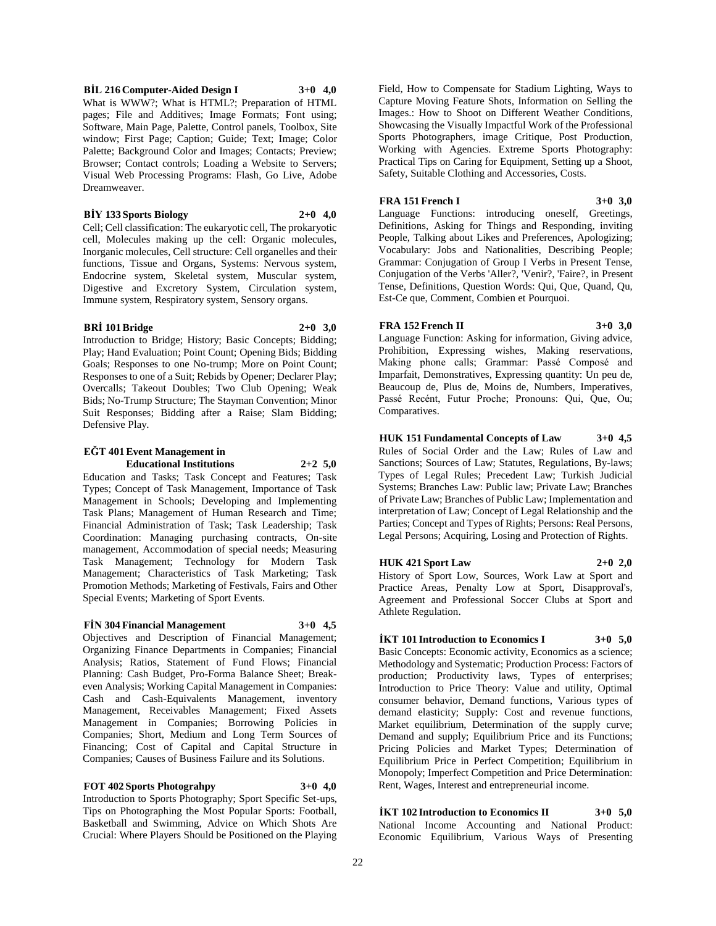# **BRİ 101 Bridge 2+0 3,0**

Introduction to Bridge; History; Basic Concepts; Bidding; Play; Hand Evaluation; Point Count; Opening Bids; Bidding Goals; Responses to one No-trump; More on Point Count; Responses to one of a Suit; Rebids by Opener; Declarer Play; Overcalls; Takeout Doubles; Two Club Opening; Weak Bids; No-Trump Structure; The Stayman Convention; Minor Suit Responses; Bidding after a Raise; Slam Bidding; Defensive Play.

**BİL 216 Computer-Aided Design I 3+0 4,0** What is WWW?; What is HTML?; Preparation of HTML pages; File and Additives; Image Formats; Font using; Software, Main Page, Palette, Control panels, Toolbox, Site window; First Page; Caption; Guide; Text; Image; Color Palette; Background Color and Images; Contacts; Preview; Browser; Contact controls; Loading a Website to Servers; Visual Web Processing Programs: Flash, Go Live, Adobe

**BİY 133 Sports Biology 2+0 4,0** Cell; Cell classification: The eukaryotic cell, The prokaryotic cell, Molecules making up the cell: Organic molecules, Inorganic molecules, Cell structure: Cell organelles and their functions, Tissue and Organs, Systems: Nervous system, Endocrine system, Skeletal system, Muscular system, Digestive and Excretory System, Circulation system, Immune system, Respiratory system, Sensory organs.

## **EĞT 401 Event Management in**

Dreamweaver.

**Educational Institutions 2+2 5,0**

Education and Tasks; Task Concept and Features; Task Types; Concept of Task Management, Importance of Task Management in Schools; Developing and Implementing Task Plans; Management of Human Research and Time; Financial Administration of Task; Task Leadership; Task Coordination: Managing purchasing contracts, On-site management, Accommodation of special needs; Measuring Task Management; Technology for Modern Task Management; Characteristics of Task Marketing; Task Promotion Methods; Marketing of Festivals, Fairs and Other Special Events; Marketing of Sport Events.

## **FİN 304 Financial Management 3+0 4,5**

Objectives and Description of Financial Management; Organizing Finance Departments in Companies; Financial Analysis; Ratios, Statement of Fund Flows; Financial Planning: Cash Budget, Pro-Forma Balance Sheet; Breakeven Analysis; Working Capital Management in Companies: Cash and Cash-Equivalents Management, inventory Management, Receivables Management; Fixed Assets Management in Companies; Borrowing Policies in Companies; Short, Medium and Long Term Sources of Financing; Cost of Capital and Capital Structure in Companies; Causes of Business Failure and its Solutions.

**FOT 402 Sports Photograhpy 3+0 4,0** Introduction to Sports Photography; Sport Specific Set-ups, Tips on Photographing the Most Popular Sports: Football, Basketball and Swimming, Advice on Which Shots Are Crucial: Where Players Should be Positioned on the Playing Field, How to Compensate for Stadium Lighting, Ways to Capture Moving Feature Shots, Information on Selling the Images.: How to Shoot on Different Weather Conditions, Showcasing the Visually Impactful Work of the Professional Sports Photographers, image Critique, Post Production, Working with Agencies. Extreme Sports Photography: Practical Tips on Caring for Equipment, Setting up a Shoot, Safety, Suitable Clothing and Accessories, Costs.

## **FRA 151 French I 3+0 3,0**

Language Functions: introducing oneself, Greetings, Definitions, Asking for Things and Responding, inviting People, Talking about Likes and Preferences, Apologizing; Vocabulary: Jobs and Nationalities, Describing People; Grammar: Conjugation of Group I Verbs in Present Tense, Conjugation of the Verbs 'Aller?, 'Venir?, 'Faire?, in Present Tense, Definitions, Question Words: Qui, Que, Quand, Qu, Est-Ce que, Comment, Combien et Pourquoi.

## **FRA 152 French II 3+0 3,0**

Language Function: Asking for information, Giving advice, Prohibition, Expressing wishes, Making reservations, Making phone calls; Grammar: Passé Composé and Imparfait, Demonstratives, Expressing quantity: Un peu de, Beaucoup de, Plus de, Moins de, Numbers, Imperatives, Passé Recént, Futur Proche; Pronouns: Qui, Que, Ou; Comparatives.

**HUK 151 Fundamental Concepts of Law 3+0 4,5** Rules of Social Order and the Law; Rules of Law and Sanctions; Sources of Law; Statutes, Regulations, By-laws; Types of Legal Rules; Precedent Law; Turkish Judicial Systems; Branches Law: Public law; Private Law; Branches of Private Law; Branches of Public Law; Implementation and interpretation of Law; Concept of Legal Relationship and the Parties; Concept and Types of Rights; Persons: Real Persons, Legal Persons; Acquiring, Losing and Protection of Rights.

## **HUK 421 Sport Law 2+0 2,0**

History of Sport Low, Sources, Work Law at Sport and Practice Areas, Penalty Low at Sport, Disapproval's, Agreement and Professional Soccer Clubs at Sport and Athlete Regulation.

## **İKT 101 Introduction to Economics I 3+0 5,0**

Basic Concepts: Economic activity, Economics as a science; Methodology and Systematic; Production Process: Factors of production; Productivity laws, Types of enterprises; Introduction to Price Theory: Value and utility, Optimal consumer behavior, Demand functions, Various types of demand elasticity; Supply: Cost and revenue functions, Market equilibrium, Determination of the supply curve; Demand and supply; Equilibrium Price and its Functions; Pricing Policies and Market Types; Determination of Equilibrium Price in Perfect Competition; Equilibrium in Monopoly; Imperfect Competition and Price Determination: Rent, Wages, Interest and entrepreneurial income.

**İKT 102 Introduction to Economics II 3+0 5,0** National Income Accounting and National Product: Economic Equilibrium, Various Ways of Presenting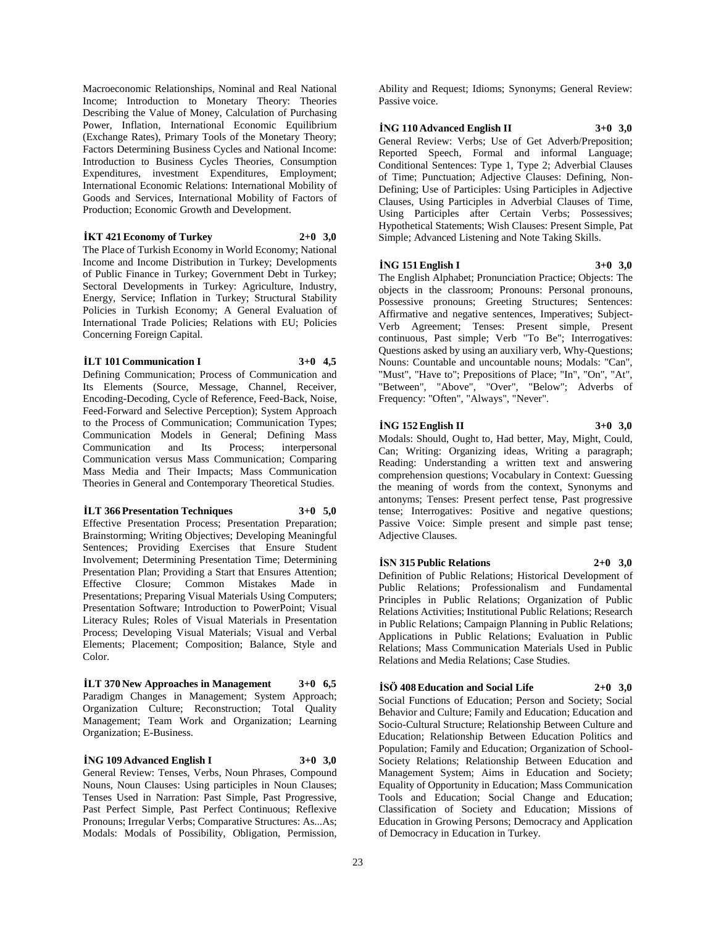Macroeconomic Relationships, Nominal and Real National Income; Introduction to Monetary Theory: Theories Describing the Value of Money, Calculation of Purchasing Power, Inflation, International Economic Equilibrium (Exchange Rates), Primary Tools of the Monetary Theory; Factors Determining Business Cycles and National Income: Introduction to Business Cycles Theories, Consumption Expenditures, investment Expenditures, Employment; International Economic Relations: International Mobility of Goods and Services, International Mobility of Factors of Production; Economic Growth and Development.

#### **İKT 421 Economy of Turkey 2+0 3,0**

The Place of Turkish Economy in World Economy; National Income and Income Distribution in Turkey; Developments of Public Finance in Turkey; Government Debt in Turkey; Sectoral Developments in Turkey: Agriculture, Industry, Energy, Service; Inflation in Turkey; Structural Stability Policies in Turkish Economy; A General Evaluation of International Trade Policies; Relations with EU; Policies Concerning Foreign Capital.

## **İLT 101 Communication I 3+0 4,5**

Defining Communication; Process of Communication and Its Elements (Source, Message, Channel, Receiver, Encoding-Decoding, Cycle of Reference, Feed-Back, Noise, Feed-Forward and Selective Perception); System Approach to the Process of Communication; Communication Types; Communication Models in General; Defining Mass Communication and Its Process; interpersonal Communication versus Mass Communication; Comparing Mass Media and Their Impacts; Mass Communication Theories in General and Contemporary Theoretical Studies.

#### **İLT 366 Presentation Techniques 3+0 5,0**

Effective Presentation Process; Presentation Preparation; Brainstorming; Writing Objectives; Developing Meaningful Sentences; Providing Exercises that Ensure Student Involvement; Determining Presentation Time; Determining Presentation Plan; Providing a Start that Ensures Attention; Effective Closure; Common Mistakes Made in Presentations; Preparing Visual Materials Using Computers; Presentation Software; Introduction to PowerPoint; Visual Literacy Rules; Roles of Visual Materials in Presentation Process; Developing Visual Materials; Visual and Verbal Elements; Placement; Composition; Balance, Style and Color.

**İLT 370 New Approaches in Management 3+0 6,5** Paradigm Changes in Management; System Approach; Organization Culture; Reconstruction; Total Quality Management; Team Work and Organization; Learning Organization; E-Business.

## **İNG 109 Advanced English I 3+0 3,0**

General Review: Tenses, Verbs, Noun Phrases, Compound Nouns, Noun Clauses: Using participles in Noun Clauses; Tenses Used in Narration: Past Simple, Past Progressive, Past Perfect Simple, Past Perfect Continuous; Reflexive Pronouns; Irregular Verbs; Comparative Structures: As...As; Modals: Modals of Possibility, Obligation, Permission,

Ability and Request; Idioms; Synonyms; General Review: Passive voice.

## **İNG 110 Advanced English II 3+0 3,0**

General Review: Verbs; Use of Get Adverb/Preposition; Reported Speech, Formal and informal Language; Conditional Sentences: Type 1, Type 2; Adverbial Clauses of Time; Punctuation; Adjective Clauses: Defining, Non-Defining; Use of Participles: Using Participles in Adjective Clauses, Using Participles in Adverbial Clauses of Time, Using Participles after Certain Verbs; Possessives; Hypothetical Statements; Wish Clauses: Present Simple, Pat Simple; Advanced Listening and Note Taking Skills.

## **İNG 151 English I 3+0 3,0**

The English Alphabet; Pronunciation Practice; Objects: The objects in the classroom; Pronouns: Personal pronouns, Possessive pronouns; Greeting Structures; Sentences: Affirmative and negative sentences, Imperatives; Subject-Verb Agreement; Tenses: Present simple, Present continuous, Past simple; Verb "To Be"; Interrogatives: Questions asked by using an auxiliary verb, Why-Questions; Nouns: Countable and uncountable nouns; Modals: "Can", "Must", "Have to"; Prepositions of Place; "In", "On", "At", "Between", "Above", "Over", "Below"; Adverbs of Frequency: "Often", "Always", "Never".

## **İNG 152 English II 3+0 3,0**

Modals: Should, Ought to, Had better, May, Might, Could, Can; Writing: Organizing ideas, Writing a paragraph; Reading: Understanding a written text and answering comprehension questions; Vocabulary in Context: Guessing the meaning of words from the context, Synonyms and antonyms; Tenses: Present perfect tense, Past progressive tense; Interrogatives: Positive and negative questions; Passive Voice: Simple present and simple past tense; Adjective Clauses.

## **İSN 315 Public Relations 2+0 3,0**

Definition of Public Relations; Historical Development of Public Relations; Professionalism and Fundamental Principles in Public Relations; Organization of Public Relations Activities; Institutional Public Relations; Research in Public Relations; Campaign Planning in Public Relations; Applications in Public Relations; Evaluation in Public Relations; Mass Communication Materials Used in Public Relations and Media Relations; Case Studies.

## **İSÖ 408 Education and Social Life 2+0 3,0**

Social Functions of Education; Person and Society; Social Behavior and Culture; Family and Education; Education and Socio-Cultural Structure; Relationship Between Culture and Education; Relationship Between Education Politics and Population; Family and Education; Organization of School-Society Relations; Relationship Between Education and Management System; Aims in Education and Society; Equality of Opportunity in Education; Mass Communication Tools and Education; Social Change and Education; Classification of Society and Education; Missions of Education in Growing Persons; Democracy and Application of Democracy in Education in Turkey.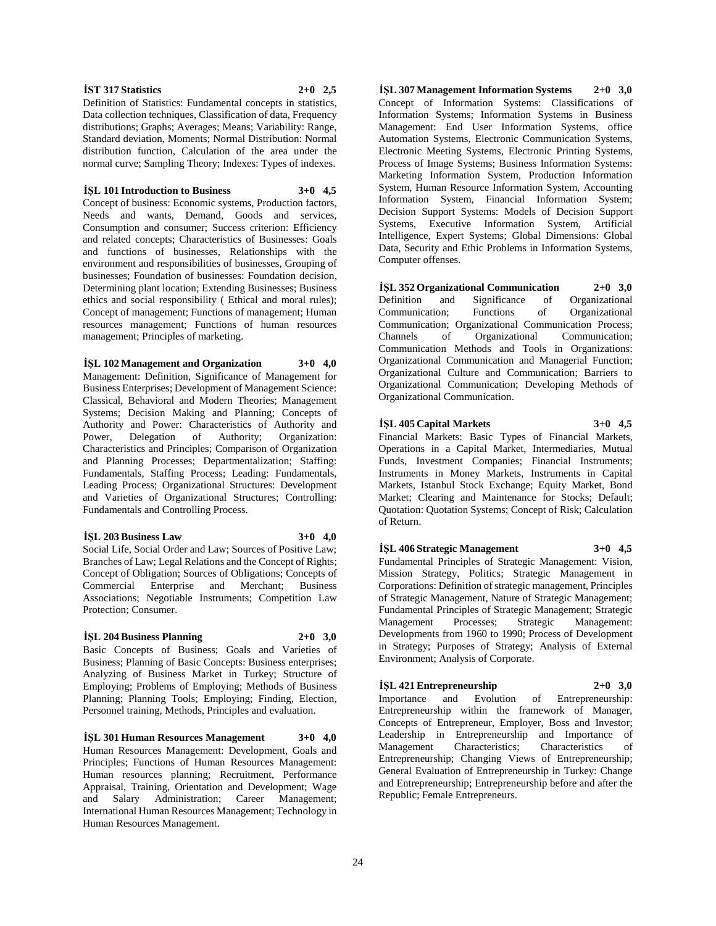#### Commercial Enterprise and Merchant; Business

**İŞL 204 Business Planning 2+0 3,0** Basic Concepts of Business; Goals and Varieties of Business; Planning of Basic Concepts: Business enterprises; Analyzing of Business Market in Turkey; Structure of Employing; Problems of Employing; Methods of Business Planning; Planning Tools; Employing; Finding, Election, Personnel training, Methods, Principles and evaluation.

**İŞL 301 Human Resources Management 3+0 4,0** Human Resources Management: Development, Goals and Principles; Functions of Human Resources Management: Human resources planning; Recruitment, Performance Appraisal, Training, Orientation and Development; Wage and Salary Administration; Career Management; International Human Resources Management; Technology in Human Resources Management.

**İŞL 307 Management Information Systems 2+0 3,0** Concept of Information Systems: Classifications of Information Systems; Information Systems in Business Management: End User Information Systems, office Automation Systems, Electronic Communication Systems, Electronic Meeting Systems, Electronic Printing Systems, Process of Image Systems; Business Information Systems: Marketing Information System, Production Information System, Human Resource Information System, Accounting Information System, Financial Information System; Decision Support Systems: Models of Decision Support Systems, Executive Information System, Artificial Intelligence, Expert Systems; Global Dimensions: Global Data, Security and Ethic Problems in Information Systems, Computer offenses.

**İŞL 352 Organizational Communication 2+0 3,0** Definition and Significance of Organizational Communication; Functions of Organizational Communication; Organizational Communication Process; Channels of Organizational Communication; Communication Methods and Tools in Organizations: Organizational Communication and Managerial Function; Organizational Culture and Communication; Barriers to Organizational Communication; Developing Methods of Organizational Communication.

**İŞL 405 Capital Markets 3+0 4,5** Financial Markets: Basic Types of Financial Markets, Operations in a Capital Market, Intermediaries, Mutual Funds, Investment Companies; Financial Instruments; Instruments in Money Markets, Instruments in Capital Markets, Istanbul Stock Exchange; Equity Market, Bond Market; Clearing and Maintenance for Stocks; Default; Quotation: Quotation Systems; Concept of Risk; Calculation of Return.

**İŞL 406 Strategic Management 3+0 4,5** Fundamental Principles of Strategic Management: Vision, Mission Strategy, Politics; Strategic Management in Corporations: Definition of strategic management, Principles of Strategic Management, Nature of Strategic Management; Fundamental Principles of Strategic Management; Strategic Management Processes; Strategic Management: Developments from 1960 to 1990; Process of Development in Strategy; Purposes of Strategy; Analysis of External Environment; Analysis of Corporate.

**İŞL 421 Entrepreneurship 2+0 3,0** Importance and Evolution of Entrepreneurship: Entrepreneurship within the framework of Manager, Concepts of Entrepreneur, Employer, Boss and Investor; Leadership in Entrepreneurship and Importance of Management Characteristics; Characteristics of Entrepreneurship; Changing Views of Entrepreneurship; General Evaluation of Entrepreneurship in Turkey: Change and Entrepreneurship; Entrepreneurship before and after the Republic; Female Entrepreneurs.

Definition of Statistics: Fundamental concepts in statistics, Data collection techniques, Classification of data, Frequency distributions; Graphs; Averages; Means; Variability: Range, Standard deviation, Moments; Normal Distribution: Normal distribution function, Calculation of the area under the normal curve; Sampling Theory; Indexes: Types of indexes.

## **İŞL 101 Introduction to Business 3+0 4,5**

Concept of business: Economic systems, Production factors, Needs and wants, Demand, Goods and services, Consumption and consumer; Success criterion: Efficiency and related concepts; Characteristics of Businesses: Goals and functions of businesses, Relationships with the environment and responsibilities of businesses, Grouping of businesses; Foundation of businesses: Foundation decision, Determining plant location; Extending Businesses; Business ethics and social responsibility ( Ethical and moral rules); Concept of management; Functions of management; Human resources management; Functions of human resources management; Principles of marketing.

**İŞL 102 Management and Organization 3+0 4,0** Management: Definition, Significance of Management for Business Enterprises; Development of Management Science: Classical, Behavioral and Modern Theories; Management Systems; Decision Making and Planning; Concepts of Authority and Power: Characteristics of Authority and Power, Delegation of Authority; Organization: Characteristics and Principles; Comparison of Organization and Planning Processes; Departmentalization; Staffing: Fundamentals, Staffing Process; Leading: Fundamentals, Leading Process; Organizational Structures: Development and Varieties of Organizational Structures; Controlling: Fundamentals and Controlling Process.

Social Life, Social Order and Law; Sources of Positive Law; Branches of Law; Legal Relations and the Concept of Rights; Concept of Obligation; Sources of Obligations; Concepts of

Associations; Negotiable Instruments; Competition Law

#### **İŞL 203 Business Law 3+0 4,0**

Protection; Consumer.

**İST 317 Statistics 2+0 2,5**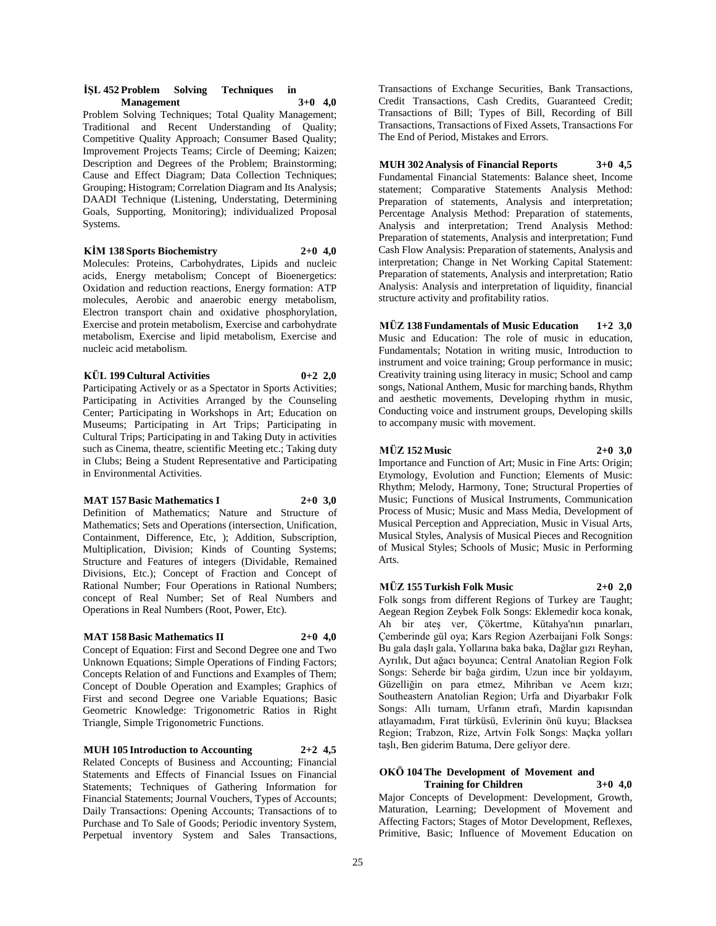#### **İŞL 452 Problem Solving Techniques in Management 3+0 4,0**

Problem Solving Techniques; Total Quality Management; Traditional and Recent Understanding of Quality; Competitive Quality Approach; Consumer Based Quality; Improvement Projects Teams; Circle of Deeming; Kaizen; Description and Degrees of the Problem; Brainstorming; Cause and Effect Diagram; Data Collection Techniques; Grouping; Histogram; Correlation Diagram and Its Analysis; DAADI Technique (Listening, Understating, Determining Goals, Supporting, Monitoring); individualized Proposal Systems.

## **KİM 138 Sports Biochemistry 2+0 4,0**

Molecules: Proteins, Carbohydrates, Lipids and nucleic acids, Energy metabolism; Concept of Bioenergetics: Oxidation and reduction reactions, Energy formation: ATP molecules, Aerobic and anaerobic energy metabolism, Electron transport chain and oxidative phosphorylation, Exercise and protein metabolism, Exercise and carbohydrate metabolism, Exercise and lipid metabolism, Exercise and nucleic acid metabolism.

#### **KÜL 199 Cultural Activities 0+2 2,0**

Participating Actively or as a Spectator in Sports Activities; Participating in Activities Arranged by the Counseling Center; Participating in Workshops in Art; Education on Museums; Participating in Art Trips; Participating in Cultural Trips; Participating in and Taking Duty in activities such as Cinema, theatre, scientific Meeting etc.; Taking duty in Clubs; Being a Student Representative and Participating in Environmental Activities.

## **MAT 157 Basic Mathematics I 2+0 3,0**

Definition of Mathematics; Nature and Structure of Mathematics; Sets and Operations (intersection, Unification, Containment, Difference, Etc, ); Addition, Subscription, Multiplication, Division; Kinds of Counting Systems; Structure and Features of integers (Dividable, Remained Divisions, Etc.); Concept of Fraction and Concept of Rational Number; Four Operations in Rational Numbers; concept of Real Number; Set of Real Numbers and Operations in Real Numbers (Root, Power, Etc).

## **MAT 158 Basic Mathematics II 2+0 4,0**

Concept of Equation: First and Second Degree one and Two Unknown Equations; Simple Operations of Finding Factors; Concepts Relation of and Functions and Examples of Them; Concept of Double Operation and Examples; Graphics of First and second Degree one Variable Equations; Basic Geometric Knowledge: Trigonometric Ratios in Right Triangle, Simple Trigonometric Functions.

**MUH 105 Introduction to Accounting 2+2 4,5** Related Concepts of Business and Accounting; Financial Statements and Effects of Financial Issues on Financial Statements; Techniques of Gathering Information for Financial Statements; Journal Vouchers, Types of Accounts; Daily Transactions: Opening Accounts; Transactions of to Purchase and To Sale of Goods; Periodic inventory System, Perpetual inventory System and Sales Transactions,

Transactions of Exchange Securities, Bank Transactions, Credit Transactions, Cash Credits, Guaranteed Credit; Transactions of Bill; Types of Bill, Recording of Bill Transactions, Transactions of Fixed Assets, Transactions For The End of Period, Mistakes and Errors.

**MUH 302 Analysis of Financial Reports 3+0 4,5** Fundamental Financial Statements: Balance sheet, Income statement; Comparative Statements Analysis Method: Preparation of statements, Analysis and interpretation; Percentage Analysis Method: Preparation of statements, Analysis and interpretation; Trend Analysis Method: Preparation of statements, Analysis and interpretation; Fund Cash Flow Analysis: Preparation of statements, Analysis and interpretation; Change in Net Working Capital Statement: Preparation of statements, Analysis and interpretation; Ratio Analysis: Analysis and interpretation of liquidity, financial structure activity and profitability ratios.

**MÜZ 138 Fundamentals of Music Education 1+2 3,0** Music and Education: The role of music in education, Fundamentals; Notation in writing music, Introduction to instrument and voice training; Group performance in music; Creativity training using literacy in music; School and camp songs, National Anthem, Music for marching bands, Rhythm and aesthetic movements, Developing rhythm in music, Conducting voice and instrument groups, Developing skills to accompany music with movement.

## **MÜZ 152 Music 2+0 3,0**

Arts.

Importance and Function of Art; Music in Fine Arts: Origin; Etymology, Evolution and Function; Elements of Music: Rhythm; Melody, Harmony, Tone; Structural Properties of Music; Functions of Musical Instruments, Communication Process of Music; Music and Mass Media, Development of Musical Perception and Appreciation, Music in Visual Arts, Musical Styles, Analysis of Musical Pieces and Recognition of Musical Styles; Schools of Music; Music in Performing

## **MÜZ 155 Turkish Folk Music 2+0 2,0**

Folk songs from different Regions of Turkey are Taught; Aegean Region Zeybek Folk Songs: Eklemedir koca konak, Ah bir ateş ver, Çökertme, Kütahya'nın pınarları, Çemberinde gül oya; Kars Region Azerbaijani Folk Songs: Bu gala daşlı gala, Yollarına baka baka, Dağlar gızı Reyhan, Ayrılık, Dut ağacı boyunca; Central Anatolian Region Folk Songs: Seherde bir bağa girdim, Uzun ince bir yoldayım, Güzelliğin on para etmez, Mihriban ve Acem kızı; Southeastern Anatolian Region; Urfa and Diyarbakır Folk Songs: Allı turnam, Urfanın etrafı, Mardin kapısından atlayamadım, Fırat türküsü, Evlerinin önü kuyu; Blacksea Region; Trabzon, Rize, Artvin Folk Songs: Maçka yolları taşlı, Ben giderim Batuma, Dere geliyor dere.

#### **OKÖ 104 The Development of Movement and Training for Children 3+0 4,0**

Major Concepts of Development: Development, Growth, Maturation, Learning; Development of Movement and Affecting Factors; Stages of Motor Development, Reflexes, Primitive, Basic; Influence of Movement Education on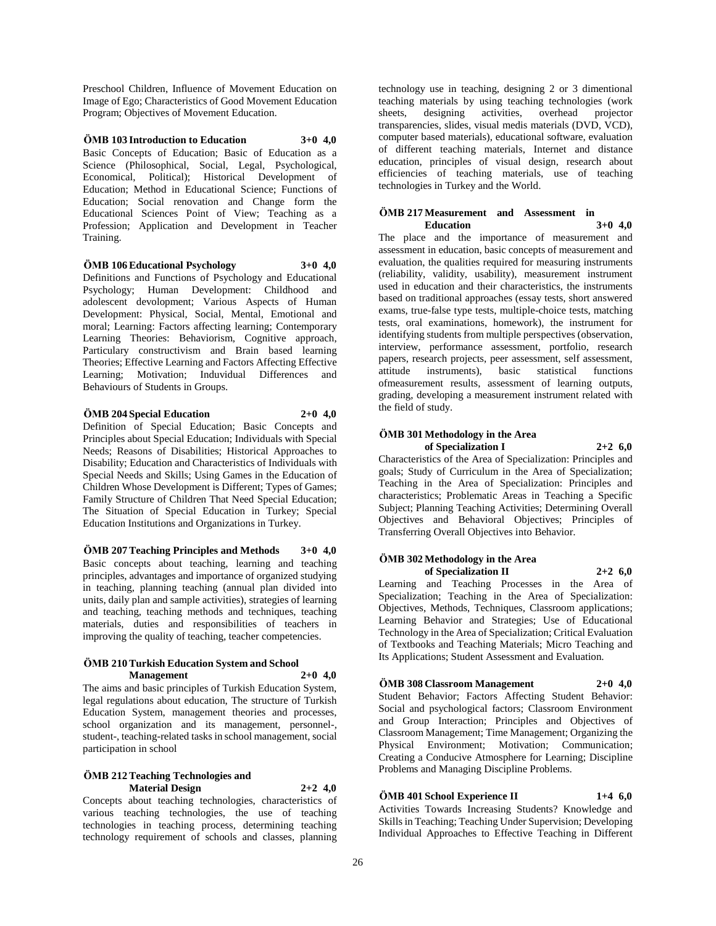Preschool Children, Influence of Movement Education on Image of Ego; Characteristics of Good Movement Education Program; Objectives of Movement Education.

## **ÖMB 103 Introduction to Education 3+0 4,0**

Basic Concepts of Education; Basic of Education as a Science (Philosophical, Social, Legal, Psychological, Economical, Political); Historical Development of Education; Method in Educational Science; Functions of Education; Social renovation and Change form the Educational Sciences Point of View; Teaching as a Profession; Application and Development in Teacher Training.

## **ÖMB 106 Educational Psychology 3+0 4,0**

Definitions and Functions of Psychology and Educational Psychology; Human Development: Childhood and adolescent devolopment; Various Aspects of Human Development: Physical, Social, Mental, Emotional and moral; Learning: Factors affecting learning; Contemporary Learning Theories: Behaviorism, Cognitive approach, Particulary constructivism and Brain based learning Theories; Effective Learning and Factors Affecting Effective Learning; Motivation; Induvidual Differences and Behaviours of Students in Groups.

## **ÖMB 204 Special Education 2+0 4,0**

Definition of Special Education; Basic Concepts and Principles about Special Education; Individuals with Special Needs; Reasons of Disabilities; Historical Approaches to Disability; Education and Characteristics of Individuals with Special Needs and Skills; Using Games in the Education of Children Whose Development is Different; Types of Games; Family Structure of Children That Need Special Education; The Situation of Special Education in Turkey; Special Education Institutions and Organizations in Turkey.

## **ÖMB 207 Teaching Principles and Methods 3+0 4,0** Basic concepts about teaching, learning and teaching principles, advantages and importance of organized studying in teaching, planning teaching (annual plan divided into units, daily plan and sample activities), strategies of learning and teaching, teaching methods and techniques, teaching materials, duties and responsibilities of teachers in improving the quality of teaching, teacher competencies.

## **ÖMB 210 Turkish Education System and School Management 2+0 4,0**

The aims and basic principles of Turkish Education System, legal regulations about education, The structure of Turkish Education System, management theories and processes, school organization and its management, personnel-, student-, teaching-related tasks in school management, social participation in school

#### **ÖMB 212 Teaching Technologies and Material Design 2+2 4,0**

Concepts about teaching technologies, characteristics of various teaching technologies, the use of teaching technologies in teaching process, determining teaching technology requirement of schools and classes, planning

technology use in teaching, designing 2 or 3 dimentional teaching materials by using teaching technologies (work<br>sheets, designing activities, overhead projector sheets, designing activities, overhead projector transparencies, slides, visual medis materials (DVD, VCD), computer based materials), educational software, evaluation of different teaching materials, Internet and distance education, principles of visual design, research about efficiencies of teaching materials, use of teaching technologies in Turkey and the World.

## **ÖMB 217 Measurement and Assessment in Education 3+0 4,0**

The place and the importance of measurement and assessment in education, basic concepts of measurement and evaluation, the qualities required for measuring instruments (reliability, validity, usability), measurement instrument used in education and their characteristics, the instruments based on traditional approaches (essay tests, short answered exams, true-false type tests, multiple-choice tests, matching tests, oral examinations, homework), the instrument for identifying students from multiple perspectives (observation, interview, performance assessment, portfolio, research papers, research projects, peer assessment, self assessment, attitude instruments), basic statistical functions ofmeasurement results, assessment of learning outputs, grading, developing a measurement instrument related with the field of study.

## **ÖMB 301 Methodology in the Area of Specialization I 2+2 6,0**

Characteristics of the Area of Specialization: Principles and goals; Study of Curriculum in the Area of Specialization; Teaching in the Area of Specialization: Principles and characteristics; Problematic Areas in Teaching a Specific Subject; Planning Teaching Activities; Determining Overall Objectives and Behavioral Objectives; Principles of Transferring Overall Objectives into Behavior.

## **ÖMB 302 Methodology in the Area of Specialization II 2+2 6,0**

Learning and Teaching Processes in the Area of Specialization; Teaching in the Area of Specialization: Objectives, Methods, Techniques, Classroom applications; Learning Behavior and Strategies; Use of Educational Technology in the Area of Specialization; Critical Evaluation of Textbooks and Teaching Materials; Micro Teaching and Its Applications; Student Assessment and Evaluation.

## **ÖMB 308 Classroom Management 2+0 4,0**

Student Behavior; Factors Affecting Student Behavior: Social and psychological factors; Classroom Environment and Group Interaction; Principles and Objectives of Classroom Management; Time Management; Organizing the Physical Environment; Motivation; Communication; Creating a Conducive Atmosphere for Learning; Discipline Problems and Managing Discipline Problems.

## **ÖMB 401 School Experience II 1+4 6,0**

Activities Towards Increasing Students? Knowledge and Skills in Teaching; Teaching Under Supervision; Developing Individual Approaches to Effective Teaching in Different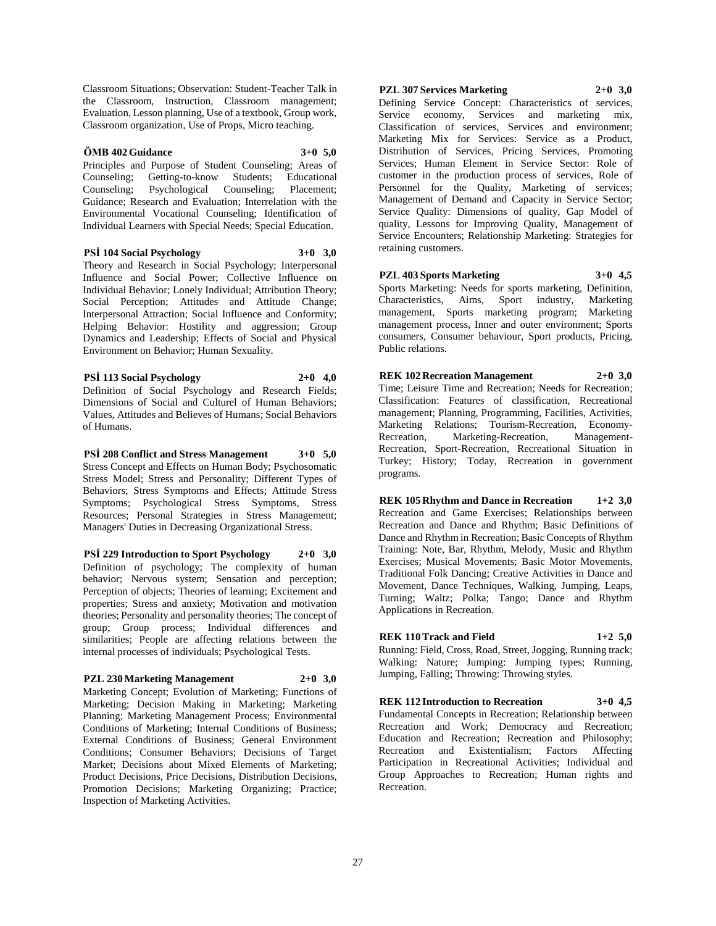Classroom Situations; Observation: Student-Teacher Talk in the Classroom, Instruction, Classroom management; Evaluation, Lesson planning, Use of a textbook, Group work, Classroom organization, Use of Props, Micro teaching.

#### **ÖMB 402 Guidance 3+0 5,0**

Principles and Purpose of Student Counseling; Areas of Counseling; Getting-to-know Students; Educational Counseling; Psychological Counseling; Placement; Guidance; Research and Evaluation; Interrelation with the Environmental Vocational Counseling; Identification of Individual Learners with Special Needs; Special Education.

#### **PSİ 104 Social Psychology 3+0 3,0**

Theory and Research in Social Psychology; Interpersonal Influence and Social Power; Collective Influence on Individual Behavior; Lonely Individual; Attribution Theory; Social Perception; Attitudes and Attitude Change; Interpersonal Attraction; Social Influence and Conformity; Helping Behavior: Hostility and aggression; Group Dynamics and Leadership; Effects of Social and Physical Environment on Behavior; Human Sexuality.

## **PSİ 113 Social Psychology 2+0 4,0**

Definition of Social Psychology and Research Fields; Dimensions of Social and Culturel of Human Behaviors; Values, Attitudes and Believes of Humans; Social Behaviors of Humans.

**PSİ 208 Conflict and Stress Management 3+0 5,0** Stress Concept and Effects on Human Body; Psychosomatic Stress Model; Stress and Personality; Different Types of Behaviors; Stress Symptoms and Effects; Attitude Stress Symptoms; Psychological Stress Symptoms, Stress Resources; Personal Strategies in Stress Management; Managers' Duties in Decreasing Organizational Stress.

**PSİ 229 Introduction to Sport Psychology 2+0 3,0** Definition of psychology; The complexity of human behavior; Nervous system; Sensation and perception; Perception of objects; Theories of learning; Excitement and properties; Stress and anxiety; Motivation and motivation theories; Personality and personality theories; The concept of group; Group process; Individual differences and similarities; People are affecting relations between the internal processes of individuals; Psychological Tests.

## **PZL 230 Marketing Management 2+0 3,0**

Marketing Concept; Evolution of Marketing; Functions of Marketing; Decision Making in Marketing; Marketing Planning; Marketing Management Process; Environmental Conditions of Marketing; Internal Conditions of Business; External Conditions of Business; General Environment Conditions; Consumer Behaviors; Decisions of Target Market; Decisions about Mixed Elements of Marketing; Product Decisions, Price Decisions, Distribution Decisions, Promotion Decisions; Marketing Organizing; Practice; Inspection of Marketing Activities.

## **PZL 307 Services Marketing 2+0 3,0**

Defining Service Concept: Characteristics of services, Service economy, Services and marketing mix, Classification of services, Services and environment; Marketing Mix for Services: Service as a Product, Distribution of Services, Pricing Services, Promoting Services; Human Element in Service Sector: Role of customer in the production process of services, Role of Personnel for the Quality, Marketing of services; Management of Demand and Capacity in Service Sector; Service Quality: Dimensions of quality, Gap Model of quality, Lessons for Improving Quality, Management of Service Encounters; Relationship Marketing: Strategies for retaining customers.

**PZL 403 Sports Marketing 3+0 4,5**

Sports Marketing: Needs for sports marketing, Definition, Characteristics, Aims, Sport industry, Marketing management, Sports marketing program; Marketing management process, Inner and outer environment; Sports consumers, Consumer behaviour, Sport products, Pricing, Public relations.

**REK 102 Recreation Management 2+0 3,0** Time; Leisure Time and Recreation; Needs for Recreation; Classification: Features of classification, Recreational management; Planning, Programming, Facilities, Activities, Marketing Relations; Tourism-Recreation, Economy-Recreation, Marketing-Recreation, Management-Recreation, Sport-Recreation, Recreational Situation in Turkey; History; Today, Recreation in government programs.

**REK 105 Rhythm and Dance in Recreation 1+2 3,0** Recreation and Game Exercises; Relationships between Recreation and Dance and Rhythm; Basic Definitions of Dance and Rhythm in Recreation; Basic Concepts of Rhythm Training: Note, Bar, Rhythm, Melody, Music and Rhythm Exercises; Musical Movements; Basic Motor Movements, Traditional Folk Dancing; Creative Activities in Dance and Movement, Dance Techniques, Walking, Jumping, Leaps, Turning; Waltz; Polka; Tango; Dance and Rhythm Applications in Recreation.

## **REK 110 Track and Field 1+2 5,0**

Running: Field, Cross, Road, Street, Jogging, Running track; Walking: Nature; Jumping: Jumping types; Running, Jumping, Falling; Throwing: Throwing styles.

**REK 112 Introduction to Recreation 3+0 4,5** Fundamental Concepts in Recreation; Relationship between Recreation and Work; Democracy and Recreation; Education and Recreation; Recreation and Philosophy; Recreation and Existentialism; Factors Affecting Participation in Recreational Activities; Individual and Group Approaches to Recreation; Human rights and Recreation.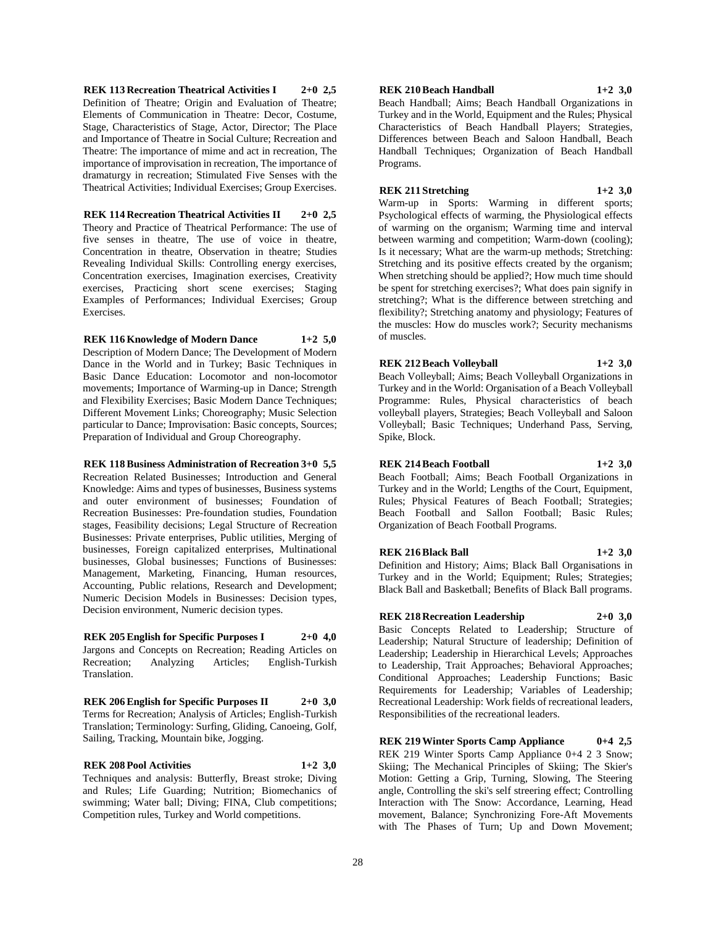**REK 113 Recreation Theatrical Activities I 2+0 2,5** Definition of Theatre; Origin and Evaluation of Theatre; Elements of Communication in Theatre: Decor, Costume, Stage, Characteristics of Stage, Actor, Director; The Place and Importance of Theatre in Social Culture; Recreation and Theatre: The importance of mime and act in recreation, The importance of improvisation in recreation, The importance of dramaturgy in recreation; Stimulated Five Senses with the Theatrical Activities; Individual Exercises; Group Exercises.

**REK 114 Recreation Theatrical Activities II 2+0 2,5** Theory and Practice of Theatrical Performance: The use of five senses in theatre, The use of voice in theatre, Concentration in theatre, Observation in theatre; Studies Revealing Individual Skills: Controlling energy exercises, Concentration exercises, Imagination exercises, Creativity exercises, Practicing short scene exercises; Staging Examples of Performances; Individual Exercises; Group Exercises.

**REK 116 Knowledge of Modern Dance 1+2 5,0**

Description of Modern Dance; The Development of Modern Dance in the World and in Turkey; Basic Techniques in Basic Dance Education: Locomotor and non-locomotor movements; Importance of Warming-up in Dance; Strength and Flexibility Exercises; Basic Modern Dance Techniques; Different Movement Links; Choreography; Music Selection particular to Dance; Improvisation: Basic concepts, Sources; Preparation of Individual and Group Choreography.

**REK 118 Business Administration of Recreation 3+0 5,5**

Recreation Related Businesses; Introduction and General Knowledge: Aims and types of businesses, Business systems and outer environment of businesses; Foundation of Recreation Businesses: Pre-foundation studies, Foundation stages, Feasibility decisions; Legal Structure of Recreation Businesses: Private enterprises, Public utilities, Merging of businesses, Foreign capitalized enterprises, Multinational businesses, Global businesses; Functions of Businesses: Management, Marketing, Financing, Human resources, Accounting, Public relations, Research and Development; Numeric Decision Models in Businesses: Decision types, Decision environment, Numeric decision types.

**REK 205 English for Specific Purposes I 2+0 4,0** Jargons and Concepts on Recreation; Reading Articles on Analyzing Articles; English-Turkish Translation.

**REK 206 English for Specific Purposes II 2+0 3,0** Terms for Recreation; Analysis of Articles; English-Turkish Translation; Terminology: Surfing, Gliding, Canoeing, Golf, Sailing, Tracking, Mountain bike, Jogging.

**REK 208 Pool Activities 1+2 3,0** Techniques and analysis: Butterfly, Breast stroke; Diving and Rules; Life Guarding; Nutrition; Biomechanics of swimming; Water ball; Diving; FINA, Club competitions; Competition rules, Turkey and World competitions.

**REK 210 Beach Handball 1+2 3,0**

Beach Handball; Aims; Beach Handball Organizations in Turkey and in the World, Equipment and the Rules; Physical Characteristics of Beach Handball Players; Strategies, Differences between Beach and Saloon Handball, Beach Handball Techniques; Organization of Beach Handball Programs.

**REK 211 Stretching 1+2 3,0**

Warm-up in Sports: Warming in different sports; Psychological effects of warming, the Physiological effects of warming on the organism; Warming time and interval between warming and competition; Warm-down (cooling); Is it necessary; What are the warm-up methods; Stretching: Stretching and its positive effects created by the organism; When stretching should be applied?; How much time should be spent for stretching exercises?; What does pain signify in stretching?; What is the difference between stretching and flexibility?; Stretching anatomy and physiology; Features of the muscles: How do muscles work?; Security mechanisms of muscles.

**REK 212 Beach Volleyball 1+2 3,0** Beach Volleyball; Aims; Beach Volleyball Organizations in Turkey and in the World: Organisation of a Beach Volleyball Programme: Rules, Physical characteristics of beach volleyball players, Strategies; Beach Volleyball and Saloon Volleyball; Basic Techniques; Underhand Pass, Serving, Spike, Block.

## **REK 214 Beach Football 1+2 3,0**

Beach Football; Aims; Beach Football Organizations in Turkey and in the World; Lengths of the Court, Equipment, Rules; Physical Features of Beach Football; Strategies; Beach Football and Sallon Football; Basic Rules; Organization of Beach Football Programs.

## **REK 216 Black Ball 1+2 3,0**

Definition and History; Aims; Black Ball Organisations in Turkey and in the World; Equipment; Rules; Strategies; Black Ball and Basketball; Benefits of Black Ball programs.

## **REK 218 Recreation Leadership 2+0 3,0**

Basic Concepts Related to Leadership; Structure of Leadership; Natural Structure of leadership; Definition of Leadership; Leadership in Hierarchical Levels; Approaches to Leadership, Trait Approaches; Behavioral Approaches; Conditional Approaches; Leadership Functions; Basic Requirements for Leadership; Variables of Leadership; Recreational Leadership: Work fields of recreational leaders, Responsibilities of the recreational leaders.

**REK 219 Winter Sports Camp Appliance 0+4 2,5** REK 219 Winter Sports Camp Appliance 0+4 2 3 Snow; Skiing; The Mechanical Principles of Skiing; The Skier's Motion: Getting a Grip, Turning, Slowing, The Steering angle, Controlling the ski's self streering effect; Controlling Interaction with The Snow: Accordance, Learning, Head movement, Balance; Synchronizing Fore-Aft Movements with The Phases of Turn; Up and Down Movement;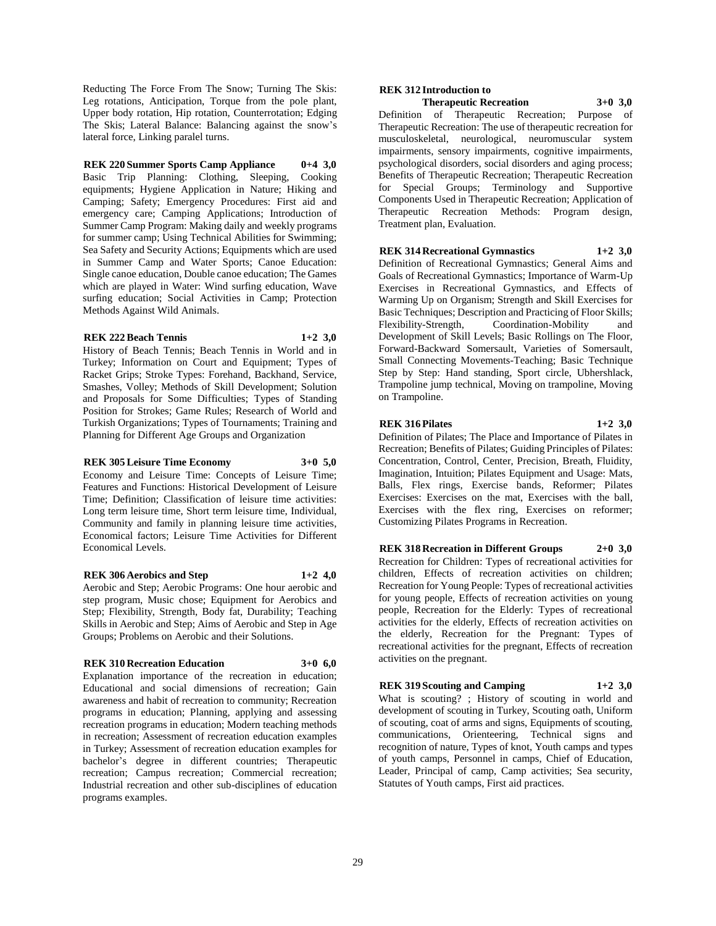Reducting The Force From The Snow; Turning The Skis: Leg rotations, Anticipation, Torque from the pole plant, Upper body rotation, Hip rotation, Counterrotation; Edging The Skis; Lateral Balance: Balancing against the snow's lateral force, Linking paralel turns.

**REK 220 Summer Sports Camp Appliance 0+4 3,0** Basic Trip Planning: Clothing, Sleeping, Cooking equipments; Hygiene Application in Nature; Hiking and Camping; Safety; Emergency Procedures: First aid and emergency care; Camping Applications; Introduction of Summer Camp Program: Making daily and weekly programs for summer camp; Using Technical Abilities for Swimming; Sea Safety and Security Actions; Equipments which are used in Summer Camp and Water Sports; Canoe Education: Single canoe education, Double canoe education; The Games which are played in Water: Wind surfing education, Wave surfing education; Social Activities in Camp; Protection Methods Against Wild Animals.

## **REK 222 Beach Tennis 1+2 3,0**

History of Beach Tennis; Beach Tennis in World and in Turkey; Information on Court and Equipment; Types of Racket Grips; Stroke Types: Forehand, Backhand, Service, Smashes, Volley; Methods of Skill Development; Solution and Proposals for Some Difficulties; Types of Standing Position for Strokes; Game Rules; Research of World and Turkish Organizations; Types of Tournaments; Training and Planning for Different Age Groups and Organization

#### **REK 305 Leisure Time Economy 3+0 5,0**

Economy and Leisure Time: Concepts of Leisure Time; Features and Functions: Historical Development of Leisure Time; Definition; Classification of leisure time activities: Long term leisure time, Short term leisure time, Individual, Community and family in planning leisure time activities, Economical factors; Leisure Time Activities for Different Economical Levels.

## **REK 306 Aerobics and Step 1+2 4,0**

Aerobic and Step; Aerobic Programs: One hour aerobic and step program, Music chose; Equipment for Aerobics and Step; Flexibility, Strength, Body fat, Durability; Teaching Skills in Aerobic and Step; Aims of Aerobic and Step in Age Groups; Problems on Aerobic and their Solutions.

## **REK 310 Recreation Education 3+0 6,0**

Explanation importance of the recreation in education; Educational and social dimensions of recreation; Gain awareness and habit of recreation to community; Recreation programs in education; Planning, applying and assessing recreation programs in education; Modern teaching methods in recreation; Assessment of recreation education examples in Turkey; Assessment of recreation education examples for bachelor's degree in different countries; Therapeutic recreation; Campus recreation; Commercial recreation; Industrial recreation and other sub-disciplines of education programs examples.

## **REK 312 Introduction to**

**Therapeutic Recreation 3+0 3,0** Definition of Therapeutic Recreation; Purpose of Therapeutic Recreation: The use of therapeutic recreation for musculoskeletal, neurological, neuromuscular system impairments, sensory impairments, cognitive impairments, psychological disorders, social disorders and aging process; Benefits of Therapeutic Recreation; Therapeutic Recreation for Special Groups; Terminology and Supportive Components Used in Therapeutic Recreation; Application of Therapeutic Recreation Methods: Program design, Treatment plan, Evaluation.

## **REK 314 Recreational Gymnastics 1+2 3,0**

Definition of Recreational Gymnastics; General Aims and Goals of Recreational Gymnastics; Importance of Warm-Up Exercises in Recreational Gymnastics, and Effects of Warming Up on Organism; Strength and Skill Exercises for Basic Techniques; Description and Practicing of Floor Skills; Flexibility-Strength, Coordination-Mobility and Development of Skill Levels; Basic Rollings on The Floor, Forward-Backward Somersault, Varieties of Somersault, Small Connecting Movements-Teaching; Basic Technique Step by Step: Hand standing, Sport circle, Ubhershlack, Trampoline jump technical, Moving on trampoline, Moving on Trampoline.

## **REK 316 Pilates 1+2 3,0**

Definition of Pilates; The Place and Importance of Pilates in Recreation; Benefits of Pilates; Guiding Principles of Pilates: Concentration, Control, Center, Precision, Breath, Fluidity, Imagination, Intuition; Pilates Equipment and Usage: Mats, Balls, Flex rings, Exercise bands, Reformer; Pilates Exercises: Exercises on the mat, Exercises with the ball, Exercises with the flex ring, Exercises on reformer; Customizing Pilates Programs in Recreation.

## **REK 318 Recreation in Different Groups 2+0 3,0** Recreation for Children: Types of recreational activities for children, Effects of recreation activities on children; Recreation for Young People: Types of recreational activities

for young people, Effects of recreation activities on young people, Recreation for the Elderly: Types of recreational activities for the elderly, Effects of recreation activities on the elderly, Recreation for the Pregnant: Types of recreational activities for the pregnant, Effects of recreation activities on the pregnant.

# **REK 319 Scouting and Camping 1+2 3,0** What is scouting? ; History of scouting in world and

development of scouting in Turkey, Scouting oath, Uniform of scouting, coat of arms and signs, Equipments of scouting, communications, Orienteering, Technical signs and recognition of nature, Types of knot, Youth camps and types of youth camps, Personnel in camps, Chief of Education, Leader, Principal of camp, Camp activities; Sea security, Statutes of Youth camps, First aid practices.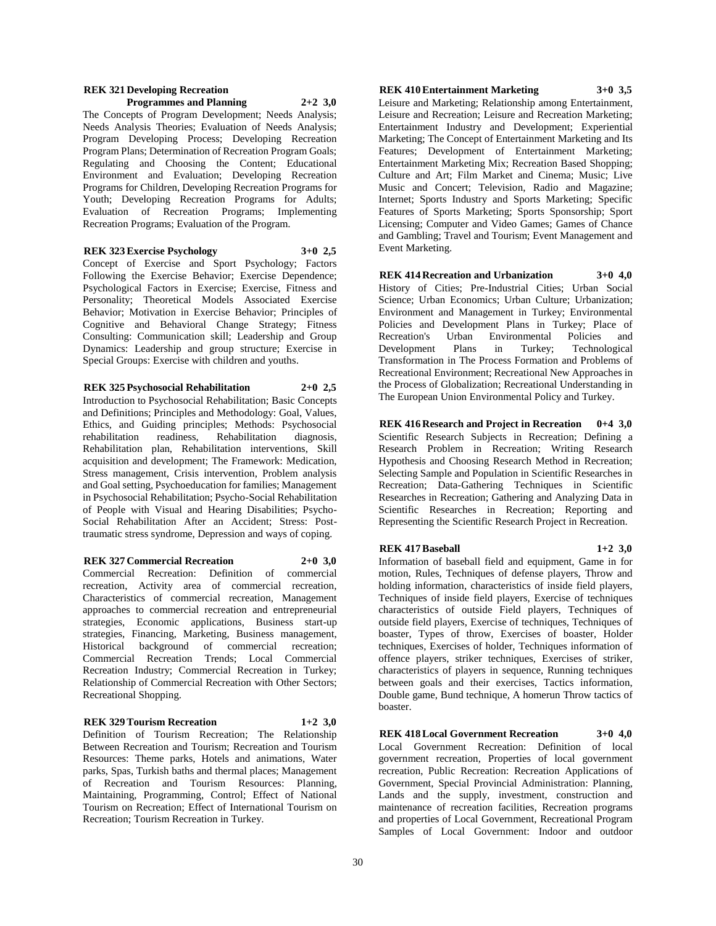#### **REK 321 Developing Recreation Programmes and Planning 2+2 3,0**

The Concepts of Program Development; Needs Analysis; Needs Analysis Theories; Evaluation of Needs Analysis; Program Developing Process; Developing Recreation Program Plans; Determination of Recreation Program Goals; Regulating and Choosing the Content; Educational Environment and Evaluation; Developing Recreation Programs for Children, Developing Recreation Programs for Youth; Developing Recreation Programs for Adults; Evaluation of Recreation Programs; Implementing Recreation Programs; Evaluation of the Program.

## **REK 323 Exercise Psychology 3+0 2,5**

Concept of Exercise and Sport Psychology; Factors Following the Exercise Behavior; Exercise Dependence; Psychological Factors in Exercise; Exercise, Fitness and Personality; Theoretical Models Associated Exercise Behavior; Motivation in Exercise Behavior; Principles of Cognitive and Behavioral Change Strategy; Fitness Consulting: Communication skill; Leadership and Group Dynamics: Leadership and group structure; Exercise in Special Groups: Exercise with children and youths.

## **REK 325 Psychosocial Rehabilitation 2+0 2,5**

Introduction to Psychosocial Rehabilitation; Basic Concepts and Definitions; Principles and Methodology: Goal, Values, Ethics, and Guiding principles; Methods: Psychosocial rehabilitation readiness. Rehabilitation diagnosis. rehabilitation readiness, Rehabilitation diagnosis, Rehabilitation plan, Rehabilitation interventions, Skill acquisition and development; The Framework: Medication, Stress management, Crisis intervention, Problem analysis and Goal setting, Psychoeducation for families; Management in Psychosocial Rehabilitation; Psycho-Social Rehabilitation of People with Visual and Hearing Disabilities; Psycho-Social Rehabilitation After an Accident; Stress: Posttraumatic stress syndrome, Depression and ways of coping.

## **REK 327 Commercial Recreation 2+0 3,0**

Commercial Recreation: Definition of commercial recreation, Activity area of commercial recreation, Characteristics of commercial recreation, Management approaches to commercial recreation and entrepreneurial strategies, Economic applications, Business start-up strategies, Financing, Marketing, Business management, Historical background of commercial recreation; Commercial Recreation Trends; Local Commercial Recreation Industry; Commercial Recreation in Turkey; Relationship of Commercial Recreation with Other Sectors; Recreational Shopping.

## **REK 329 Tourism Recreation 1+2 3,0**

Definition of Tourism Recreation; The Relationship Between Recreation and Tourism; Recreation and Tourism Resources: Theme parks, Hotels and animations, Water parks, Spas, Turkish baths and thermal places; Management of Recreation and Tourism Resources: Planning, Maintaining, Programming, Control; Effect of National Tourism on Recreation; Effect of International Tourism on Recreation; Tourism Recreation in Turkey.

## **REK 410 Entertainment Marketing 3+0 3,5**

Leisure and Marketing; Relationship among Entertainment, Leisure and Recreation; Leisure and Recreation Marketing; Entertainment Industry and Development; Experiential Marketing; The Concept of Entertainment Marketing and Its Features; Development of Entertainment Marketing; Entertainment Marketing Mix; Recreation Based Shopping; Culture and Art; Film Market and Cinema; Music; Live Music and Concert; Television, Radio and Magazine; Internet; Sports Industry and Sports Marketing; Specific Features of Sports Marketing; Sports Sponsorship; Sport Licensing; Computer and Video Games; Games of Chance and Gambling; Travel and Tourism; Event Management and Event Marketing.

**REK 414 Recreation and Urbanization 3+0 4,0** History of Cities; Pre-Industrial Cities; Urban Social Science; Urban Economics; Urban Culture; Urbanization; Environment and Management in Turkey; Environmental Policies and Development Plans in Turkey; Place of Recreation's Urban Environmental Policies and Development Plans in Turkey; Technological Transformation in The Process Formation and Problems of Recreational Environment; Recreational New Approaches in the Process of Globalization; Recreational Understanding in The European Union Environmental Policy and Turkey.

**REK 416 Research and Project in Recreation 0+4 3,0** Scientific Research Subjects in Recreation; Defining a Research Problem in Recreation; Writing Research Hypothesis and Choosing Research Method in Recreation; Selecting Sample and Population in Scientific Researches in Recreation; Data-Gathering Techniques in Scientific Researches in Recreation; Gathering and Analyzing Data in Scientific Researches in Recreation; Reporting and Representing the Scientific Research Project in Recreation.

## **REK 417 Baseball 1+2 3,0**

Information of baseball field and equipment, Game in for motion, Rules, Techniques of defense players, Throw and holding information, characteristics of inside field players, Techniques of inside field players, Exercise of techniques characteristics of outside Field players, Techniques of outside field players, Exercise of techniques, Techniques of boaster, Types of throw, Exercises of boaster, Holder techniques, Exercises of holder, Techniques information of offence players, striker techniques, Exercises of striker, characteristics of players in sequence, Running techniques between goals and their exercises, Tactics information, Double game, Bund technique, A homerun Throw tactics of boaster.

**REK 418 Local Government Recreation 3+0 4,0** Local Government Recreation: Definition of local government recreation, Properties of local government recreation, Public Recreation: Recreation Applications of Government, Special Provincial Administration: Planning, Lands and the supply, investment, construction and maintenance of recreation facilities, Recreation programs and properties of Local Government, Recreational Program Samples of Local Government: Indoor and outdoor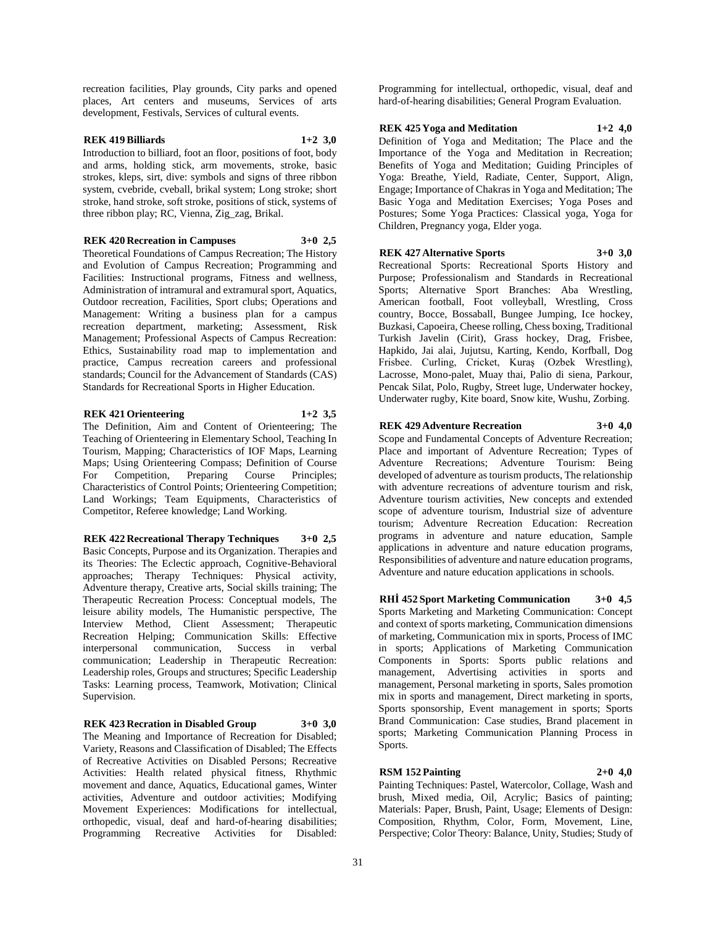recreation facilities, Play grounds, City parks and opened places, Art centers and museums, Services of arts development, Festivals, Services of cultural events.

## **REK 419 Billiards 1+2 3,0**

Introduction to billiard, foot an floor, positions of foot, body and arms, holding stick, arm movements, stroke, basic strokes, kleps, sirt, dive: symbols and signs of three ribbon system, cvebride, cveball, brikal system; Long stroke; short stroke, hand stroke, soft stroke, positions of stick, systems of three ribbon play; RC, Vienna, Zig\_zag, Brikal.

**REK 420 Recreation in Campuses 3+0 2,5**

Theoretical Foundations of Campus Recreation; The History and Evolution of Campus Recreation; Programming and Facilities: Instructional programs, Fitness and wellness, Administration of intramural and extramural sport, Aquatics, Outdoor recreation, Facilities, Sport clubs; Operations and Management: Writing a business plan for a campus recreation department, marketing; Assessment, Risk Management; Professional Aspects of Campus Recreation: Ethics, Sustainability road map to implementation and practice, Campus recreation careers and professional standards; Council for the Advancement of Standards (CAS) Standards for Recreational Sports in Higher Education.

## **REK 421 Orienteering 1+2 3,5**

The Definition, Aim and Content of Orienteering; The Teaching of Orienteering in Elementary School, Teaching In Tourism, Mapping; Characteristics of IOF Maps, Learning Maps; Using Orienteering Compass; Definition of Course For Competition, Preparing Course Principles; Characteristics of Control Points; Orienteering Competition; Land Workings; Team Equipments, Characteristics of Competitor, Referee knowledge; Land Working.

**REK 422 Recreational Therapy Techniques 3+0 2,5** Basic Concepts, Purpose and its Organization. Therapies and its Theories: The Eclectic approach, Cognitive-Behavioral approaches; Therapy Techniques: Physical activity, Adventure therapy, Creative arts, Social skills training; The Therapeutic Recreation Process: Conceptual models, The leisure ability models, The Humanistic perspective, The Interview Method, Client Assessment; Therapeutic Recreation Helping; Communication Skills: Effective interpersonal communication, Success in verbal communication; Leadership in Therapeutic Recreation: Leadership roles, Groups and structures; Specific Leadership Tasks: Learning process, Teamwork, Motivation; Clinical Supervision.

**REK 423 Recration in Disabled Group 3+0 3,0**

The Meaning and Importance of Recreation for Disabled; Variety, Reasons and Classification of Disabled; The Effects of Recreative Activities on Disabled Persons; Recreative Activities: Health related physical fitness, Rhythmic movement and dance, Aquatics, Educational games, Winter activities, Adventure and outdoor activities; Modifying Movement Experiences: Modifications for intellectual, orthopedic, visual, deaf and hard-of-hearing disabilities; Programming Recreative Activities for Disabled:

Programming for intellectual, orthopedic, visual, deaf and hard-of-hearing disabilities; General Program Evaluation.

**REK 425 Yoga and Meditation 1+2 4,0**

Definition of Yoga and Meditation; The Place and the Importance of the Yoga and Meditation in Recreation; Benefits of Yoga and Meditation; Guiding Principles of Yoga: Breathe, Yield, Radiate, Center, Support, Align, Engage; Importance of Chakras in Yoga and Meditation; The Basic Yoga and Meditation Exercises; Yoga Poses and Postures; Some Yoga Practices: Classical yoga, Yoga for Children, Pregnancy yoga, Elder yoga.

#### **REK 427 Alternative Sports 3+0 3,0**

Recreational Sports: Recreational Sports History and Purpose; Professionalism and Standards in Recreational Sports; Alternative Sport Branches: Aba Wrestling, American football, Foot volleyball, Wrestling, Cross country, Bocce, Bossaball, Bungee Jumping, Ice hockey, Buzkasi, Capoeira, Cheese rolling, Chess boxing, Traditional Turkish Javelin (Cirit), Grass hockey, Drag, Frisbee, Hapkido, Jai alai, Jujutsu, Karting, Kendo, Korfball, Dog Frisbee. Curling, Cricket, Kuraş (Ozbek Wrestling), Lacrosse, Mono-palet, Muay thai, Palio di siena, Parkour, Pencak Silat, Polo, Rugby, Street luge, Underwater hockey, Underwater rugby, Kite board, Snow kite, Wushu, Zorbing.

**REK 429 Adventure Recreation 3+0 4,0**

Scope and Fundamental Concepts of Adventure Recreation; Place and important of Adventure Recreation; Types of Adventure Recreations; Adventure Tourism: Being developed of adventure as tourism products, The relationship with adventure recreations of adventure tourism and risk, Adventure tourism activities, New concepts and extended scope of adventure tourism, Industrial size of adventure tourism; Adventure Recreation Education: Recreation programs in adventure and nature education, Sample applications in adventure and nature education programs, Responsibilities of adventure and nature education programs, Adventure and nature education applications in schools.

**RHİ 452 Sport Marketing Communication 3+0 4,5** Sports Marketing and Marketing Communication: Concept and context of sports marketing, Communication dimensions of marketing, Communication mix in sports, Process of IMC in sports; Applications of Marketing Communication Components in Sports: Sports public relations and management, Advertising activities in sports and management, Personal marketing in sports, Sales promotion mix in sports and management, Direct marketing in sports, Sports sponsorship, Event management in sports; Sports Brand Communication: Case studies, Brand placement in sports; Marketing Communication Planning Process in Sports.

## **RSM 152 Painting 2+0 4,0**

Painting Techniques: Pastel, Watercolor, Collage, Wash and brush, Mixed media, Oil, Acrylic; Basics of painting; Materials: Paper, Brush, Paint, Usage; Elements of Design: Composition, Rhythm, Color, Form, Movement, Line, Perspective; Color Theory: Balance, Unity, Studies; Study of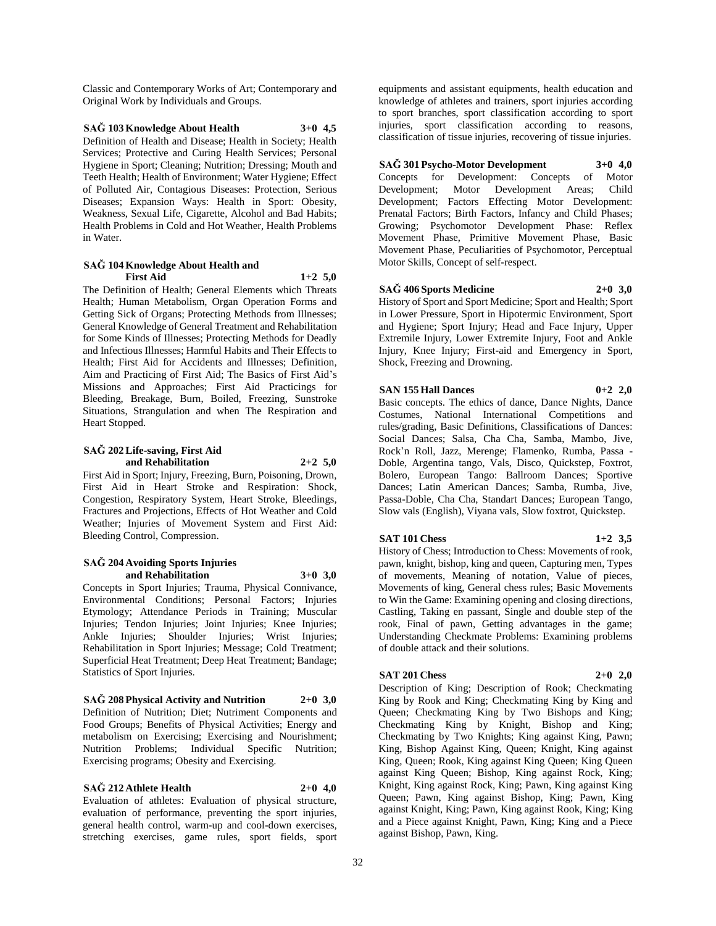Classic and Contemporary Works of Art; Contemporary and Original Work by Individuals and Groups.

**SAĞ 103 Knowledge About Health 3+0 4,5** Definition of Health and Disease; Health in Society; Health Services; Protective and Curing Health Services; Personal Hygiene in Sport; Cleaning; Nutrition; Dressing; Mouth and Teeth Health; Health of Environment; Water Hygiene; Effect of Polluted Air, Contagious Diseases: Protection, Serious Diseases; Expansion Ways: Health in Sport: Obesity, Weakness, Sexual Life, Cigarette, Alcohol and Bad Habits; Health Problems in Cold and Hot Weather, Health Problems in Water.

## **SAĞ 104 Knowledge About Health and First Aid 1+2 5,0**

The Definition of Health; General Elements which Threats Health; Human Metabolism, Organ Operation Forms and Getting Sick of Organs; Protecting Methods from Illnesses; General Knowledge of General Treatment and Rehabilitation for Some Kinds of Illnesses; Protecting Methods for Deadly and Infectious Illnesses; Harmful Habits and Their Effects to Health; First Aid for Accidents and Illnesses; Definition, Aim and Practicing of First Aid; The Basics of First Aid's Missions and Approaches; First Aid Practicings for Bleeding, Breakage, Burn, Boiled, Freezing, Sunstroke Situations, Strangulation and when The Respiration and Heart Stopped.

#### **SAĞ 202 Life-saving, First Aid and Rehabilitation 2+2 5,0**

First Aid in Sport; Injury, Freezing, Burn, Poisoning, Drown, First Aid in Heart Stroke and Respiration: Shock, Congestion, Respiratory System, Heart Stroke, Bleedings, Fractures and Projections, Effects of Hot Weather and Cold Weather; Injuries of Movement System and First Aid: Bleeding Control, Compression.

#### **SAĞ 204 Avoiding Sports Injuries and Rehabilitation 3+0 3,0**

Concepts in Sport Injuries; Trauma, Physical Connivance, Environmental Conditions; Personal Factors; Injuries Etymology; Attendance Periods in Training; Muscular Injuries; Tendon Injuries; Joint Injuries; Knee Injuries; Ankle Injuries; Shoulder Injuries; Wrist Injuries; Rehabilitation in Sport Injuries; Message; Cold Treatment; Superficial Heat Treatment; Deep Heat Treatment; Bandage; Statistics of Sport Injuries.

**SAĞ 208 Physical Activity and Nutrition 2+0 3,0** Definition of Nutrition; Diet; Nutriment Components and Food Groups; Benefits of Physical Activities; Energy and metabolism on Exercising; Exercising and Nourishment; Nutrition Problems; Individual Specific Nutrition; Exercising programs; Obesity and Exercising.

**SAĞ 212 Athlete Health 2+0 4,0** Evaluation of athletes: Evaluation of physical structure, evaluation of performance, preventing the sport injuries, general health control, warm-up and cool-down exercises, stretching exercises, game rules, sport fields, sport

equipments and assistant equipments, health education and knowledge of athletes and trainers, sport injuries according to sport branches, sport classification according to sport injuries, sport classification according to reasons, classification of tissue injuries, recovering of tissue injuries.

**SAĞ 301 Psycho-Motor Development 3+0 4,0** Concepts for Development: Concepts of Motor Development; Motor Development Areas; Child Development; Factors Effecting Motor Development: Prenatal Factors; Birth Factors, Infancy and Child Phases; Growing; Psychomotor Development Phase: Reflex Movement Phase, Primitive Movement Phase, Basic Movement Phase, Peculiarities of Psychomotor, Perceptual Motor Skills, Concept of self-respect.

**SAĞ 406 Sports Medicine 2+0 3,0** History of Sport and Sport Medicine; Sport and Health; Sport in Lower Pressure, Sport in Hipotermic Environment, Sport and Hygiene; Sport Injury; Head and Face Injury, Upper Extremile Injury, Lower Extremite Injury, Foot and Ankle Injury, Knee Injury; First-aid and Emergency in Sport, Shock, Freezing and Drowning.

## **SAN 155 Hall Dances 0+2 2,0**

Basic concepts. The ethics of dance, Dance Nights, Dance Costumes, National International Competitions and rules/grading, Basic Definitions, Classifications of Dances: Social Dances; Salsa, Cha Cha, Samba, Mambo, Jive, Rock'n Roll, Jazz, Merenge; Flamenko, Rumba, Passa - Doble, Argentina tango, Vals, Disco, Quickstep, Foxtrot, Bolero, European Tango: Ballroom Dances; Sportive Dances; Latin American Dances; Samba, Rumba, Jive, Passa-Doble, Cha Cha, Standart Dances; European Tango, Slow vals (English), Viyana vals, Slow foxtrot, Quickstep.

## **SAT 101 Chess 1+2 3,5**

History of Chess; Introduction to Chess: Movements of rook, pawn, knight, bishop, king and queen, Capturing men, Types of movements, Meaning of notation, Value of pieces, Movements of king, General chess rules; Basic Movements to Win the Game: Examining opening and closing directions, Castling, Taking en passant, Single and double step of the rook, Final of pawn, Getting advantages in the game; Understanding Checkmate Problems: Examining problems of double attack and their solutions.

## **SAT 201 Chess 2+0 2,0**

Description of King; Description of Rook; Checkmating King by Rook and King; Checkmating King by King and Queen; Checkmating King by Two Bishops and King; Checkmating King by Knight, Bishop and King; Checkmating by Two Knights; King against King, Pawn; King, Bishop Against King, Queen; Knight, King against King, Queen; Rook, King against King Queen; King Queen against King Queen; Bishop, King against Rock, King; Knight, King against Rock, King; Pawn, King against King Queen; Pawn, King against Bishop, King; Pawn, King against Knight, King; Pawn, King against Rook, King; King and a Piece against Knight, Pawn, King; King and a Piece against Bishop, Pawn, King.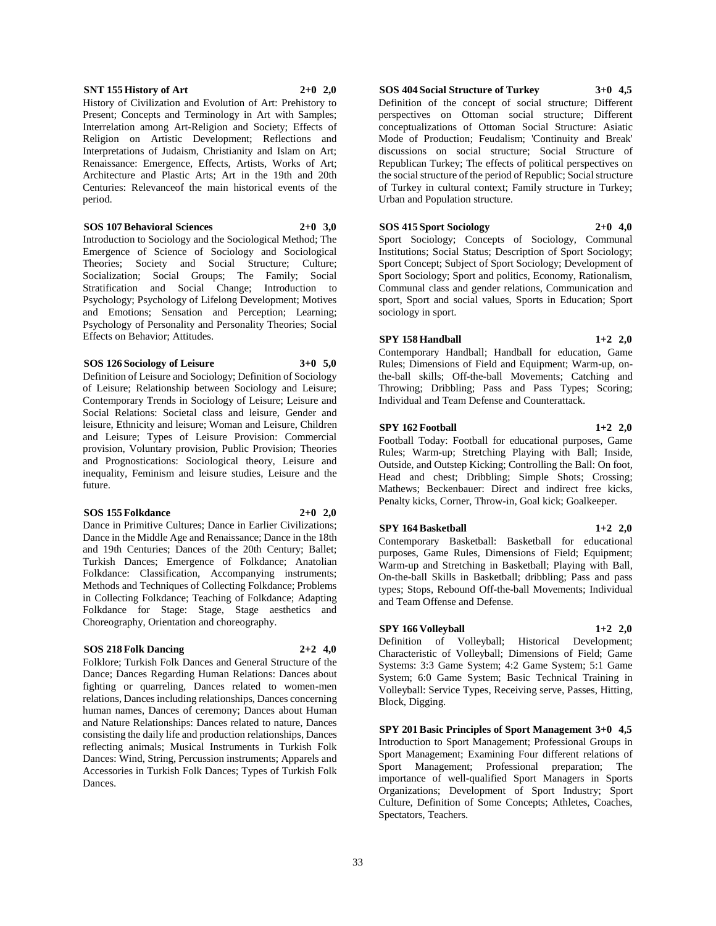#### Renaissance: Emergence, Effects, Artists, Works of Art; Architecture and Plastic Arts; Art in the 19th and 20th

**SOS 107 Behavioral Sciences 2+0 3,0**

Centuries: Relevanceof the main historical events of the

Present; Concepts and Terminology in Art with Samples; Interrelation among Art-Religion and Society; Effects of Religion on Artistic Development; Reflections and Interpretations of Judaism, Christianity and Islam on Art;

Introduction to Sociology and the Sociological Method; The Emergence of Science of Sociology and Sociological Theories; Society and Social Structure; Culture; Socialization; Social Groups; The Family; Social Stratification and Social Change; Introduction to Psychology; Psychology of Lifelong Development; Motives and Emotions; Sensation and Perception; Learning; Psychology of Personality and Personality Theories; Social Effects on Behavior; Attitudes.

#### **SOS 126 Sociology of Leisure 3+0 5,0**

period.

Definition of Leisure and Sociology; Definition of Sociology of Leisure; Relationship between Sociology and Leisure; Contemporary Trends in Sociology of Leisure; Leisure and Social Relations: Societal class and leisure, Gender and leisure, Ethnicity and leisure; Woman and Leisure, Children and Leisure; Types of Leisure Provision: Commercial provision, Voluntary provision, Public Provision; Theories and Prognostications: Sociological theory, Leisure and inequality, Feminism and leisure studies, Leisure and the future.

## **SOS 155 Folkdance 2+0 2,0**

Dance in Primitive Cultures; Dance in Earlier Civilizations; Dance in the Middle Age and Renaissance; Dance in the 18th and 19th Centuries; Dances of the 20th Century; Ballet; Turkish Dances; Emergence of Folkdance; Anatolian Folkdance: Classification, Accompanying instruments; Methods and Techniques of Collecting Folkdance; Problems in Collecting Folkdance; Teaching of Folkdance; Adapting Folkdance for Stage: Stage, Stage aesthetics and Choreography, Orientation and choreography.

## **SOS 218 Folk Dancing 2+2 4,0**

Folklore; Turkish Folk Dances and General Structure of the Dance; Dances Regarding Human Relations: Dances about fighting or quarreling, Dances related to women-men relations, Dances including relationships, Dances concerning human names, Dances of ceremony; Dances about Human and Nature Relationships: Dances related to nature, Dances consisting the daily life and production relationships, Dances reflecting animals; Musical Instruments in Turkish Folk Dances: Wind, String, Percussion instruments; Apparels and Accessories in Turkish Folk Dances; Types of Turkish Folk Dances.

Definition of the concept of social structure; Different perspectives on Ottoman social structure; Different conceptualizations of Ottoman Social Structure: Asiatic Mode of Production; Feudalism; 'Continuity and Break' discussions on social structure; Social Structure of Republican Turkey; The effects of political perspectives on the social structure of the period of Republic; Social structure of Turkey in cultural context; Family structure in Turkey; Urban and Population structure.

## **SOS 415 Sport Sociology 2+0 4,0**

Sport Sociology; Concepts of Sociology, Communal Institutions; Social Status; Description of Sport Sociology; Sport Concept; Subject of Sport Sociology; Development of Sport Sociology; Sport and politics, Economy, Rationalism, Communal class and gender relations, Communication and sport, Sport and social values, Sports in Education; Sport sociology in sport.

## **SPY 158 Handball 1+2 2,0**

Contemporary Handball; Handball for education, Game Rules; Dimensions of Field and Equipment; Warm-up, onthe-ball skills; Off-the-ball Movements; Catching and Throwing; Dribbling; Pass and Pass Types; Scoring; Individual and Team Defense and Counterattack.

#### **SPY 162 Football 1+2 2,0**

Football Today: Football for educational purposes, Game Rules; Warm-up; Stretching Playing with Ball; Inside, Outside, and Outstep Kicking; Controlling the Ball: On foot, Head and chest; Dribbling; Simple Shots; Crossing; Mathews; Beckenbauer: Direct and indirect free kicks, Penalty kicks, Corner, Throw-in, Goal kick; Goalkeeper.

#### **SPY 164 Basketball 1+2 2,0**

Contemporary Basketball: Basketball for educational purposes, Game Rules, Dimensions of Field; Equipment; Warm-up and Stretching in Basketball; Playing with Ball, On-the-ball Skills in Basketball; dribbling; Pass and pass types; Stops, Rebound Off-the-ball Movements; Individual and Team Offense and Defense.

## **SPY 166 Volleyball 1+2 2,0**

Definition of Volleyball; Historical Development; Characteristic of Volleyball; Dimensions of Field; Game Systems: 3:3 Game System; 4:2 Game System; 5:1 Game System; 6:0 Game System; Basic Technical Training in Volleyball: Service Types, Receiving serve, Passes, Hitting, Block, Digging.

**SPY 201 Basic Principles of Sport Management 3+0 4,5** Introduction to Sport Management; Professional Groups in Sport Management; Examining Four different relations of Sport Management; Professional preparation; The importance of well-qualified Sport Managers in Sports Organizations; Development of Sport Industry; Sport Culture, Definition of Some Concepts; Athletes, Coaches, Spectators, Teachers.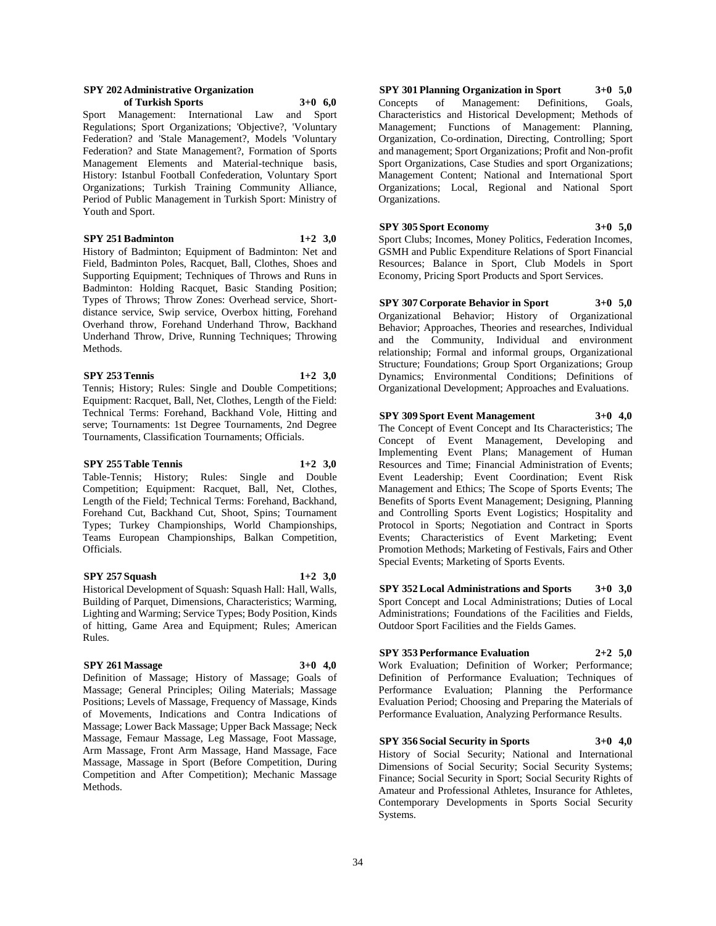#### **SPY 202 Administrative Organization of Turkish Sports 3+0 6,0**

Sport Management: International Law and Sport Regulations; Sport Organizations; 'Objective?, 'Voluntary Federation? and 'Stale Management?, Models 'Voluntary Federation? and State Management?, Formation of Sports Management Elements and Material-technique basis, History: Istanbul Football Confederation, Voluntary Sport Organizations; Turkish Training Community Alliance, Period of Public Management in Turkish Sport: Ministry of Youth and Sport.

## **SPY 251 Badminton 1+2 3,0**

History of Badminton; Equipment of Badminton: Net and Field, Badminton Poles, Racquet, Ball, Clothes, Shoes and Supporting Equipment; Techniques of Throws and Runs in Badminton: Holding Racquet, Basic Standing Position; Types of Throws; Throw Zones: Overhead service, Shortdistance service, Swip service, Overbox hitting, Forehand Overhand throw, Forehand Underhand Throw, Backhand Underhand Throw, Drive, Running Techniques; Throwing Methods.

#### **SPY 253 Tennis 1+2 3,0**

Tennis; History; Rules: Single and Double Competitions; Equipment: Racquet, Ball, Net, Clothes, Length of the Field: Technical Terms: Forehand, Backhand Vole, Hitting and serve; Tournaments: 1st Degree Tournaments, 2nd Degree Tournaments, Classification Tournaments; Officials.

#### **SPY 255 Table Tennis 1+2 3,0**

Table-Tennis; History; Rules: Single and Double Competition; Equipment: Racquet, Ball, Net, Clothes, Length of the Field; Technical Terms: Forehand, Backhand, Forehand Cut, Backhand Cut, Shoot, Spins; Tournament Types; Turkey Championships, World Championships, Teams European Championships, Balkan Competition, Officials.

## **SPY 257 Squash 1+2 3,0**

Historical Development of Squash: Squash Hall: Hall, Walls, Building of Parquet, Dimensions, Characteristics; Warming, Lighting and Warming; Service Types; Body Position, Kinds of hitting, Game Area and Equipment; Rules; American Rules.

## **SPY 261 Massage 3+0 4,0**

Definition of Massage; History of Massage; Goals of Massage; General Principles; Oiling Materials; Massage Positions; Levels of Massage, Frequency of Massage, Kinds of Movements, Indications and Contra Indications of Massage; Lower Back Massage; Upper Back Massage; Neck Massage, Femaur Massage, Leg Massage, Foot Massage, Arm Massage, Front Arm Massage, Hand Massage, Face Massage, Massage in Sport (Before Competition, During Competition and After Competition); Mechanic Massage Methods.

**SPY 301 Planning Organization in Sport 3+0 5,0** Concepts of Management: Definitions, Goals, Characteristics and Historical Development; Methods of Management; Functions of Management: Planning, Organization, Co-ordination, Directing, Controlling; Sport and management; Sport Organizations; Profit and Non-profit Sport Organizations, Case Studies and sport Organizations; Management Content; National and International Sport Organizations; Local, Regional and National Sport Organizations.

## **SPY 305 Sport Economy 3+0 5,0**

Sport Clubs; Incomes, Money Politics, Federation Incomes, GSMH and Public Expenditure Relations of Sport Financial Resources; Balance in Sport, Club Models in Sport Economy, Pricing Sport Products and Sport Services.

**SPY 307 Corporate Behavior in Sport 3+0 5,0** Organizational Behavior; History of Organizational Behavior; Approaches, Theories and researches, Individual and the Community, Individual and environment relationship; Formal and informal groups, Organizational Structure; Foundations; Group Sport Organizations; Group Dynamics; Environmental Conditions; Definitions of Organizational Development; Approaches and Evaluations.

## **SPY 309 Sport Event Management 3+0 4,0**

The Concept of Event Concept and Its Characteristics; The Concept of Event Management, Developing and Implementing Event Plans; Management of Human Resources and Time; Financial Administration of Events; Event Leadership; Event Coordination; Event Risk Management and Ethics; The Scope of Sports Events; The Benefits of Sports Event Management; Designing, Planning and Controlling Sports Event Logistics; Hospitality and Protocol in Sports; Negotiation and Contract in Sports Events; Characteristics of Event Marketing; Event Promotion Methods; Marketing of Festivals, Fairs and Other Special Events; Marketing of Sports Events.

**SPY 352 Local Administrations and Sports 3+0 3,0** Sport Concept and Local Administrations; Duties of Local Administrations; Foundations of the Facilities and Fields, Outdoor Sport Facilities and the Fields Games.

## **SPY 353 Performance Evaluation 2+2 5,0**

Work Evaluation; Definition of Worker; Performance; Definition of Performance Evaluation; Techniques of Performance Evaluation; Planning the Performance Evaluation Period; Choosing and Preparing the Materials of Performance Evaluation, Analyzing Performance Results.

## **SPY 356 Social Security in Sports 3+0 4,0**

History of Social Security; National and International Dimensions of Social Security; Social Security Systems; Finance; Social Security in Sport; Social Security Rights of Amateur and Professional Athletes, Insurance for Athletes, Contemporary Developments in Sports Social Security Systems.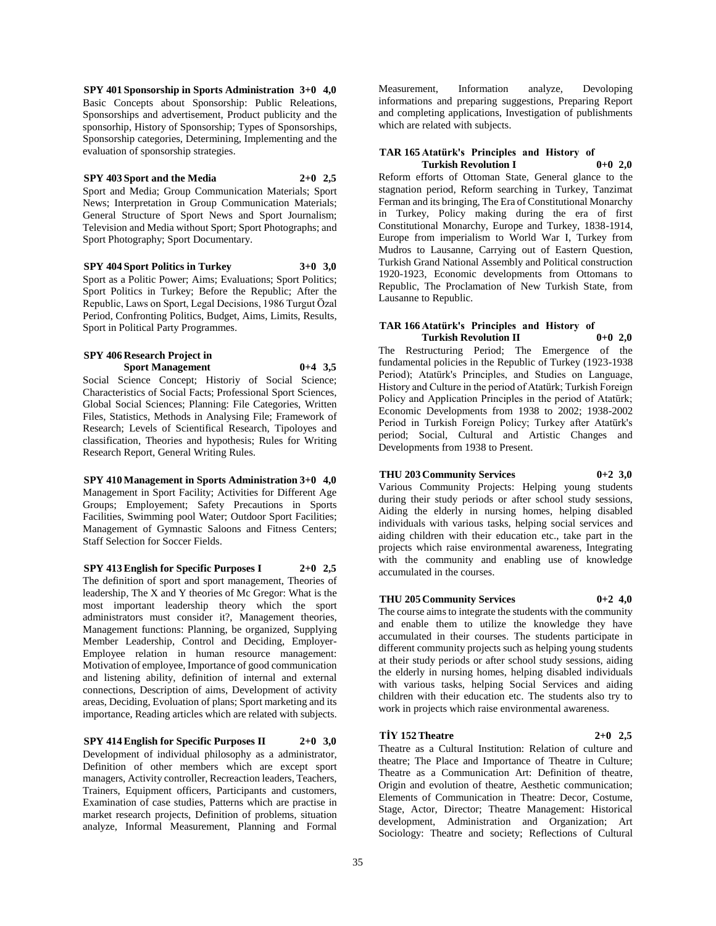**SPY 401 Sponsorship in Sports Administration 3+0 4,0** Basic Concepts about Sponsorship: Public Releations, Sponsorships and advertisement, Product publicity and the sponsorhip, History of Sponsorship; Types of Sponsorships, Sponsorship categories, Determining, Implementing and the evaluation of sponsorship strategies.

#### **SPY 403 Sport and the Media 2+0 2,5**

Sport and Media; Group Communication Materials; Sport News; Interpretation in Group Communication Materials; General Structure of Sport News and Sport Journalism; Television and Media without Sport; Sport Photographs; and Sport Photography; Sport Documentary.

**SPY 404 Sport Politics in Turkey 3+0 3,0** Sport as a Politic Power; Aims; Evaluations; Sport Politics; Sport Politics in Turkey; Before the Republic; After the

Republic, Laws on Sport, Legal Decisions, 1986 Turgut Özal Period, Confronting Politics, Budget, Aims, Limits, Results, Sport in Political Party Programmes.

#### **SPY 406 Research Project in Sport Management 0+4 3,5**

Social Science Concept; Historiy of Social Science; Characteristics of Social Facts; Professional Sport Sciences, Global Social Sciences; Planning: File Categories, Written Files, Statistics, Methods in Analysing File; Framework of Research; Levels of Scientifical Research, Tipoloyes and classification, Theories and hypothesis; Rules for Writing Research Report, General Writing Rules.

# **SPY 410 Management in Sports Administration 3+0 4,0**

Management in Sport Facility; Activities for Different Age Groups; Employement; Safety Precautions in Sports Facilities, Swimming pool Water; Outdoor Sport Facilities; Management of Gymnastic Saloons and Fitness Centers; Staff Selection for Soccer Fields.

## **SPY 413 English for Specific Purposes I 2+0 2,5**

The definition of sport and sport management, Theories of leadership, The X and Y theories of Mc Gregor: What is the most important leadership theory which the sport administrators must consider it?, Management theories, Management functions: Planning, be organized, Supplying Member Leadership, Control and Deciding, Employer-Employee relation in human resource management: Motivation of employee, Importance of good communication and listening ability, definition of internal and external connections, Description of aims, Development of activity areas, Deciding, Evoluation of plans; Sport marketing and its importance, Reading articles which are related with subjects.

## **SPY 414 English for Specific Purposes II 2+0 3,0**

Development of individual philosophy as a administrator, Definition of other members which are except sport managers, Activity controller, Recreaction leaders, Teachers, Trainers, Equipment officers, Participants and customers, Examination of case studies, Patterns which are practise in market research projects, Definition of problems, situation analyze, Informal Measurement, Planning and Formal Measurement, Information analyze, Devoloping informations and preparing suggestions, Preparing Report and completing applications, Investigation of publishments which are related with subjects.

#### **TAR 165 Atatürk's Principles and History of Turkish Revolution I 0+0 2,0**

Reform efforts of Ottoman State, General glance to the stagnation period, Reform searching in Turkey, Tanzimat Ferman and its bringing, The Era of Constitutional Monarchy in Turkey, Policy making during the era of first Constitutional Monarchy, Europe and Turkey, 1838-1914, Europe from imperialism to World War I, Turkey from Mudros to Lausanne, Carrying out of Eastern Question, Turkish Grand National Assembly and Political construction 1920-1923, Economic developments from Ottomans to Republic, The Proclamation of New Turkish State, from Lausanne to Republic.

## **TAR 166 Atatürk's Principles and History of Turkish Revolution II 0+0 2,0**

The Restructuring Period; The Emergence of the fundamental policies in the Republic of Turkey (1923-1938 Period); Atatürk's Principles, and Studies on Language, History and Culture in the period of Atatürk; Turkish Foreign Policy and Application Principles in the period of Atatürk; Economic Developments from 1938 to 2002; 1938-2002 Period in Turkish Foreign Policy; Turkey after Atatürk's period; Social, Cultural and Artistic Changes and Developments from 1938 to Present.

## **THU 203 Community Services 0+2 3,0**

Various Community Projects: Helping young students during their study periods or after school study sessions, Aiding the elderly in nursing homes, helping disabled individuals with various tasks, helping social services and aiding children with their education etc., take part in the projects which raise environmental awareness, Integrating with the community and enabling use of knowledge accumulated in the courses.

## **THU 205 Community Services 0+2 4,0**

The course aims to integrate the students with the community and enable them to utilize the knowledge they have accumulated in their courses. The students participate in different community projects such as helping young students at their study periods or after school study sessions, aiding the elderly in nursing homes, helping disabled individuals with various tasks, helping Social Services and aiding children with their education etc. The students also try to work in projects which raise environmental awareness.

## **TİY 152 Theatre 2+0 2,5**

Theatre as a Cultural Institution: Relation of culture and theatre; The Place and Importance of Theatre in Culture; Theatre as a Communication Art: Definition of theatre, Origin and evolution of theatre, Aesthetic communication; Elements of Communication in Theatre: Decor, Costume, Stage, Actor, Director; Theatre Management: Historical development, Administration and Organization; Art Sociology: Theatre and society; Reflections of Cultural